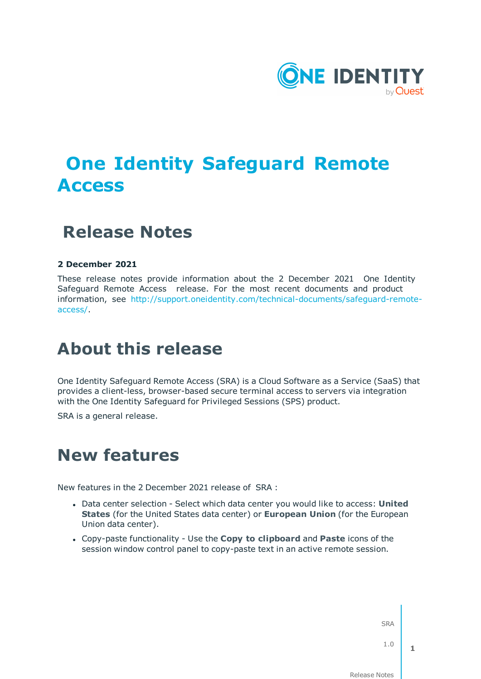

# **One Identity Safeguard Remote Access**

## **Release Notes**

### **2 December 2021**

These release notes provide information about the 2 December 2021 One Identity Safeguard Remote Access release. For the most recent documents and product information, see [http://support.oneidentity.com/technical-documents/safeguard-remote](http://support.oneidentity.com/technical-documents/safeguard-remote-access/)[access/.](http://support.oneidentity.com/technical-documents/safeguard-remote-access/)

## **About this release**

One Identity Safeguard Remote Access (SRA) is a Cloud Software as a Service (SaaS) that provides a client-less, browser-based secure terminal access to servers via integration with the One Identity Safeguard for Privileged Sessions (SPS) product.

SRA is a general release.

## **New features**

New features in the 2 December 2021 release of SRA :

- <sup>l</sup> Data center selection Select which data center you would like to access: **United States** (for the United States data center) or **European Union** (for the European Union data center).
- <sup>l</sup> Copy-paste functionality Use the **Copy to clipboard** and **Paste** icons of the session window control panel to copy-paste text in an active remote session.

SRA

1.0

**1**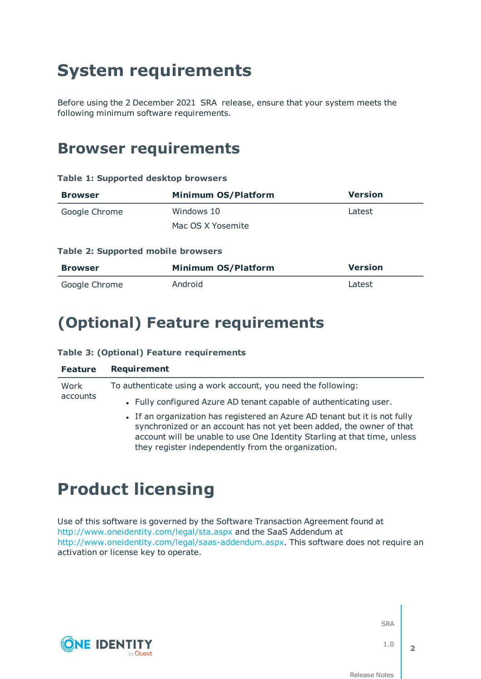# **System requirements**

Before using the 2 December 2021 SRA release, ensure that your system meets the following minimum software requirements.

### **Browser requirements**

#### **Table 1: Supported desktop browsers**

| <b>Browser</b> | <b>Minimum OS/Platform</b> | <b>Version</b> |
|----------------|----------------------------|----------------|
| Google Chrome  | Windows 10                 | Latest         |
|                | Mac OS X Yosemite          |                |

### **Table 2: Supported mobile browsers**

| Browser       | <b>Minimum OS/Platform</b> | <b>Version</b> |
|---------------|----------------------------|----------------|
| Google Chrome | Android                    | Latest         |

### **(Optional) Feature requirements**

### **Table 3: (Optional) Feature requirements**

| <b>Feature</b> | <b>Requirement</b>                                                                                                                                                                                                                                                                   |
|----------------|--------------------------------------------------------------------------------------------------------------------------------------------------------------------------------------------------------------------------------------------------------------------------------------|
| Work           | To authenticate using a work account, you need the following:                                                                                                                                                                                                                        |
| accounts       | . Fully configured Azure AD tenant capable of authenticating user.                                                                                                                                                                                                                   |
|                | • If an organization has registered an Azure AD tenant but it is not fully<br>synchronized or an account has not yet been added, the owner of that<br>account will be unable to use One Identity Starling at that time, unless<br>they register independently from the organization. |

## **Product licensing**

**ONE IDENTITY** 

Use of this software is governed by the Software Transaction Agreement found at <http://www.oneidentity.com/legal/sta.aspx> and the SaaS Addendum at [http://www.oneidentity.com/legal/saas-addendum.aspx.](http://www.oneidentity.com/legal/saas-addendum.aspx) This software does not require an activation or license key to operate.

SRA

1.0

**2**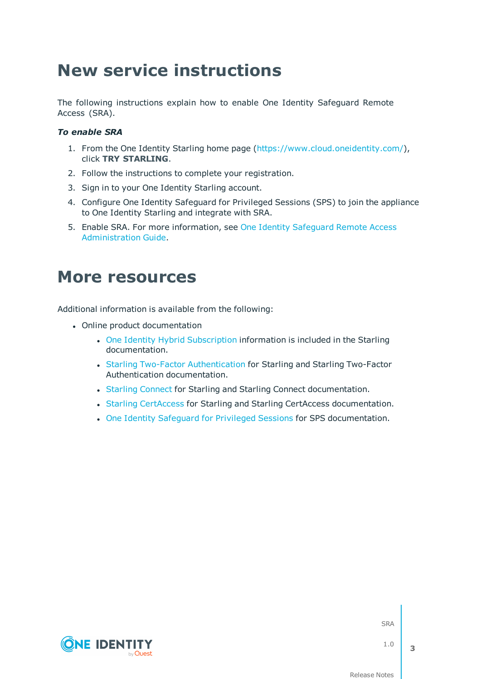# **New service instructions**

The following instructions explain how to enable One Identity Safeguard Remote Access (SRA).

### *To enable SRA*

- 1. From the One Identity Starling home page [\(https://www.cloud.oneidentity.com/\)](https://www.cloud.oneidentity.com/), click **TRY STARLING**.
- 2. Follow the instructions to complete your registration.
- 3. Sign in to your One Identity Starling account.
- 4. Configure One Identity Safeguard for Privileged Sessions (SPS) to join the appliance to One Identity Starling and integrate with SRA.
- 5. Enable SRA. For more information, see One Identity [Safeguard](https://support.oneidentity.com/technical-documents/safeguard-remote-access/hosted/administration-guide/) Remote Access [Administration](https://support.oneidentity.com/technical-documents/safeguard-remote-access/hosted/administration-guide/) Guide.

### **More resources**

Additional information is available from the following:

- Online product documentation
	- One Identity Hybrid [Subscription](https://support.oneidentity.com/one-identity-hybrid-subscription/hosted/technical-documents) information is included in the Starling documentation.
	- Starling Two-Factor [Authentication](https://support.oneidentity.com/starling-two-factor-authentication/hosted/technical-documents) for Starling and Starling Two-Factor Authentication documentation.
	- Starling [Connect](https://support.oneidentity.com/starling-connect/hosted/technical-documents) for Starling and Starling Connect documentation.
	- Starling [CertAccess](https://support.oneidentity.com/starling-certaccess/hosted/technical-documents) for Starling and Starling CertAccess documentation.
	- One Identity [Safeguard](https://support.oneidentity.com/one-identity-safeguard-for-privileged-sessions/technical-documents) for Privileged Sessions for SPS documentation.



SRA

1.0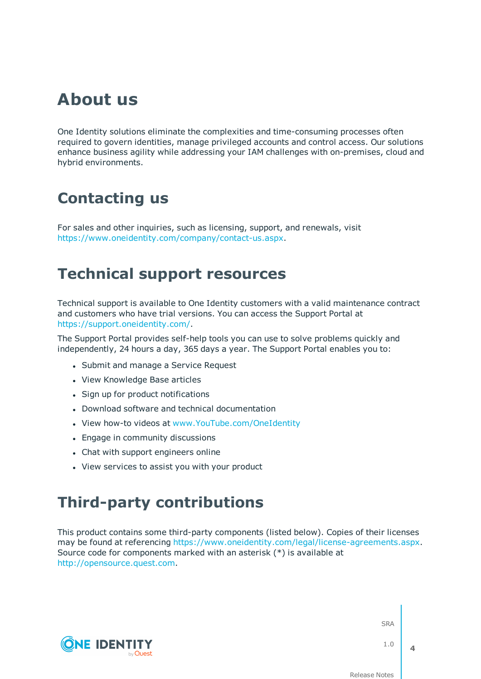## **About us**

One Identity solutions eliminate the complexities and time-consuming processes often required to govern identities, manage privileged accounts and control access. Our solutions enhance business agility while addressing your IAM challenges with on-premises, cloud and hybrid environments.

## **Contacting us**

For sales and other inquiries, such as licensing, support, and renewals, visit <https://www.oneidentity.com/company/contact-us.aspx>.

### **Technical support resources**

Technical support is available to One Identity customers with a valid maintenance contract and customers who have trial versions. You can access the Support Portal at [https://support.oneidentity.com/.](https://support.oneidentity.com/)

The Support Portal provides self-help tools you can use to solve problems quickly and independently, 24 hours a day, 365 days a year. The Support Portal enables you to:

- Submit and manage a Service Request
- View Knowledge Base articles
- Sign up for product notifications
- Download software and technical documentation
- View how-to videos at [www.YouTube.com/OneIdentity](http://www.youtube.com/OneIdentity)
- Engage in community discussions

**ONE IDENTITY** 

- Chat with support engineers online
- View services to assist you with your product

## **Third-party contributions**

This product contains some third-party components (listed below). Copies of their licenses may be found at referencing [https://www.oneidentity.com/legal/license-agreements.aspx.](https://www.oneidentity.com/legal/license-agreements.aspx) Source code for components marked with an asterisk (\*) is available at [http://opensource.quest.com.](http://opensource.quest.com/)

SRA

1.0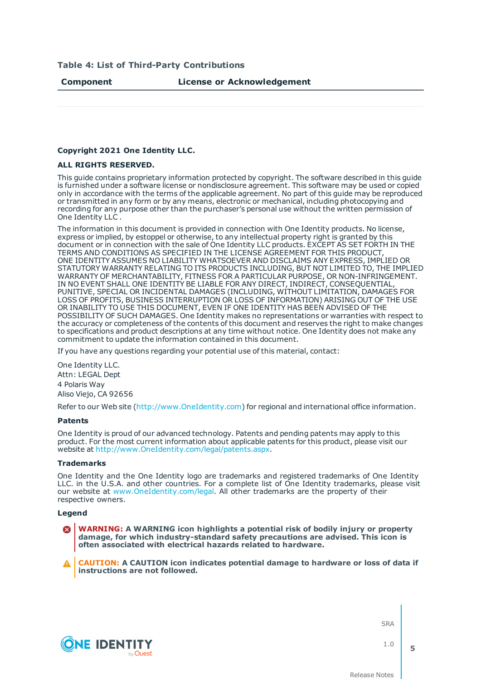#### **Table 4: List of Third-Party Contributions**

#### **Copyright 2021 One Identity LLC.**

#### **ALL RIGHTS RESERVED.**

This guide contains proprietary information protected by copyright. The software described in this guide is furnished under a software license or nondisclosure agreement. This software may be used or copied only in accordance with the terms of the applicable agreement. No part of this guide may be reproduced or transmitted in any form or by any means, electronic or mechanical, including photocopying and recording for any purpose other than the purchaser's personal use without the written permission of One Identity LLC .

The information in this document is provided in connection with One Identity products. No license, express or implied, by estoppel or otherwise, to any intellectual property right is granted by this document or in connection with the sale of One Identity LLC products. EXCEPT AS SET FORTH IN THE TERMS AND CONDITIONS AS SPECIFIED IN THE LICENSE AGREEMENT FOR THIS PRODUCT, ONE IDENTITY ASSUMES NO LIABILITY WHATSOEVER AND DISCLAIMS ANY EXPRESS, IMPLIED OR STATUTORY WARRANTY RELATING TO ITS PRODUCTS INCLUDING, BUT NOT LIMITED TO, THE IMPLIED WARRANTY OF MERCHANTABILITY, FITNESS FOR A PARTICULAR PURPOSE, OR NON-INFRINGEMENT. IN NO EVENT SHALL ONE IDENTITY BE LIABLE FOR ANY DIRECT, INDIRECT, CONSEQUENTIAL, PUNITIVE, SPECIAL OR INCIDENTAL DAMAGES (INCLUDING, WITHOUT LIMITATION, DAMAGES FOR LOSS OF PROFITS, BUSINESS INTERRUPTION OR LOSS OF INFORMATION) ARISING OUT OF THE USE OR INABILITY TO USE THIS DOCUMENT, EVEN IF ONE IDENTITY HAS BEEN ADVISED OF THE POSSIBILITY OF SUCH DAMAGES. One Identity makes no representations or warranties with respect to the accuracy or completeness of the contents of this document and reserves the right to make changes to specifications and product descriptions at any time without notice. One Identity does not make any commitment to update the information contained in this document.

If you have any questions regarding your potential use of this material, contact:

One Identity LLC. Attn: LEGAL Dept 4 Polaris Way Aliso Viejo, CA 92656

Refer to our Web site [\(http://www.OneIdentity.com](http://www.oneidentity.com/)) for regional and international office information.

#### **Patents**

One Identity is proud of our advanced technology. Patents and pending patents may apply to this product. For the most current information about applicable patents for this product, please visit our website at [http://www.OneIdentity.com/legal/patents.aspx.](http://www.oneidentity.com/legal/patents.aspx)

#### **Trademarks**

One Identity and the One Identity logo are trademarks and registered trademarks of One Identity LLC. in the U.S.A. and other countries. For a complete list of One Identity trademarks, please visit our website at [www.OneIdentity.com/legal.](http://www.oneidentity.com/legal) All other trademarks are the property of their respective owners.

#### **Legend**

**WARNING: A WARNING icon highlights a potential risk of bodily injury or property damage, for which industry-standard safety precautions are advised. This icon is often associated with electrical hazards related to hardware.**

**CAUTION: A CAUTION icon indicates potential damage to hardware or loss of data if instructions are not followed.**

SRA



1.0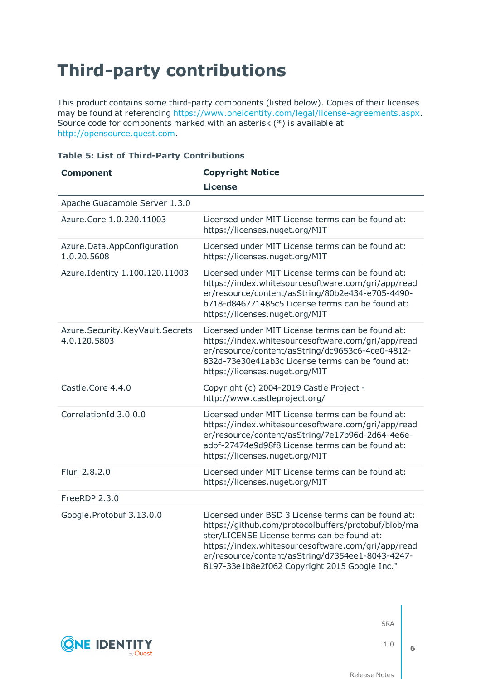# **Third-party contributions**

This product contains some third-party components (listed below). Copies of their licenses may be found at referencing [https://www.oneidentity.com/legal/license-agreements.aspx.](https://www.oneidentity.com/legal/license-agreements.aspx) Source code for components marked with an asterisk (\*) is available at [http://opensource.quest.com.](http://opensource.quest.com/)

### **Table 5: List of Third-Party Contributions**

| <b>Component</b>                                | <b>Copyright Notice</b>                                                                                                                                                                                                                                                                                              |
|-------------------------------------------------|----------------------------------------------------------------------------------------------------------------------------------------------------------------------------------------------------------------------------------------------------------------------------------------------------------------------|
|                                                 | <b>License</b>                                                                                                                                                                                                                                                                                                       |
| Apache Guacamole Server 1.3.0                   |                                                                                                                                                                                                                                                                                                                      |
| Azure.Core 1.0.220.11003                        | Licensed under MIT License terms can be found at:<br>https://licenses.nuget.org/MIT                                                                                                                                                                                                                                  |
| Azure.Data.AppConfiguration<br>1.0.20.5608      | Licensed under MIT License terms can be found at:<br>https://licenses.nuget.org/MIT                                                                                                                                                                                                                                  |
| Azure.Identity 1.100.120.11003                  | Licensed under MIT License terms can be found at:<br>https://index.whitesourcesoftware.com/gri/app/read<br>er/resource/content/asString/80b2e434-e705-4490-<br>b718-d846771485c5 License terms can be found at:<br>https://licenses.nuget.org/MIT                                                                    |
| Azure.Security.KeyVault.Secrets<br>4.0.120.5803 | Licensed under MIT License terms can be found at:<br>https://index.whitesourcesoftware.com/gri/app/read<br>er/resource/content/asString/dc9653c6-4ce0-4812-<br>832d-73e30e41ab3c License terms can be found at:<br>https://licenses.nuget.org/MIT                                                                    |
| Castle.Core 4.4.0                               | Copyright (c) 2004-2019 Castle Project -<br>http://www.castleproject.org/                                                                                                                                                                                                                                            |
| CorrelationId 3.0.0.0                           | Licensed under MIT License terms can be found at:<br>https://index.whitesourcesoftware.com/gri/app/read<br>er/resource/content/asString/7e17b96d-2d64-4e6e-<br>adbf-27474e9d98f8 License terms can be found at:<br>https://licenses.nuget.org/MIT                                                                    |
| Flurl 2.8.2.0                                   | Licensed under MIT License terms can be found at:<br>https://licenses.nuget.org/MIT                                                                                                                                                                                                                                  |
| FreeRDP 2.3.0                                   |                                                                                                                                                                                                                                                                                                                      |
| Google.Protobuf 3.13.0.0                        | Licensed under BSD 3 License terms can be found at:<br>https://github.com/protocolbuffers/protobuf/blob/ma<br>ster/LICENSE License terms can be found at:<br>https://index.whitesourcesoftware.com/gri/app/read<br>er/resource/content/asString/d7354ee1-8043-4247-<br>8197-33e1b8e2f062 Copyright 2015 Google Inc." |



SRA

1.0

**6**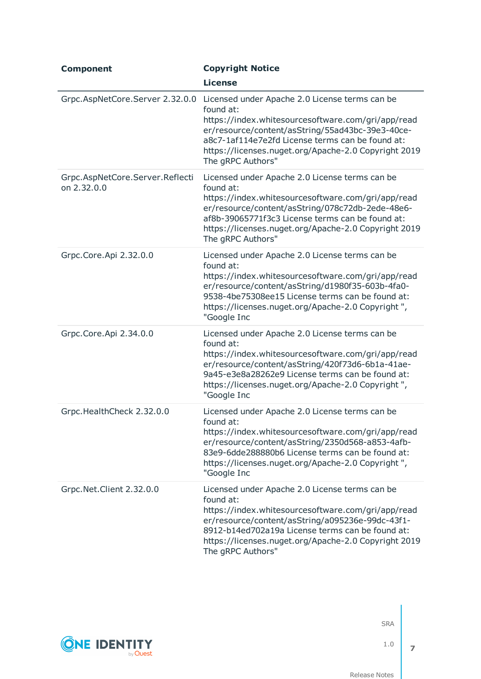| <b>Component</b>                               | <b>Copyright Notice</b>                                                                                                                                                                                                                                                                                |
|------------------------------------------------|--------------------------------------------------------------------------------------------------------------------------------------------------------------------------------------------------------------------------------------------------------------------------------------------------------|
|                                                | <b>License</b>                                                                                                                                                                                                                                                                                         |
| Grpc.AspNetCore.Server 2.32.0.0                | Licensed under Apache 2.0 License terms can be<br>found at:<br>https://index.whitesourcesoftware.com/gri/app/read<br>er/resource/content/asString/55ad43bc-39e3-40ce-<br>a8c7-1af114e7e2fd License terms can be found at:<br>https://licenses.nuget.org/Apache-2.0 Copyright 2019<br>The gRPC Authors" |
| Grpc.AspNetCore.Server.Reflecti<br>on 2.32.0.0 | Licensed under Apache 2.0 License terms can be<br>found at:<br>https://index.whitesourcesoftware.com/gri/app/read<br>er/resource/content/asString/078c72db-2ede-48e6-<br>af8b-39065771f3c3 License terms can be found at:<br>https://licenses.nuget.org/Apache-2.0 Copyright 2019<br>The gRPC Authors" |
| Grpc.Core.Api 2.32.0.0                         | Licensed under Apache 2.0 License terms can be<br>found at:<br>https://index.whitesourcesoftware.com/gri/app/read<br>er/resource/content/asString/d1980f35-603b-4fa0-<br>9538-4be75308ee15 License terms can be found at:<br>https://licenses.nuget.org/Apache-2.0 Copyright",<br>"Google Inc          |
| Grpc.Core.Api 2.34.0.0                         | Licensed under Apache 2.0 License terms can be<br>found at:<br>https://index.whitesourcesoftware.com/gri/app/read<br>er/resource/content/asString/420f73d6-6b1a-41ae-<br>9a45-e3e8a28262e9 License terms can be found at:<br>https://licenses.nuget.org/Apache-2.0 Copyright",<br>"Google Inc          |
| Grpc.HealthCheck 2.32.0.0                      | Licensed under Apache 2.0 License terms can be<br>found at:<br>https://index.whitesourcesoftware.com/gri/app/read<br>er/resource/content/asString/2350d568-a853-4afb-<br>83e9-6dde288880b6 License terms can be found at:<br>https://licenses.nuget.org/Apache-2.0 Copyright",<br>"Google Inc          |
| Grpc.Net.Client 2.32.0.0                       | Licensed under Apache 2.0 License terms can be<br>found at:<br>https://index.whitesourcesoftware.com/gri/app/read<br>er/resource/content/asString/a095236e-99dc-43f1-<br>8912-b14ed702a19a License terms can be found at:<br>https://licenses.nuget.org/Apache-2.0 Copyright 2019<br>The gRPC Authors" |



1.0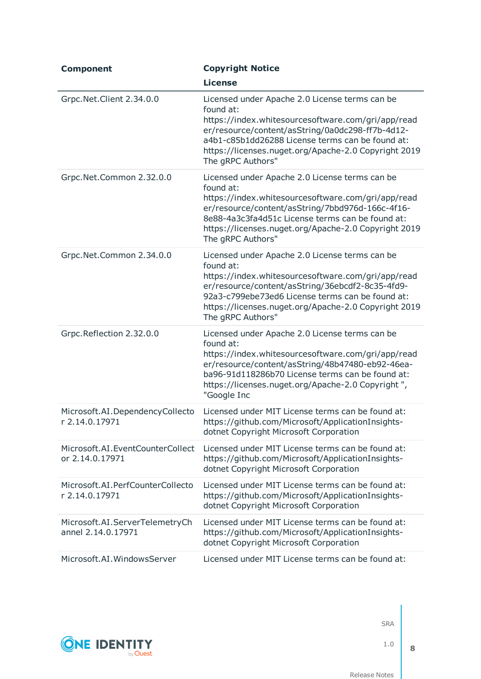| <b>Component</b>                                     | <b>Copyright Notice</b>                                                                                                                                                                                                                                                                                |
|------------------------------------------------------|--------------------------------------------------------------------------------------------------------------------------------------------------------------------------------------------------------------------------------------------------------------------------------------------------------|
|                                                      | <b>License</b>                                                                                                                                                                                                                                                                                         |
| Grpc.Net.Client 2.34.0.0                             | Licensed under Apache 2.0 License terms can be<br>found at:<br>https://index.whitesourcesoftware.com/gri/app/read<br>er/resource/content/asString/0a0dc298-ff7b-4d12-<br>a4b1-c85b1dd26288 License terms can be found at:<br>https://licenses.nuget.org/Apache-2.0 Copyright 2019<br>The gRPC Authors" |
| Grpc.Net.Common 2.32.0.0                             | Licensed under Apache 2.0 License terms can be<br>found at:<br>https://index.whitesourcesoftware.com/gri/app/read<br>er/resource/content/asString/7bbd976d-166c-4f16-<br>8e88-4a3c3fa4d51c License terms can be found at:<br>https://licenses.nuget.org/Apache-2.0 Copyright 2019<br>The gRPC Authors" |
| Grpc.Net.Common 2.34.0.0                             | Licensed under Apache 2.0 License terms can be<br>found at:<br>https://index.whitesourcesoftware.com/gri/app/read<br>er/resource/content/asString/36ebcdf2-8c35-4fd9-<br>92a3-c799ebe73ed6 License terms can be found at:<br>https://licenses.nuget.org/Apache-2.0 Copyright 2019<br>The gRPC Authors" |
| Grpc.Reflection 2.32.0.0                             | Licensed under Apache 2.0 License terms can be<br>found at:<br>https://index.whitesourcesoftware.com/gri/app/read<br>er/resource/content/asString/48b47480-eb92-46ea-<br>ba96-91d118286b70 License terms can be found at:<br>https://licenses.nuget.org/Apache-2.0 Copyright",<br>"Google Inc          |
| Microsoft.AI.DependencyCollecto<br>r 2.14.0.17971    | Licensed under MIT License terms can be found at:<br>https://github.com/Microsoft/ApplicationInsights-<br>dotnet Copyright Microsoft Corporation                                                                                                                                                       |
| Microsoft.AI.EventCounterCollect<br>or 2.14.0.17971  | Licensed under MIT License terms can be found at:<br>https://github.com/Microsoft/ApplicationInsights-<br>dotnet Copyright Microsoft Corporation                                                                                                                                                       |
| Microsoft.AI.PerfCounterCollecto<br>r 2.14.0.17971   | Licensed under MIT License terms can be found at:<br>https://github.com/Microsoft/ApplicationInsights-<br>dotnet Copyright Microsoft Corporation                                                                                                                                                       |
| Microsoft.AI.ServerTelemetryCh<br>annel 2.14.0.17971 | Licensed under MIT License terms can be found at:<br>https://github.com/Microsoft/ApplicationInsights-<br>dotnet Copyright Microsoft Corporation                                                                                                                                                       |
| Microsoft.AI.WindowsServer                           | Licensed under MIT License terms can be found at:                                                                                                                                                                                                                                                      |



1.0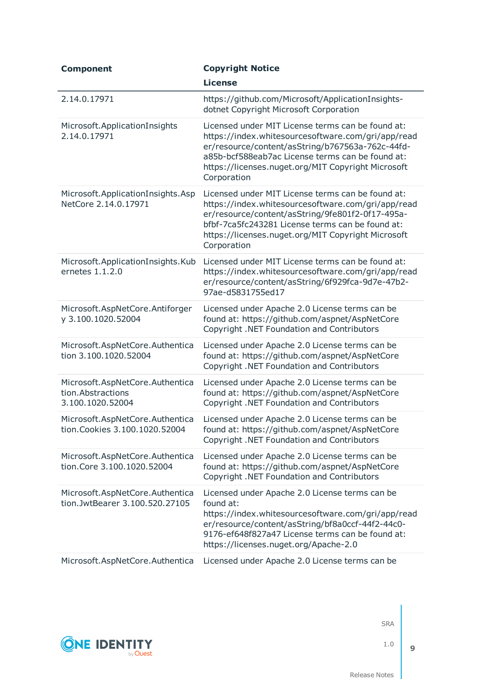| <b>Component</b>                                                         | <b>Copyright Notice</b>                                                                                                                                                                                                                                                              |
|--------------------------------------------------------------------------|--------------------------------------------------------------------------------------------------------------------------------------------------------------------------------------------------------------------------------------------------------------------------------------|
|                                                                          | <b>License</b>                                                                                                                                                                                                                                                                       |
| 2.14.0.17971                                                             | https://github.com/Microsoft/ApplicationInsights-<br>dotnet Copyright Microsoft Corporation                                                                                                                                                                                          |
| Microsoft.ApplicationInsights<br>2.14.0.17971                            | Licensed under MIT License terms can be found at:<br>https://index.whitesourcesoftware.com/gri/app/read<br>er/resource/content/asString/b767563a-762c-44fd-<br>a85b-bcf588eab7ac License terms can be found at:<br>https://licenses.nuget.org/MIT Copyright Microsoft<br>Corporation |
| Microsoft.ApplicationInsights.Asp<br>NetCore 2.14.0.17971                | Licensed under MIT License terms can be found at:<br>https://index.whitesourcesoftware.com/gri/app/read<br>er/resource/content/asString/9fe801f2-0f17-495a-<br>bfbf-7ca5fc243281 License terms can be found at:<br>https://licenses.nuget.org/MIT Copyright Microsoft<br>Corporation |
| Microsoft.ApplicationInsights.Kub<br>ernetes $1.1.2.0$                   | Licensed under MIT License terms can be found at:<br>https://index.whitesourcesoftware.com/gri/app/read<br>er/resource/content/asString/6f929fca-9d7e-47b2-<br>97ae-d5831755ed17                                                                                                     |
| Microsoft.AspNetCore.Antiforger<br>y 3.100.1020.52004                    | Licensed under Apache 2.0 License terms can be<br>found at: https://github.com/aspnet/AspNetCore<br>Copyright .NET Foundation and Contributors                                                                                                                                       |
| Microsoft.AspNetCore.Authentica<br>tion 3.100.1020.52004                 | Licensed under Apache 2.0 License terms can be<br>found at: https://github.com/aspnet/AspNetCore<br>Copyright .NET Foundation and Contributors                                                                                                                                       |
| Microsoft.AspNetCore.Authentica<br>tion.Abstractions<br>3.100.1020.52004 | Licensed under Apache 2.0 License terms can be<br>found at: https://github.com/aspnet/AspNetCore<br>Copyright .NET Foundation and Contributors                                                                                                                                       |
| Microsoft.AspNetCore.Authentica<br>tion. Cookies 3.100.1020.52004        | Licensed under Apache 2.0 License terms can be<br>found at: https://github.com/aspnet/AspNetCore<br>Copyright .NET Foundation and Contributors                                                                                                                                       |
| Microsoft.AspNetCore.Authentica<br>tion.Core 3.100.1020.52004            | Licensed under Apache 2.0 License terms can be<br>found at: https://github.com/aspnet/AspNetCore<br>Copyright .NET Foundation and Contributors                                                                                                                                       |
| Microsoft.AspNetCore.Authentica<br>tion.JwtBearer 3.100.520.27105        | Licensed under Apache 2.0 License terms can be<br>found at:<br>https://index.whitesourcesoftware.com/gri/app/read<br>er/resource/content/asString/bf8a0ccf-44f2-44c0-<br>9176-ef648f827a47 License terms can be found at:<br>https://licenses.nuget.org/Apache-2.0                   |
| Microsoft.AspNetCore.Authentica                                          | Licensed under Apache 2.0 License terms can be                                                                                                                                                                                                                                       |



1.0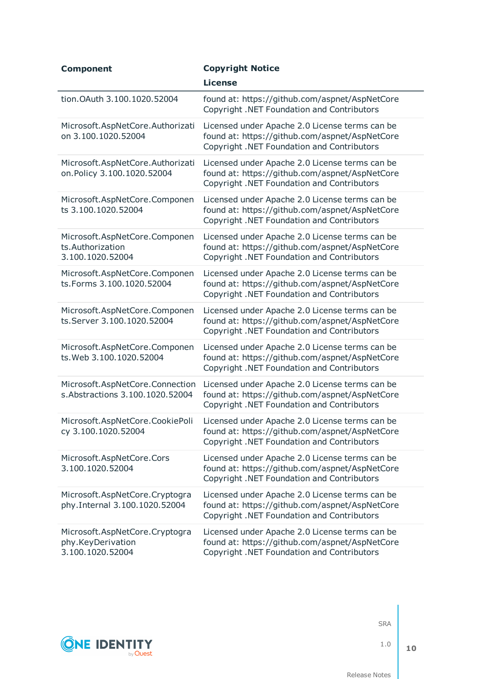| <b>Component</b>                                                        | <b>Copyright Notice</b>                                                                                                                        |
|-------------------------------------------------------------------------|------------------------------------------------------------------------------------------------------------------------------------------------|
|                                                                         | <b>License</b>                                                                                                                                 |
| tion. OAuth 3.100. 1020. 52004                                          | found at: https://github.com/aspnet/AspNetCore<br>Copyright .NET Foundation and Contributors                                                   |
| Microsoft.AspNetCore.Authorizati<br>on 3.100.1020.52004                 | Licensed under Apache 2.0 License terms can be<br>found at: https://github.com/aspnet/AspNetCore<br>Copyright .NET Foundation and Contributors |
| Microsoft.AspNetCore.Authorizati<br>on.Policy 3.100.1020.52004          | Licensed under Apache 2.0 License terms can be<br>found at: https://github.com/aspnet/AspNetCore<br>Copyright .NET Foundation and Contributors |
| Microsoft.AspNetCore.Componen<br>ts 3.100.1020.52004                    | Licensed under Apache 2.0 License terms can be<br>found at: https://github.com/aspnet/AspNetCore<br>Copyright .NET Foundation and Contributors |
| Microsoft.AspNetCore.Componen<br>ts.Authorization<br>3.100.1020.52004   | Licensed under Apache 2.0 License terms can be<br>found at: https://github.com/aspnet/AspNetCore<br>Copyright .NET Foundation and Contributors |
| Microsoft.AspNetCore.Componen<br>ts.Forms 3.100.1020.52004              | Licensed under Apache 2.0 License terms can be<br>found at: https://github.com/aspnet/AspNetCore<br>Copyright .NET Foundation and Contributors |
| Microsoft.AspNetCore.Componen<br>ts.Server 3.100.1020.52004             | Licensed under Apache 2.0 License terms can be<br>found at: https://github.com/aspnet/AspNetCore<br>Copyright .NET Foundation and Contributors |
| Microsoft.AspNetCore.Componen<br>ts. Web 3.100.1020.52004               | Licensed under Apache 2.0 License terms can be<br>found at: https://github.com/aspnet/AspNetCore<br>Copyright .NET Foundation and Contributors |
| Microsoft.AspNetCore.Connection<br>s. Abstractions 3.100.1020.52004     | Licensed under Apache 2.0 License terms can be<br>found at: https://github.com/aspnet/AspNetCore<br>Copyright .NET Foundation and Contributors |
| Microsoft.AspNetCore.CookiePoli<br>cy 3.100.1020.52004                  | Licensed under Apache 2.0 License terms can be<br>found at: https://github.com/aspnet/AspNetCore<br>Copyright .NET Foundation and Contributors |
| Microsoft.AspNetCore.Cors<br>3.100.1020.52004                           | Licensed under Apache 2.0 License terms can be<br>found at: https://github.com/aspnet/AspNetCore<br>Copyright .NET Foundation and Contributors |
| Microsoft.AspNetCore.Cryptogra<br>phy.Internal 3.100.1020.52004         | Licensed under Apache 2.0 License terms can be<br>found at: https://github.com/aspnet/AspNetCore<br>Copyright .NET Foundation and Contributors |
| Microsoft.AspNetCore.Cryptogra<br>phy.KeyDerivation<br>3.100.1020.52004 | Licensed under Apache 2.0 License terms can be<br>found at: https://github.com/aspnet/AspNetCore<br>Copyright .NET Foundation and Contributors |



1.0

**10**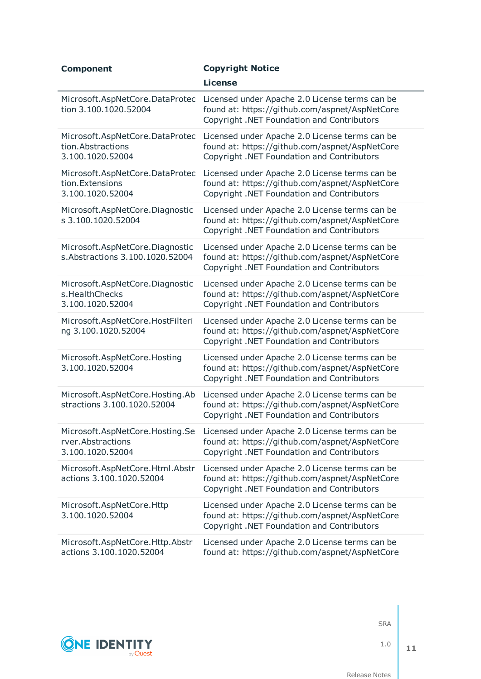| <b>Component</b>                                                         | <b>Copyright Notice</b>                                                                                                                        |
|--------------------------------------------------------------------------|------------------------------------------------------------------------------------------------------------------------------------------------|
|                                                                          | <b>License</b>                                                                                                                                 |
| Microsoft.AspNetCore.DataProtec<br>tion 3.100.1020.52004                 | Licensed under Apache 2.0 License terms can be<br>found at: https://github.com/aspnet/AspNetCore<br>Copyright .NET Foundation and Contributors |
| Microsoft.AspNetCore.DataProtec<br>tion.Abstractions<br>3.100.1020.52004 | Licensed under Apache 2.0 License terms can be<br>found at: https://github.com/aspnet/AspNetCore<br>Copyright .NET Foundation and Contributors |
| Microsoft.AspNetCore.DataProtec<br>tion. Extensions<br>3.100.1020.52004  | Licensed under Apache 2.0 License terms can be<br>found at: https://github.com/aspnet/AspNetCore<br>Copyright .NET Foundation and Contributors |
| Microsoft.AspNetCore.Diagnostic<br>s 3.100.1020.52004                    | Licensed under Apache 2.0 License terms can be<br>found at: https://github.com/aspnet/AspNetCore<br>Copyright .NET Foundation and Contributors |
| Microsoft.AspNetCore.Diagnostic<br>s. Abstractions 3.100.1020.52004      | Licensed under Apache 2.0 License terms can be<br>found at: https://github.com/aspnet/AspNetCore<br>Copyright .NET Foundation and Contributors |
| Microsoft.AspNetCore.Diagnostic<br>s.HealthChecks<br>3.100.1020.52004    | Licensed under Apache 2.0 License terms can be<br>found at: https://github.com/aspnet/AspNetCore<br>Copyright .NET Foundation and Contributors |
| Microsoft.AspNetCore.HostFilteri<br>ng 3.100.1020.52004                  | Licensed under Apache 2.0 License terms can be<br>found at: https://github.com/aspnet/AspNetCore<br>Copyright .NET Foundation and Contributors |
| Microsoft.AspNetCore.Hosting<br>3.100.1020.52004                         | Licensed under Apache 2.0 License terms can be<br>found at: https://github.com/aspnet/AspNetCore<br>Copyright .NET Foundation and Contributors |
| Microsoft.AspNetCore.Hosting.Ab<br>stractions 3.100.1020.52004           | Licensed under Apache 2.0 License terms can be<br>found at: https://github.com/aspnet/AspNetCore<br>Copyright .NET Foundation and Contributors |
| Microsoft.AspNetCore.Hosting.Se<br>rver.Abstractions<br>3.100.1020.52004 | Licensed under Apache 2.0 License terms can be<br>found at: https://github.com/aspnet/AspNetCore<br>Copyright .NET Foundation and Contributors |
| Microsoft.AspNetCore.Html.Abstr<br>actions 3.100.1020.52004              | Licensed under Apache 2.0 License terms can be<br>found at: https://github.com/aspnet/AspNetCore<br>Copyright .NET Foundation and Contributors |
| Microsoft.AspNetCore.Http<br>3.100.1020.52004                            | Licensed under Apache 2.0 License terms can be<br>found at: https://github.com/aspnet/AspNetCore<br>Copyright .NET Foundation and Contributors |
| Microsoft.AspNetCore.Http.Abstr<br>actions 3.100.1020.52004              | Licensed under Apache 2.0 License terms can be<br>found at: https://github.com/aspnet/AspNetCore                                               |



1.0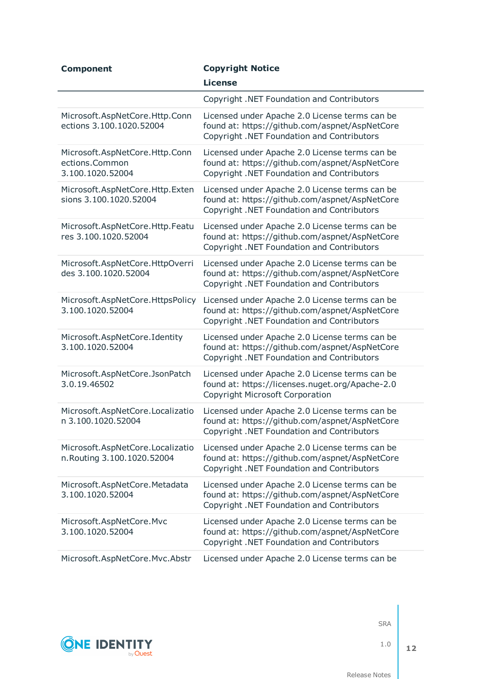| <b>Component</b>                                                     | <b>Copyright Notice</b>                                                                                                                        |
|----------------------------------------------------------------------|------------------------------------------------------------------------------------------------------------------------------------------------|
|                                                                      | <b>License</b>                                                                                                                                 |
|                                                                      | Copyright .NET Foundation and Contributors                                                                                                     |
| Microsoft.AspNetCore.Http.Conn<br>ections 3.100.1020.52004           | Licensed under Apache 2.0 License terms can be<br>found at: https://github.com/aspnet/AspNetCore<br>Copyright .NET Foundation and Contributors |
| Microsoft.AspNetCore.Http.Conn<br>ections.Common<br>3.100.1020.52004 | Licensed under Apache 2.0 License terms can be<br>found at: https://github.com/aspnet/AspNetCore<br>Copyright .NET Foundation and Contributors |
| Microsoft.AspNetCore.Http.Exten<br>sions 3.100.1020.52004            | Licensed under Apache 2.0 License terms can be<br>found at: https://github.com/aspnet/AspNetCore<br>Copyright .NET Foundation and Contributors |
| Microsoft.AspNetCore.Http.Featu<br>res 3.100.1020.52004              | Licensed under Apache 2.0 License terms can be<br>found at: https://github.com/aspnet/AspNetCore<br>Copyright .NET Foundation and Contributors |
| Microsoft.AspNetCore.HttpOverri<br>des 3.100.1020.52004              | Licensed under Apache 2.0 License terms can be<br>found at: https://github.com/aspnet/AspNetCore<br>Copyright .NET Foundation and Contributors |
| Microsoft.AspNetCore.HttpsPolicy<br>3.100.1020.52004                 | Licensed under Apache 2.0 License terms can be<br>found at: https://github.com/aspnet/AspNetCore<br>Copyright .NET Foundation and Contributors |
| Microsoft.AspNetCore.Identity<br>3.100.1020.52004                    | Licensed under Apache 2.0 License terms can be<br>found at: https://github.com/aspnet/AspNetCore<br>Copyright .NET Foundation and Contributors |
| Microsoft.AspNetCore.JsonPatch<br>3.0.19.46502                       | Licensed under Apache 2.0 License terms can be<br>found at: https://licenses.nuget.org/Apache-2.0<br><b>Copyright Microsoft Corporation</b>    |
| Microsoft.AspNetCore.Localizatio<br>n 3.100.1020.52004               | Licensed under Apache 2.0 License terms can be<br>found at: https://github.com/aspnet/AspNetCore<br>Copyright .NET Foundation and Contributors |
| Microsoft.AspNetCore.Localizatio<br>n. Routing 3.100.1020.52004      | Licensed under Apache 2.0 License terms can be<br>found at: https://github.com/aspnet/AspNetCore<br>Copyright .NET Foundation and Contributors |
| Microsoft.AspNetCore.Metadata<br>3.100.1020.52004                    | Licensed under Apache 2.0 License terms can be<br>found at: https://github.com/aspnet/AspNetCore<br>Copyright .NET Foundation and Contributors |
| Microsoft.AspNetCore.Mvc<br>3.100.1020.52004                         | Licensed under Apache 2.0 License terms can be<br>found at: https://github.com/aspnet/AspNetCore<br>Copyright .NET Foundation and Contributors |
| Microsoft.AspNetCore.Mvc.Abstr                                       | Licensed under Apache 2.0 License terms can be                                                                                                 |



1.0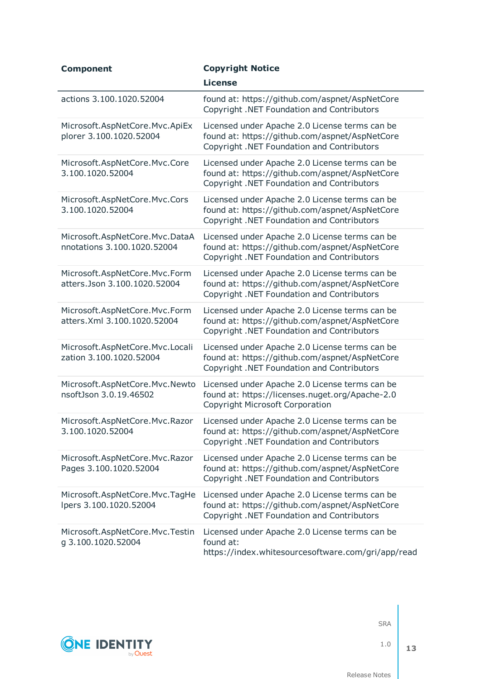| <b>Component</b>                                              | <b>Copyright Notice</b>                                                                                                                        |
|---------------------------------------------------------------|------------------------------------------------------------------------------------------------------------------------------------------------|
|                                                               | <b>License</b>                                                                                                                                 |
| actions 3.100.1020.52004                                      | found at: https://github.com/aspnet/AspNetCore<br>Copyright .NET Foundation and Contributors                                                   |
| Microsoft.AspNetCore.Mvc.ApiEx<br>plorer 3.100.1020.52004     | Licensed under Apache 2.0 License terms can be<br>found at: https://github.com/aspnet/AspNetCore<br>Copyright .NET Foundation and Contributors |
| Microsoft.AspNetCore.Mvc.Core<br>3.100.1020.52004             | Licensed under Apache 2.0 License terms can be<br>found at: https://github.com/aspnet/AspNetCore<br>Copyright .NET Foundation and Contributors |
| Microsoft.AspNetCore.Mvc.Cors<br>3.100.1020.52004             | Licensed under Apache 2.0 License terms can be<br>found at: https://github.com/aspnet/AspNetCore<br>Copyright .NET Foundation and Contributors |
| Microsoft.AspNetCore.Mvc.DataA<br>nnotations 3.100.1020.52004 | Licensed under Apache 2.0 License terms can be<br>found at: https://github.com/aspnet/AspNetCore<br>Copyright .NET Foundation and Contributors |
| Microsoft.AspNetCore.Mvc.Form<br>atters.Json 3.100.1020.52004 | Licensed under Apache 2.0 License terms can be<br>found at: https://github.com/aspnet/AspNetCore<br>Copyright .NET Foundation and Contributors |
| Microsoft.AspNetCore.Mvc.Form<br>atters. Xml 3.100.1020.52004 | Licensed under Apache 2.0 License terms can be<br>found at: https://github.com/aspnet/AspNetCore<br>Copyright .NET Foundation and Contributors |
| Microsoft.AspNetCore.Mvc.Locali<br>zation 3.100.1020.52004    | Licensed under Apache 2.0 License terms can be<br>found at: https://github.com/aspnet/AspNetCore<br>Copyright .NET Foundation and Contributors |
| Microsoft.AspNetCore.Mvc.Newto<br>nsoftJson 3.0.19.46502      | Licensed under Apache 2.0 License terms can be<br>found at: https://licenses.nuget.org/Apache-2.0<br><b>Copyright Microsoft Corporation</b>    |
| Microsoft.AspNetCore.Mvc.Razor<br>3.100.1020.52004            | Licensed under Apache 2.0 License terms can be<br>found at: https://github.com/aspnet/AspNetCore<br>Copyright .NET Foundation and Contributors |
| Microsoft.AspNetCore.Mvc.Razor<br>Pages 3.100.1020.52004      | Licensed under Apache 2.0 License terms can be<br>found at: https://github.com/aspnet/AspNetCore<br>Copyright .NET Foundation and Contributors |
| Microsoft.AspNetCore.Mvc.TagHe<br>lpers 3.100.1020.52004      | Licensed under Apache 2.0 License terms can be<br>found at: https://github.com/aspnet/AspNetCore<br>Copyright .NET Foundation and Contributors |
| Microsoft.AspNetCore.Mvc.Testin<br>g 3.100.1020.52004         | Licensed under Apache 2.0 License terms can be<br>found at:<br>https://index.whitesourcesoftware.com/gri/app/read                              |



1.0

**13**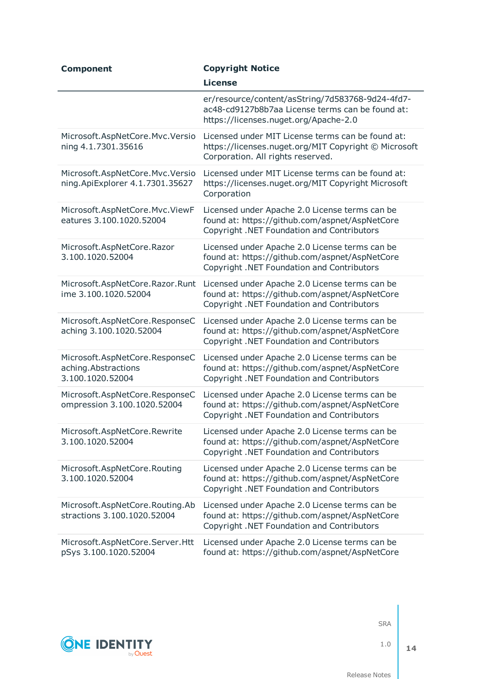| <b>Component</b>                                                          | <b>Copyright Notice</b>                                                                                                                        |
|---------------------------------------------------------------------------|------------------------------------------------------------------------------------------------------------------------------------------------|
|                                                                           | <b>License</b>                                                                                                                                 |
|                                                                           | er/resource/content/asString/7d583768-9d24-4fd7-<br>ac48-cd9127b8b7aa License terms can be found at:<br>https://licenses.nuget.org/Apache-2.0  |
| Microsoft.AspNetCore.Mvc.Versio<br>ning 4.1.7301.35616                    | Licensed under MIT License terms can be found at:<br>https://licenses.nuget.org/MIT Copyright © Microsoft<br>Corporation. All rights reserved. |
| Microsoft.AspNetCore.Mvc.Versio<br>ning.ApiExplorer 4.1.7301.35627        | Licensed under MIT License terms can be found at:<br>https://licenses.nuget.org/MIT Copyright Microsoft<br>Corporation                         |
| Microsoft.AspNetCore.Mvc.ViewF<br>eatures 3.100.1020.52004                | Licensed under Apache 2.0 License terms can be<br>found at: https://github.com/aspnet/AspNetCore<br>Copyright .NET Foundation and Contributors |
| Microsoft.AspNetCore.Razor<br>3.100.1020.52004                            | Licensed under Apache 2.0 License terms can be<br>found at: https://github.com/aspnet/AspNetCore<br>Copyright .NET Foundation and Contributors |
| Microsoft.AspNetCore.Razor.Runt<br>ime 3.100.1020.52004                   | Licensed under Apache 2.0 License terms can be<br>found at: https://github.com/aspnet/AspNetCore<br>Copyright .NET Foundation and Contributors |
| Microsoft.AspNetCore.ResponseC<br>aching 3.100.1020.52004                 | Licensed under Apache 2.0 License terms can be<br>found at: https://github.com/aspnet/AspNetCore<br>Copyright .NET Foundation and Contributors |
| Microsoft.AspNetCore.ResponseC<br>aching.Abstractions<br>3.100.1020.52004 | Licensed under Apache 2.0 License terms can be<br>found at: https://github.com/aspnet/AspNetCore<br>Copyright .NET Foundation and Contributors |
| Microsoft.AspNetCore.ResponseC<br>ompression 3.100.1020.52004             | Licensed under Apache 2.0 License terms can be<br>found at: https://github.com/aspnet/AspNetCore<br>Copyright .NET Foundation and Contributors |
| Microsoft.AspNetCore.Rewrite<br>3.100.1020.52004                          | Licensed under Apache 2.0 License terms can be<br>found at: https://github.com/aspnet/AspNetCore<br>Copyright .NET Foundation and Contributors |
| Microsoft.AspNetCore.Routing<br>3.100.1020.52004                          | Licensed under Apache 2.0 License terms can be<br>found at: https://github.com/aspnet/AspNetCore<br>Copyright .NET Foundation and Contributors |
| Microsoft.AspNetCore.Routing.Ab<br>stractions 3.100.1020.52004            | Licensed under Apache 2.0 License terms can be<br>found at: https://github.com/aspnet/AspNetCore<br>Copyright .NET Foundation and Contributors |
| Microsoft.AspNetCore.Server.Htt<br>pSys 3.100.1020.52004                  | Licensed under Apache 2.0 License terms can be<br>found at: https://github.com/aspnet/AspNetCore                                               |



1.0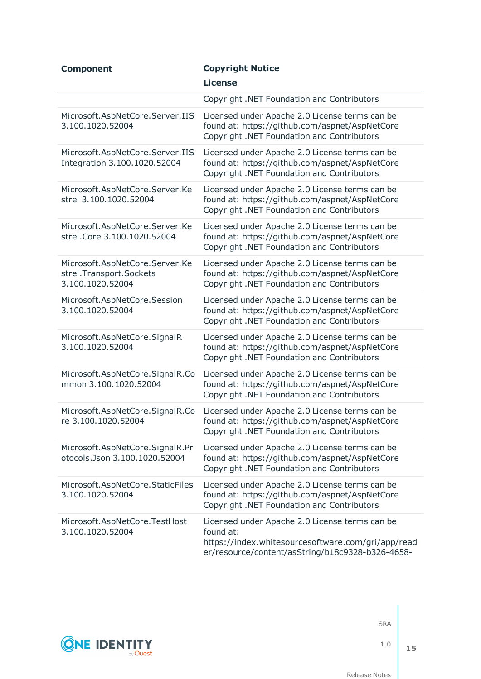| <b>Component</b>                                                              | <b>Copyright Notice</b>                                                                                                                                               |
|-------------------------------------------------------------------------------|-----------------------------------------------------------------------------------------------------------------------------------------------------------------------|
|                                                                               | <b>License</b>                                                                                                                                                        |
|                                                                               | Copyright .NET Foundation and Contributors                                                                                                                            |
| Microsoft.AspNetCore.Server.IIS<br>3.100.1020.52004                           | Licensed under Apache 2.0 License terms can be<br>found at: https://github.com/aspnet/AspNetCore<br>Copyright .NET Foundation and Contributors                        |
| Microsoft.AspNetCore.Server.IIS<br>Integration 3.100.1020.52004               | Licensed under Apache 2.0 License terms can be<br>found at: https://github.com/aspnet/AspNetCore<br>Copyright .NET Foundation and Contributors                        |
| Microsoft.AspNetCore.Server.Ke<br>strel 3.100.1020.52004                      | Licensed under Apache 2.0 License terms can be<br>found at: https://github.com/aspnet/AspNetCore<br>Copyright .NET Foundation and Contributors                        |
| Microsoft.AspNetCore.Server.Ke<br>strel.Core 3.100.1020.52004                 | Licensed under Apache 2.0 License terms can be<br>found at: https://github.com/aspnet/AspNetCore<br>Copyright .NET Foundation and Contributors                        |
| Microsoft.AspNetCore.Server.Ke<br>strel.Transport.Sockets<br>3.100.1020.52004 | Licensed under Apache 2.0 License terms can be<br>found at: https://github.com/aspnet/AspNetCore<br>Copyright .NET Foundation and Contributors                        |
| Microsoft.AspNetCore.Session<br>3.100.1020.52004                              | Licensed under Apache 2.0 License terms can be<br>found at: https://github.com/aspnet/AspNetCore<br>Copyright .NET Foundation and Contributors                        |
| Microsoft.AspNetCore.SignalR<br>3.100.1020.52004                              | Licensed under Apache 2.0 License terms can be<br>found at: https://github.com/aspnet/AspNetCore<br>Copyright .NET Foundation and Contributors                        |
| Microsoft.AspNetCore.SignalR.Co<br>mmon 3.100.1020.52004                      | Licensed under Apache 2.0 License terms can be<br>found at: https://github.com/aspnet/AspNetCore<br>Copyright .NET Foundation and Contributors                        |
| Microsoft.AspNetCore.SignalR.Co<br>re 3.100.1020.52004                        | Licensed under Apache 2.0 License terms can be<br>found at: https://github.com/aspnet/AspNetCore<br>Copyright .NET Foundation and Contributors                        |
| Microsoft.AspNetCore.SignalR.Pr<br>otocols.Json 3.100.1020.52004              | Licensed under Apache 2.0 License terms can be<br>found at: https://github.com/aspnet/AspNetCore<br>Copyright .NET Foundation and Contributors                        |
| Microsoft.AspNetCore.StaticFiles<br>3.100.1020.52004                          | Licensed under Apache 2.0 License terms can be<br>found at: https://github.com/aspnet/AspNetCore<br>Copyright .NET Foundation and Contributors                        |
| Microsoft.AspNetCore.TestHost<br>3.100.1020.52004                             | Licensed under Apache 2.0 License terms can be<br>found at:<br>https://index.whitesourcesoftware.com/gri/app/read<br>er/resource/content/asString/b18c9328-b326-4658- |



1.0 **15**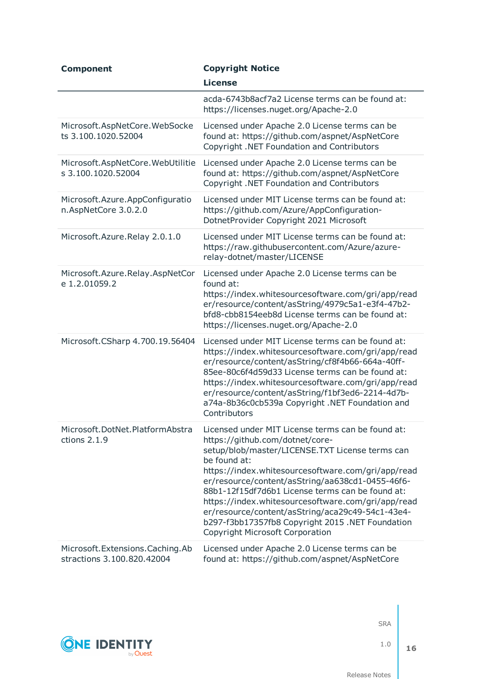| <b>Component</b>                                                 | <b>Copyright Notice</b>                                                                                                                                                                                                                                                                                                                                                                                                                                                                                                |
|------------------------------------------------------------------|------------------------------------------------------------------------------------------------------------------------------------------------------------------------------------------------------------------------------------------------------------------------------------------------------------------------------------------------------------------------------------------------------------------------------------------------------------------------------------------------------------------------|
|                                                                  | <b>License</b>                                                                                                                                                                                                                                                                                                                                                                                                                                                                                                         |
|                                                                  | acda-6743b8acf7a2 License terms can be found at:<br>https://licenses.nuget.org/Apache-2.0                                                                                                                                                                                                                                                                                                                                                                                                                              |
| Microsoft.AspNetCore.WebSocke<br>ts 3.100.1020.52004             | Licensed under Apache 2.0 License terms can be<br>found at: https://github.com/aspnet/AspNetCore<br>Copyright .NET Foundation and Contributors                                                                                                                                                                                                                                                                                                                                                                         |
| Microsoft.AspNetCore.WebUtilitie<br>s 3.100.1020.52004           | Licensed under Apache 2.0 License terms can be<br>found at: https://github.com/aspnet/AspNetCore<br>Copyright .NET Foundation and Contributors                                                                                                                                                                                                                                                                                                                                                                         |
| Microsoft.Azure.AppConfiguratio<br>n.AspNetCore 3.0.2.0          | Licensed under MIT License terms can be found at:<br>https://github.com/Azure/AppConfiguration-<br>DotnetProvider Copyright 2021 Microsoft                                                                                                                                                                                                                                                                                                                                                                             |
| Microsoft.Azure.Relay 2.0.1.0                                    | Licensed under MIT License terms can be found at:<br>https://raw.githubusercontent.com/Azure/azure-<br>relay-dotnet/master/LICENSE                                                                                                                                                                                                                                                                                                                                                                                     |
| Microsoft.Azure.Relay.AspNetCor<br>e 1.2.01059.2                 | Licensed under Apache 2.0 License terms can be<br>found at:<br>https://index.whitesourcesoftware.com/gri/app/read<br>er/resource/content/asString/4979c5a1-e3f4-47b2-<br>bfd8-cbb8154eeb8d License terms can be found at:<br>https://licenses.nuget.org/Apache-2.0                                                                                                                                                                                                                                                     |
| Microsoft.CSharp 4.700.19.56404                                  | Licensed under MIT License terms can be found at:<br>https://index.whitesourcesoftware.com/gri/app/read<br>er/resource/content/asString/cf8f4b66-664a-40ff-<br>85ee-80c6f4d59d33 License terms can be found at:<br>https://index.whitesourcesoftware.com/gri/app/read<br>er/resource/content/asString/f1bf3ed6-2214-4d7b-<br>a74a-8b36c0cb539a Copyright .NET Foundation and<br>Contributors                                                                                                                           |
| Microsoft.DotNet.PlatformAbstra<br>ctions $2.1.9$                | Licensed under MIT License terms can be found at:<br>https://github.com/dotnet/core-<br>setup/blob/master/LICENSE.TXT License terms can<br>be found at:<br>https://index.whitesourcesoftware.com/gri/app/read<br>er/resource/content/asString/aa638cd1-0455-46f6-<br>88b1-12f15df7d6b1 License terms can be found at:<br>https://index.whitesourcesoftware.com/gri/app/read<br>er/resource/content/asString/aca29c49-54c1-43e4-<br>b297-f3bb17357fb8 Copyright 2015 .NET Foundation<br>Copyright Microsoft Corporation |
| Microsoft. Extensions. Caching. Ab<br>stractions 3.100.820.42004 | Licensed under Apache 2.0 License terms can be<br>found at: https://github.com/aspnet/AspNetCore                                                                                                                                                                                                                                                                                                                                                                                                                       |



1.0

Release Notes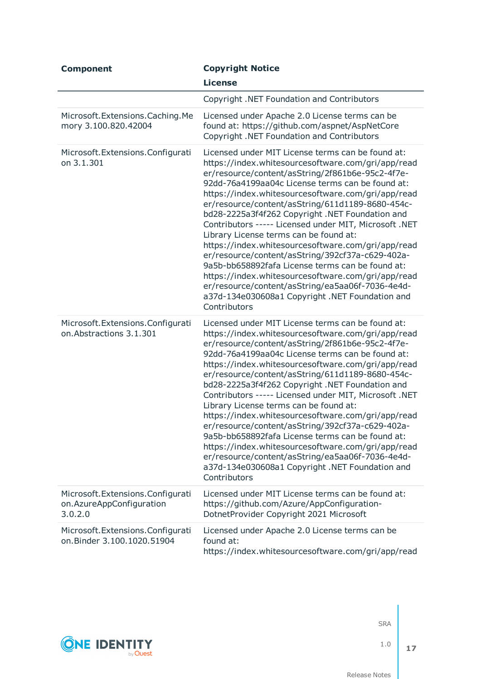| <b>Component</b>                                                          | <b>Copyright Notice</b>                                                                                                                                                                                                                                                                                                                                                                                                                                                                                                                                                                                                                                                                                                                                                                                                    |
|---------------------------------------------------------------------------|----------------------------------------------------------------------------------------------------------------------------------------------------------------------------------------------------------------------------------------------------------------------------------------------------------------------------------------------------------------------------------------------------------------------------------------------------------------------------------------------------------------------------------------------------------------------------------------------------------------------------------------------------------------------------------------------------------------------------------------------------------------------------------------------------------------------------|
|                                                                           | <b>License</b>                                                                                                                                                                                                                                                                                                                                                                                                                                                                                                                                                                                                                                                                                                                                                                                                             |
|                                                                           | Copyright .NET Foundation and Contributors                                                                                                                                                                                                                                                                                                                                                                                                                                                                                                                                                                                                                                                                                                                                                                                 |
| Microsoft. Extensions. Caching. Me<br>mory 3.100.820.42004                | Licensed under Apache 2.0 License terms can be<br>found at: https://github.com/aspnet/AspNetCore<br>Copyright .NET Foundation and Contributors                                                                                                                                                                                                                                                                                                                                                                                                                                                                                                                                                                                                                                                                             |
| Microsoft. Extensions. Configurati<br>on 3.1.301                          | Licensed under MIT License terms can be found at:<br>https://index.whitesourcesoftware.com/gri/app/read<br>er/resource/content/asString/2f861b6e-95c2-4f7e-<br>92dd-76a4199aa04c License terms can be found at:<br>https://index.whitesourcesoftware.com/gri/app/read<br>er/resource/content/asString/611d1189-8680-454c-<br>bd28-2225a3f4f262 Copyright .NET Foundation and<br>Contributors ----- Licensed under MIT, Microsoft .NET<br>Library License terms can be found at:<br>https://index.whitesourcesoftware.com/gri/app/read<br>er/resource/content/asString/392cf37a-c629-402a-<br>9a5b-bb658892fafa License terms can be found at:<br>https://index.whitesourcesoftware.com/gri/app/read<br>er/resource/content/asString/ea5aa06f-7036-4e4d-<br>a37d-134e030608a1 Copyright .NET Foundation and<br>Contributors |
| Microsoft. Extensions. Configurati<br>on. Abstractions 3.1.301            | Licensed under MIT License terms can be found at:<br>https://index.whitesourcesoftware.com/gri/app/read<br>er/resource/content/asString/2f861b6e-95c2-4f7e-<br>92dd-76a4199aa04c License terms can be found at:<br>https://index.whitesourcesoftware.com/gri/app/read<br>er/resource/content/asString/611d1189-8680-454c-<br>bd28-2225a3f4f262 Copyright .NET Foundation and<br>Contributors ----- Licensed under MIT, Microsoft .NET<br>Library License terms can be found at:<br>https://index.whitesourcesoftware.com/gri/app/read<br>er/resource/content/asString/392cf37a-c629-402a-<br>9a5b-bb658892fafa License terms can be found at:<br>https://index.whitesourcesoftware.com/gri/app/read<br>er/resource/content/asString/ea5aa06f-7036-4e4d-<br>a37d-134e030608a1 Copyright .NET Foundation and<br>Contributors |
| Microsoft. Extensions. Configurati<br>on.AzureAppConfiguration<br>3.0.2.0 | Licensed under MIT License terms can be found at:<br>https://github.com/Azure/AppConfiguration-<br>DotnetProvider Copyright 2021 Microsoft                                                                                                                                                                                                                                                                                                                                                                                                                                                                                                                                                                                                                                                                                 |
| Microsoft. Extensions. Configurati<br>on.Binder 3.100.1020.51904          | Licensed under Apache 2.0 License terms can be<br>found at:<br>https://index.whitesourcesoftware.com/gri/app/read                                                                                                                                                                                                                                                                                                                                                                                                                                                                                                                                                                                                                                                                                                          |



1.0

**17**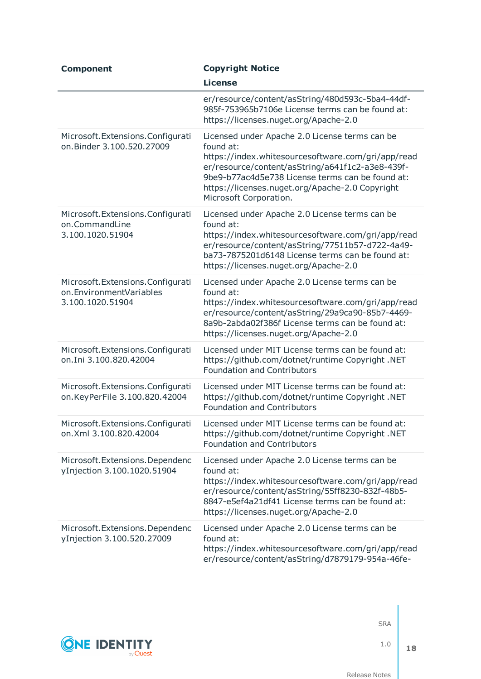| <b>Component</b>                                                                  | <b>Copyright Notice</b>                                                                                                                                                                                                                                                                                |
|-----------------------------------------------------------------------------------|--------------------------------------------------------------------------------------------------------------------------------------------------------------------------------------------------------------------------------------------------------------------------------------------------------|
|                                                                                   | <b>License</b>                                                                                                                                                                                                                                                                                         |
|                                                                                   | er/resource/content/asString/480d593c-5ba4-44df-<br>985f-753965b7106e License terms can be found at:<br>https://licenses.nuget.org/Apache-2.0                                                                                                                                                          |
| Microsoft. Extensions. Configurati<br>on.Binder 3.100.520.27009                   | Licensed under Apache 2.0 License terms can be<br>found at:<br>https://index.whitesourcesoftware.com/gri/app/read<br>er/resource/content/asString/a641f1c2-a3e8-439f-<br>9be9-b77ac4d5e738 License terms can be found at:<br>https://licenses.nuget.org/Apache-2.0 Copyright<br>Microsoft Corporation. |
| Microsoft. Extensions. Configurati<br>on.CommandLine<br>3.100.1020.51904          | Licensed under Apache 2.0 License terms can be<br>found at:<br>https://index.whitesourcesoftware.com/gri/app/read<br>er/resource/content/asString/77511b57-d722-4a49-<br>ba73-7875201d6148 License terms can be found at:<br>https://licenses.nuget.org/Apache-2.0                                     |
| Microsoft. Extensions. Configurati<br>on.EnvironmentVariables<br>3.100.1020.51904 | Licensed under Apache 2.0 License terms can be<br>found at:<br>https://index.whitesourcesoftware.com/gri/app/read<br>er/resource/content/asString/29a9ca90-85b7-4469-<br>8a9b-2abda02f386f License terms can be found at:<br>https://licenses.nuget.org/Apache-2.0                                     |
| Microsoft. Extensions. Configurati<br>on.Ini 3.100.820.42004                      | Licensed under MIT License terms can be found at:<br>https://github.com/dotnet/runtime Copyright .NET<br><b>Foundation and Contributors</b>                                                                                                                                                            |
| Microsoft. Extensions. Configurati<br>on.KeyPerFile 3.100.820.42004               | Licensed under MIT License terms can be found at:<br>https://github.com/dotnet/runtime Copyright .NET<br><b>Foundation and Contributors</b>                                                                                                                                                            |
| Microsoft. Extensions. Configurati<br>on.Xml 3.100.820.42004                      | Licensed under MIT License terms can be found at:<br>https://github.com/dotnet/runtime Copyright .NET<br><b>Foundation and Contributors</b>                                                                                                                                                            |
| Microsoft. Extensions. Dependenc<br>yInjection 3.100.1020.51904                   | Licensed under Apache 2.0 License terms can be<br>found at:<br>https://index.whitesourcesoftware.com/gri/app/read<br>er/resource/content/asString/55ff8230-832f-48b5-<br>8847-e5ef4a21df41 License terms can be found at:<br>https://licenses.nuget.org/Apache-2.0                                     |
| Microsoft. Extensions. Dependenc<br>yInjection 3.100.520.27009                    | Licensed under Apache 2.0 License terms can be<br>found at:<br>https://index.whitesourcesoftware.com/gri/app/read<br>er/resource/content/asString/d7879179-954a-46fe-                                                                                                                                  |

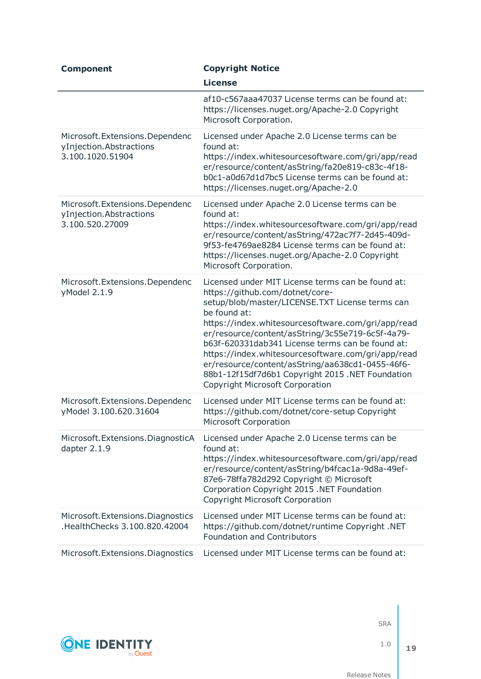| <b>Component</b>                                                                | <b>Copyright Notice</b>                                                                                                                                                                                                                                                                                                                                                                                                                                                                                                       |
|---------------------------------------------------------------------------------|-------------------------------------------------------------------------------------------------------------------------------------------------------------------------------------------------------------------------------------------------------------------------------------------------------------------------------------------------------------------------------------------------------------------------------------------------------------------------------------------------------------------------------|
|                                                                                 | <b>License</b>                                                                                                                                                                                                                                                                                                                                                                                                                                                                                                                |
|                                                                                 | af10-c567aaa47037 License terms can be found at:<br>https://licenses.nuget.org/Apache-2.0 Copyright<br>Microsoft Corporation.                                                                                                                                                                                                                                                                                                                                                                                                 |
| Microsoft. Extensions. Dependenc<br>yInjection.Abstractions<br>3.100.1020.51904 | Licensed under Apache 2.0 License terms can be<br>found at:<br>https://index.whitesourcesoftware.com/gri/app/read<br>er/resource/content/asString/fa20e819-c83c-4f18-<br>b0c1-a0d67d1d7bc5 License terms can be found at:<br>https://licenses.nuget.org/Apache-2.0                                                                                                                                                                                                                                                            |
| Microsoft. Extensions. Dependenc<br>yInjection.Abstractions<br>3.100.520.27009  | Licensed under Apache 2.0 License terms can be<br>found at:<br>https://index.whitesourcesoftware.com/gri/app/read<br>er/resource/content/asString/472ac7f7-2d45-409d-<br>9f53-fe4769ae8284 License terms can be found at:<br>https://licenses.nuget.org/Apache-2.0 Copyright<br>Microsoft Corporation.                                                                                                                                                                                                                        |
| Microsoft. Extensions. Dependenc<br>yModel 2.1.9                                | Licensed under MIT License terms can be found at:<br>https://github.com/dotnet/core-<br>setup/blob/master/LICENSE.TXT License terms can<br>be found at:<br>https://index.whitesourcesoftware.com/gri/app/read<br>er/resource/content/asString/3c55e719-6c5f-4a79-<br>b63f-620331dab341 License terms can be found at:<br>https://index.whitesourcesoftware.com/gri/app/read<br>er/resource/content/asString/aa638cd1-0455-46f6-<br>88b1-12f15df7d6b1 Copyright 2015 .NET Foundation<br><b>Copyright Microsoft Corporation</b> |
| Microsoft. Extensions. Dependenc<br>yModel 3.100.620.31604                      | Licensed under MIT License terms can be found at:<br>https://github.com/dotnet/core-setup Copyright<br><b>Microsoft Corporation</b>                                                                                                                                                                                                                                                                                                                                                                                           |
| Microsoft. Extensions. DiagnosticA<br>dapter 2.1.9                              | Licensed under Apache 2.0 License terms can be<br>found at:<br>https://index.whitesourcesoftware.com/gri/app/read<br>er/resource/content/asString/b4fcac1a-9d8a-49ef-<br>87e6-78ffa782d292 Copyright © Microsoft<br>Corporation Copyright 2015 .NET Foundation<br><b>Copyright Microsoft Corporation</b>                                                                                                                                                                                                                      |
| Microsoft. Extensions. Diagnostics<br>HealthChecks 3.100.820.42004              | Licensed under MIT License terms can be found at:<br>https://github.com/dotnet/runtime Copyright .NET<br><b>Foundation and Contributors</b>                                                                                                                                                                                                                                                                                                                                                                                   |
| Microsoft. Extensions. Diagnostics                                              | Licensed under MIT License terms can be found at:                                                                                                                                                                                                                                                                                                                                                                                                                                                                             |



1.0

**19**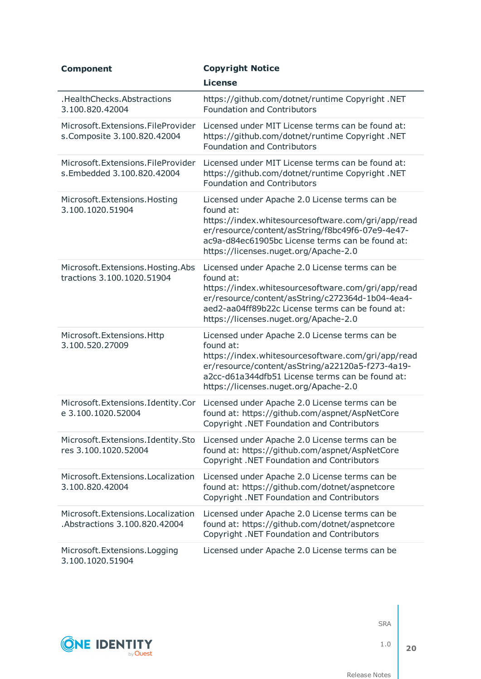| <b>Component</b>                                                    | <b>Copyright Notice</b>                                                                                                                                                                                                                                            |
|---------------------------------------------------------------------|--------------------------------------------------------------------------------------------------------------------------------------------------------------------------------------------------------------------------------------------------------------------|
|                                                                     | <b>License</b>                                                                                                                                                                                                                                                     |
| .HealthChecks.Abstractions<br>3.100.820.42004                       | https://github.com/dotnet/runtime Copyright .NET<br><b>Foundation and Contributors</b>                                                                                                                                                                             |
| Microsoft. Extensions. FileProvider<br>s.Composite 3.100.820.42004  | Licensed under MIT License terms can be found at:<br>https://github.com/dotnet/runtime Copyright .NET<br><b>Foundation and Contributors</b>                                                                                                                        |
| Microsoft. Extensions. File Provider<br>s.Embedded 3.100.820.42004  | Licensed under MIT License terms can be found at:<br>https://github.com/dotnet/runtime Copyright .NET<br><b>Foundation and Contributors</b>                                                                                                                        |
| Microsoft.Extensions.Hosting<br>3.100.1020.51904                    | Licensed under Apache 2.0 License terms can be<br>found at:<br>https://index.whitesourcesoftware.com/gri/app/read<br>er/resource/content/asString/f8bc49f6-07e9-4e47-<br>ac9a-d84ec61905bc License terms can be found at:<br>https://licenses.nuget.org/Apache-2.0 |
| Microsoft. Extensions. Hosting. Abs<br>tractions 3.100.1020.51904   | Licensed under Apache 2.0 License terms can be<br>found at:<br>https://index.whitesourcesoftware.com/gri/app/read<br>er/resource/content/asString/c272364d-1b04-4ea4-<br>aed2-aa04ff89b22c License terms can be found at:<br>https://licenses.nuget.org/Apache-2.0 |
| Microsoft. Extensions. Http<br>3.100.520.27009                      | Licensed under Apache 2.0 License terms can be<br>found at:<br>https://index.whitesourcesoftware.com/gri/app/read<br>er/resource/content/asString/a22120a5-f273-4a19-<br>a2cc-d61a344dfb51 License terms can be found at:<br>https://licenses.nuget.org/Apache-2.0 |
| Microsoft.Extensions.Identity.Cor<br>e 3.100.1020.52004             | Licensed under Apache 2.0 License terms can be<br>found at: https://github.com/aspnet/AspNetCore<br>Copyright .NET Foundation and Contributors                                                                                                                     |
| Microsoft.Extensions.Identity.Sto<br>res 3.100.1020.52004           | Licensed under Apache 2.0 License terms can be<br>found at: https://github.com/aspnet/AspNetCore<br>Copyright .NET Foundation and Contributors                                                                                                                     |
| Microsoft. Extensions. Localization<br>3.100.820.42004              | Licensed under Apache 2.0 License terms can be<br>found at: https://github.com/dotnet/aspnetcore<br>Copyright .NET Foundation and Contributors                                                                                                                     |
| Microsoft. Extensions. Localization<br>Abstractions 3.100.820.42004 | Licensed under Apache 2.0 License terms can be<br>found at: https://github.com/dotnet/aspnetcore<br>Copyright .NET Foundation and Contributors                                                                                                                     |
| Microsoft. Extensions. Logging<br>3.100.1020.51904                  | Licensed under Apache 2.0 License terms can be                                                                                                                                                                                                                     |



1.0

**20**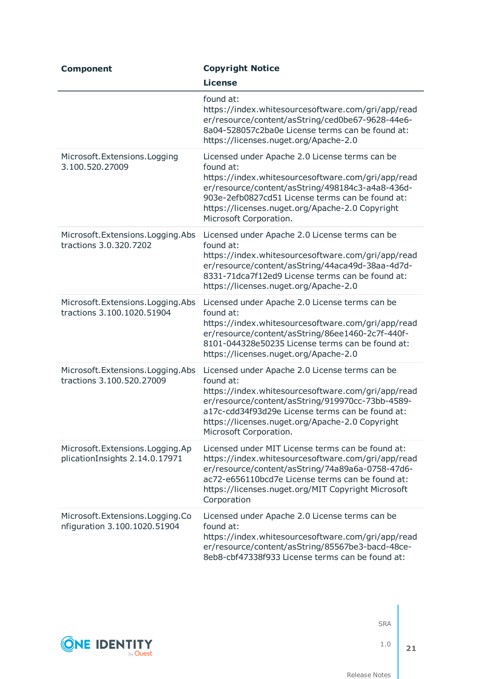| <b>Component</b>                                                     | <b>Copyright Notice</b>                                                                                                                                                                                                                                                                                |
|----------------------------------------------------------------------|--------------------------------------------------------------------------------------------------------------------------------------------------------------------------------------------------------------------------------------------------------------------------------------------------------|
|                                                                      | <b>License</b>                                                                                                                                                                                                                                                                                         |
|                                                                      | found at:<br>https://index.whitesourcesoftware.com/gri/app/read<br>er/resource/content/asString/ced0be67-9628-44e6-<br>8a04-528057c2ba0e License terms can be found at:<br>https://licenses.nuget.org/Apache-2.0                                                                                       |
| Microsoft.Extensions.Logging<br>3.100.520.27009                      | Licensed under Apache 2.0 License terms can be<br>found at:<br>https://index.whitesourcesoftware.com/gri/app/read<br>er/resource/content/asString/498184c3-a4a8-436d-<br>903e-2efb0827cd51 License terms can be found at:<br>https://licenses.nuget.org/Apache-2.0 Copyright<br>Microsoft Corporation. |
| Microsoft. Extensions. Logging. Abs<br>tractions 3.0.320.7202        | Licensed under Apache 2.0 License terms can be<br>found at:<br>https://index.whitesourcesoftware.com/gri/app/read<br>er/resource/content/asString/44aca49d-38aa-4d7d-<br>8331-71dca7f12ed9 License terms can be found at:<br>https://licenses.nuget.org/Apache-2.0                                     |
| Microsoft.Extensions.Logging.Abs<br>tractions 3.100.1020.51904       | Licensed under Apache 2.0 License terms can be<br>found at:<br>https://index.whitesourcesoftware.com/gri/app/read<br>er/resource/content/asString/86ee1460-2c7f-440f-<br>8101-044328e50235 License terms can be found at:<br>https://licenses.nuget.org/Apache-2.0                                     |
| Microsoft. Extensions. Logging. Abs<br>tractions 3.100.520.27009     | Licensed under Apache 2.0 License terms can be<br>found at:<br>https://index.whitesourcesoftware.com/gri/app/read<br>er/resource/content/asString/919970cc-73bb-4589-<br>a17c-cdd34f93d29e License terms can be found at:<br>https://licenses.nuget.org/Apache-2.0 Copyright<br>Microsoft Corporation. |
| Microsoft. Extensions. Logging. Ap<br>plicationInsights 2.14.0.17971 | Licensed under MIT License terms can be found at:<br>https://index.whitesourcesoftware.com/gri/app/read<br>er/resource/content/asString/74a89a6a-0758-47d6-<br>ac72-e656110bcd7e License terms can be found at:<br>https://licenses.nuget.org/MIT Copyright Microsoft<br>Corporation                   |
| Microsoft.Extensions.Logging.Co<br>nfiguration 3.100.1020.51904      | Licensed under Apache 2.0 License terms can be<br>found at:<br>https://index.whitesourcesoftware.com/gri/app/read<br>er/resource/content/asString/85567be3-bacd-48ce-<br>8eb8-cbf47338f933 License terms can be found at:                                                                              |



1.0

**21**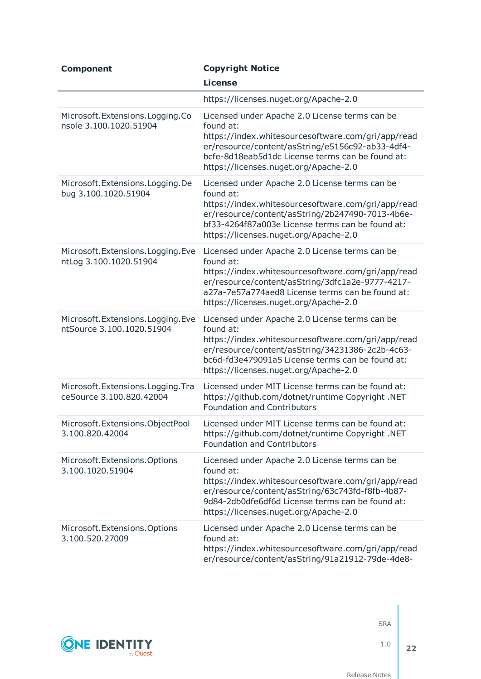| <b>Component</b>                                                | <b>Copyright Notice</b>                                                                                                                                                                                                                                            |
|-----------------------------------------------------------------|--------------------------------------------------------------------------------------------------------------------------------------------------------------------------------------------------------------------------------------------------------------------|
|                                                                 | <b>License</b>                                                                                                                                                                                                                                                     |
|                                                                 | https://licenses.nuget.org/Apache-2.0                                                                                                                                                                                                                              |
| Microsoft.Extensions.Logging.Co<br>nsole 3.100.1020.51904       | Licensed under Apache 2.0 License terms can be<br>found at:<br>https://index.whitesourcesoftware.com/gri/app/read<br>er/resource/content/asString/e5156c92-ab33-4df4-<br>bcfe-8d18eab5d1dc License terms can be found at:<br>https://licenses.nuget.org/Apache-2.0 |
| Microsoft. Extensions. Logging. De<br>bug 3.100.1020.51904      | Licensed under Apache 2.0 License terms can be<br>found at:<br>https://index.whitesourcesoftware.com/gri/app/read<br>er/resource/content/asString/2b247490-7013-4b6e-<br>bf33-4264f87a003e License terms can be found at:<br>https://licenses.nuget.org/Apache-2.0 |
| Microsoft.Extensions.Logging.Eve<br>ntLog 3.100.1020.51904      | Licensed under Apache 2.0 License terms can be<br>found at:<br>https://index.whitesourcesoftware.com/gri/app/read<br>er/resource/content/asString/3dfc1a2e-9777-4217-<br>a27a-7e57a774aed8 License terms can be found at:<br>https://licenses.nuget.org/Apache-2.0 |
| Microsoft.Extensions.Logging.Eve<br>ntSource 3.100.1020.51904   | Licensed under Apache 2.0 License terms can be<br>found at:<br>https://index.whitesourcesoftware.com/gri/app/read<br>er/resource/content/asString/34231386-2c2b-4c63-<br>bc6d-fd3e479091a5 License terms can be found at:<br>https://licenses.nuget.org/Apache-2.0 |
| Microsoft. Extensions. Logging. Tra<br>ceSource 3.100.820.42004 | Licensed under MIT License terms can be found at:<br>https://github.com/dotnet/runtime Copyright .NET<br><b>Foundation and Contributors</b>                                                                                                                        |
| 3.100.820.42004                                                 | Microsoft. Extensions. ObjectPool Licensed under MIT License terms can be found at:<br>https://github.com/dotnet/runtime Copyright .NET<br><b>Foundation and Contributors</b>                                                                                      |
| Microsoft.Extensions.Options<br>3.100.1020.51904                | Licensed under Apache 2.0 License terms can be<br>found at:<br>https://index.whitesourcesoftware.com/gri/app/read<br>er/resource/content/asString/63c743fd-f8fb-4b87-<br>9d84-2db0dfe6df6d License terms can be found at:<br>https://licenses.nuget.org/Apache-2.0 |
| Microsoft. Extensions. Options<br>3.100.520.27009               | Licensed under Apache 2.0 License terms can be<br>found at:<br>https://index.whitesourcesoftware.com/gri/app/read<br>er/resource/content/asString/91a21912-79de-4de8-                                                                                              |

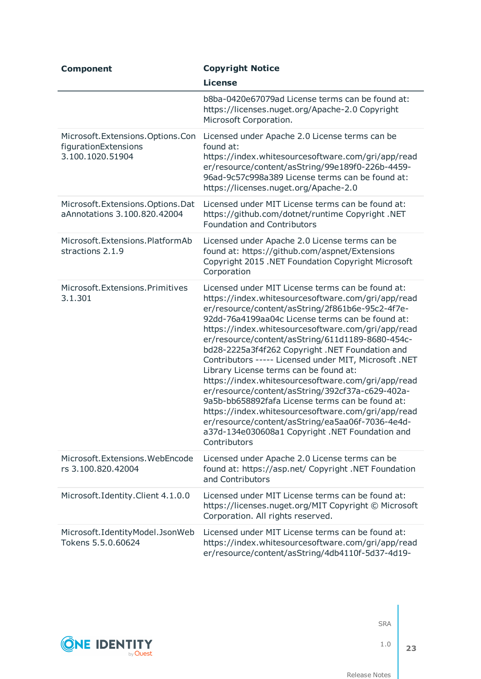| <b>Component</b>                                                                | <b>Copyright Notice</b>                                                                                                                                                                                                                                                                                                                                                                                                                                                                                                                                                                                                                                                                                                                                                                                                    |
|---------------------------------------------------------------------------------|----------------------------------------------------------------------------------------------------------------------------------------------------------------------------------------------------------------------------------------------------------------------------------------------------------------------------------------------------------------------------------------------------------------------------------------------------------------------------------------------------------------------------------------------------------------------------------------------------------------------------------------------------------------------------------------------------------------------------------------------------------------------------------------------------------------------------|
|                                                                                 | <b>License</b>                                                                                                                                                                                                                                                                                                                                                                                                                                                                                                                                                                                                                                                                                                                                                                                                             |
|                                                                                 | b8ba-0420e67079ad License terms can be found at:<br>https://licenses.nuget.org/Apache-2.0 Copyright<br>Microsoft Corporation.                                                                                                                                                                                                                                                                                                                                                                                                                                                                                                                                                                                                                                                                                              |
| Microsoft. Extensions. Options. Con<br>figurationExtensions<br>3.100.1020.51904 | Licensed under Apache 2.0 License terms can be<br>found at:<br>https://index.whitesourcesoftware.com/gri/app/read<br>er/resource/content/asString/99e189f0-226b-4459-<br>96ad-9c57c998a389 License terms can be found at:<br>https://licenses.nuget.org/Apache-2.0                                                                                                                                                                                                                                                                                                                                                                                                                                                                                                                                                         |
| Microsoft. Extensions. Options. Dat<br>aAnnotations 3.100.820.42004             | Licensed under MIT License terms can be found at:<br>https://github.com/dotnet/runtime Copyright .NET<br><b>Foundation and Contributors</b>                                                                                                                                                                                                                                                                                                                                                                                                                                                                                                                                                                                                                                                                                |
| Microsoft.Extensions.PlatformAb<br>stractions 2.1.9                             | Licensed under Apache 2.0 License terms can be<br>found at: https://github.com/aspnet/Extensions<br>Copyright 2015 .NET Foundation Copyright Microsoft<br>Corporation                                                                                                                                                                                                                                                                                                                                                                                                                                                                                                                                                                                                                                                      |
| Microsoft.Extensions.Primitives<br>3.1.301                                      | Licensed under MIT License terms can be found at:<br>https://index.whitesourcesoftware.com/gri/app/read<br>er/resource/content/asString/2f861b6e-95c2-4f7e-<br>92dd-76a4199aa04c License terms can be found at:<br>https://index.whitesourcesoftware.com/gri/app/read<br>er/resource/content/asString/611d1189-8680-454c-<br>bd28-2225a3f4f262 Copyright .NET Foundation and<br>Contributors ----- Licensed under MIT, Microsoft .NET<br>Library License terms can be found at:<br>https://index.whitesourcesoftware.com/gri/app/read<br>er/resource/content/asString/392cf37a-c629-402a-<br>9a5b-bb658892fafa License terms can be found at:<br>https://index.whitesourcesoftware.com/gri/app/read<br>er/resource/content/asString/ea5aa06f-7036-4e4d-<br>a37d-134e030608a1 Copyright .NET Foundation and<br>Contributors |
| Microsoft. Extensions. WebEncode<br>rs 3.100.820.42004                          | Licensed under Apache 2.0 License terms can be<br>found at: https://asp.net/ Copyright .NET Foundation<br>and Contributors                                                                                                                                                                                                                                                                                                                                                                                                                                                                                                                                                                                                                                                                                                 |
| Microsoft.Identity.Client 4.1.0.0                                               | Licensed under MIT License terms can be found at:<br>https://licenses.nuget.org/MIT Copyright © Microsoft<br>Corporation. All rights reserved.                                                                                                                                                                                                                                                                                                                                                                                                                                                                                                                                                                                                                                                                             |
| Microsoft.IdentityModel.JsonWeb<br>Tokens 5.5.0.60624                           | Licensed under MIT License terms can be found at:<br>https://index.whitesourcesoftware.com/gri/app/read<br>er/resource/content/asString/4db4110f-5d37-4d19-                                                                                                                                                                                                                                                                                                                                                                                                                                                                                                                                                                                                                                                                |



1.0 **23**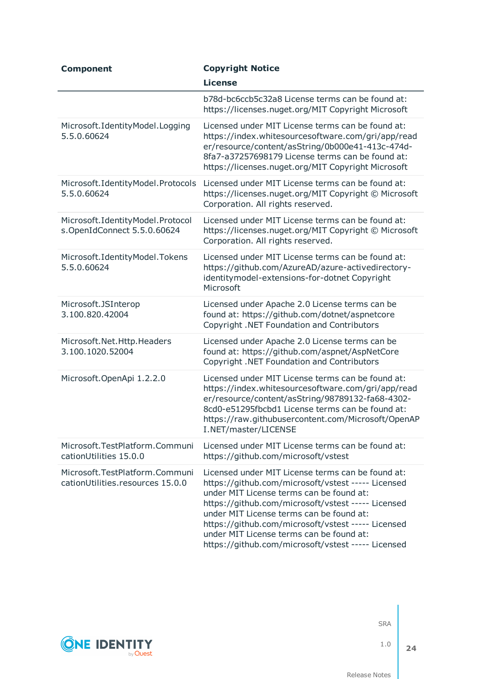| <b>Component</b>                                                   | <b>Copyright Notice</b>                                                                                                                                                                                                                                                                                                                                                                                       |
|--------------------------------------------------------------------|---------------------------------------------------------------------------------------------------------------------------------------------------------------------------------------------------------------------------------------------------------------------------------------------------------------------------------------------------------------------------------------------------------------|
|                                                                    | <b>License</b>                                                                                                                                                                                                                                                                                                                                                                                                |
|                                                                    | b78d-bc6ccb5c32a8 License terms can be found at:<br>https://licenses.nuget.org/MIT Copyright Microsoft                                                                                                                                                                                                                                                                                                        |
| Microsoft.IdentityModel.Logging<br>5.5.0.60624                     | Licensed under MIT License terms can be found at:<br>https://index.whitesourcesoftware.com/gri/app/read<br>er/resource/content/asString/0b000e41-413c-474d-<br>8fa7-a37257698179 License terms can be found at:<br>https://licenses.nuget.org/MIT Copyright Microsoft                                                                                                                                         |
| Microsoft.IdentityModel.Protocols<br>5.5.0.60624                   | Licensed under MIT License terms can be found at:<br>https://licenses.nuget.org/MIT Copyright © Microsoft<br>Corporation. All rights reserved.                                                                                                                                                                                                                                                                |
| Microsoft.IdentityModel.Protocol<br>s.OpenIdConnect 5.5.0.60624    | Licensed under MIT License terms can be found at:<br>https://licenses.nuget.org/MIT Copyright © Microsoft<br>Corporation. All rights reserved.                                                                                                                                                                                                                                                                |
| Microsoft.IdentityModel.Tokens<br>5.5.0.60624                      | Licensed under MIT License terms can be found at:<br>https://github.com/AzureAD/azure-activedirectory-<br>identitymodel-extensions-for-dotnet Copyright<br>Microsoft                                                                                                                                                                                                                                          |
| Microsoft.JSInterop<br>3.100.820.42004                             | Licensed under Apache 2.0 License terms can be<br>found at: https://github.com/dotnet/aspnetcore<br>Copyright .NET Foundation and Contributors                                                                                                                                                                                                                                                                |
| Microsoft.Net.Http.Headers<br>3.100.1020.52004                     | Licensed under Apache 2.0 License terms can be<br>found at: https://github.com/aspnet/AspNetCore<br>Copyright .NET Foundation and Contributors                                                                                                                                                                                                                                                                |
| Microsoft.OpenApi 1.2.2.0                                          | Licensed under MIT License terms can be found at:<br>https://index.whitesourcesoftware.com/gri/app/read<br>er/resource/content/asString/98789132-fa68-4302-<br>8cd0-e51295fbcbd1 License terms can be found at:<br>https://raw.githubusercontent.com/Microsoft/OpenAP<br>I.NET/master/LICENSE                                                                                                                 |
| Microsoft.TestPlatform.Communi<br>cationUtilities 15.0.0           | Licensed under MIT License terms can be found at:<br>https://github.com/microsoft/vstest                                                                                                                                                                                                                                                                                                                      |
| Microsoft.TestPlatform.Communi<br>cationUtilities.resources 15.0.0 | Licensed under MIT License terms can be found at:<br>https://github.com/microsoft/vstest ----- Licensed<br>under MIT License terms can be found at:<br>https://github.com/microsoft/vstest ----- Licensed<br>under MIT License terms can be found at:<br>https://github.com/microsoft/vstest ----- Licensed<br>under MIT License terms can be found at:<br>https://github.com/microsoft/vstest ----- Licensed |



1.0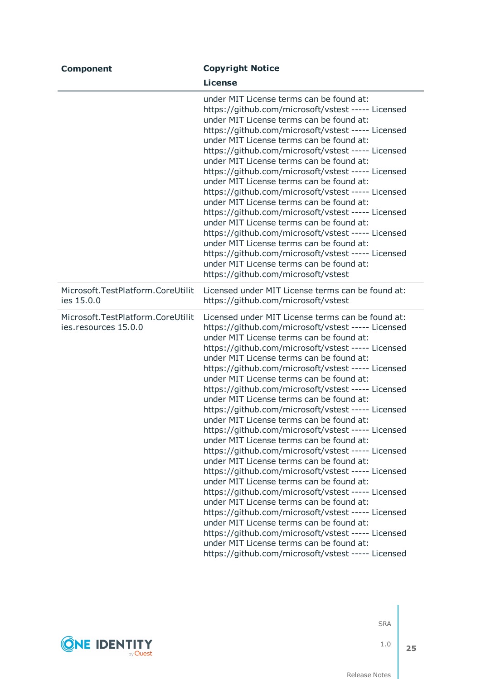| <b>Component</b>                                          | <b>Copyright Notice</b>                                                                                                                                                                                                                                                                                                                                                                                                                                                                                                                                                                                                                                                                                                                                                                                                                                                                                                                                                                                                                                                                                                                                                                                                       |
|-----------------------------------------------------------|-------------------------------------------------------------------------------------------------------------------------------------------------------------------------------------------------------------------------------------------------------------------------------------------------------------------------------------------------------------------------------------------------------------------------------------------------------------------------------------------------------------------------------------------------------------------------------------------------------------------------------------------------------------------------------------------------------------------------------------------------------------------------------------------------------------------------------------------------------------------------------------------------------------------------------------------------------------------------------------------------------------------------------------------------------------------------------------------------------------------------------------------------------------------------------------------------------------------------------|
|                                                           | <b>License</b>                                                                                                                                                                                                                                                                                                                                                                                                                                                                                                                                                                                                                                                                                                                                                                                                                                                                                                                                                                                                                                                                                                                                                                                                                |
|                                                           | under MIT License terms can be found at:<br>https://github.com/microsoft/vstest ----- Licensed<br>under MIT License terms can be found at:<br>https://github.com/microsoft/vstest ----- Licensed<br>under MIT License terms can be found at:<br>https://github.com/microsoft/vstest ----- Licensed<br>under MIT License terms can be found at:<br>https://github.com/microsoft/vstest ----- Licensed<br>under MIT License terms can be found at:<br>https://github.com/microsoft/vstest ----- Licensed<br>under MIT License terms can be found at:<br>https://github.com/microsoft/vstest ----- Licensed<br>under MIT License terms can be found at:<br>https://github.com/microsoft/vstest ----- Licensed<br>under MIT License terms can be found at:<br>https://github.com/microsoft/vstest ----- Licensed<br>under MIT License terms can be found at:<br>https://github.com/microsoft/vstest                                                                                                                                                                                                                                                                                                                               |
| Microsoft.TestPlatform.CoreUtilit<br>ies 15.0.0           | Licensed under MIT License terms can be found at:<br>https://github.com/microsoft/vstest                                                                                                                                                                                                                                                                                                                                                                                                                                                                                                                                                                                                                                                                                                                                                                                                                                                                                                                                                                                                                                                                                                                                      |
| Microsoft.TestPlatform.CoreUtilit<br>ies.resources 15.0.0 | Licensed under MIT License terms can be found at:<br>https://github.com/microsoft/vstest ----- Licensed<br>under MIT License terms can be found at:<br>https://github.com/microsoft/vstest ----- Licensed<br>under MIT License terms can be found at:<br>https://github.com/microsoft/vstest ----- Licensed<br>under MIT License terms can be found at:<br>https://github.com/microsoft/vstest ----- Licensed<br>under MIT License terms can be found at:<br>https://github.com/microsoft/vstest ----- Licensed<br>under MIT License terms can be found at:<br>https://github.com/microsoft/vstest ----- Licensed<br>under MIT License terms can be found at:<br>https://github.com/microsoft/vstest ----- Licensed<br>under MIT License terms can be found at:<br>https://github.com/microsoft/vstest ----- Licensed<br>under MIT License terms can be found at:<br>https://github.com/microsoft/vstest ----- Licensed<br>under MIT License terms can be found at:<br>https://github.com/microsoft/vstest ----- Licensed<br>under MIT License terms can be found at:<br>https://github.com/microsoft/vstest ----- Licensed<br>under MIT License terms can be found at:<br>https://github.com/microsoft/vstest ----- Licensed |

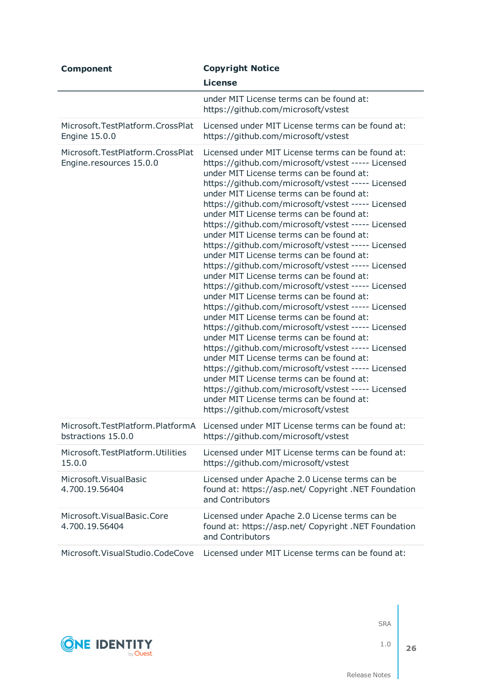| <b>Component</b>                                            | <b>Copyright Notice</b>                                                                                                                                                                                                                                                                                                                                                                                                                                                                                                                                                                                                                                                                                                                                                                                                                                                                                                                                                                                                                                                                                                                                                                                                                                                                                          |
|-------------------------------------------------------------|------------------------------------------------------------------------------------------------------------------------------------------------------------------------------------------------------------------------------------------------------------------------------------------------------------------------------------------------------------------------------------------------------------------------------------------------------------------------------------------------------------------------------------------------------------------------------------------------------------------------------------------------------------------------------------------------------------------------------------------------------------------------------------------------------------------------------------------------------------------------------------------------------------------------------------------------------------------------------------------------------------------------------------------------------------------------------------------------------------------------------------------------------------------------------------------------------------------------------------------------------------------------------------------------------------------|
|                                                             | <b>License</b>                                                                                                                                                                                                                                                                                                                                                                                                                                                                                                                                                                                                                                                                                                                                                                                                                                                                                                                                                                                                                                                                                                                                                                                                                                                                                                   |
|                                                             | under MIT License terms can be found at:<br>https://github.com/microsoft/vstest                                                                                                                                                                                                                                                                                                                                                                                                                                                                                                                                                                                                                                                                                                                                                                                                                                                                                                                                                                                                                                                                                                                                                                                                                                  |
| Microsoft.TestPlatform.CrossPlat<br>Engine 15.0.0           | Licensed under MIT License terms can be found at:<br>https://github.com/microsoft/vstest                                                                                                                                                                                                                                                                                                                                                                                                                                                                                                                                                                                                                                                                                                                                                                                                                                                                                                                                                                                                                                                                                                                                                                                                                         |
| Microsoft.TestPlatform.CrossPlat<br>Engine.resources 15.0.0 | Licensed under MIT License terms can be found at:<br>https://github.com/microsoft/vstest ----- Licensed<br>under MIT License terms can be found at:<br>https://github.com/microsoft/vstest ----- Licensed<br>under MIT License terms can be found at:<br>https://github.com/microsoft/vstest ----- Licensed<br>under MIT License terms can be found at:<br>https://github.com/microsoft/vstest ----- Licensed<br>under MIT License terms can be found at:<br>https://github.com/microsoft/vstest ----- Licensed<br>under MIT License terms can be found at:<br>https://github.com/microsoft/vstest ----- Licensed<br>under MIT License terms can be found at:<br>https://github.com/microsoft/vstest ----- Licensed<br>under MIT License terms can be found at:<br>https://github.com/microsoft/vstest ----- Licensed<br>under MIT License terms can be found at:<br>https://github.com/microsoft/vstest ----- Licensed<br>under MIT License terms can be found at:<br>https://github.com/microsoft/vstest ----- Licensed<br>under MIT License terms can be found at:<br>https://github.com/microsoft/vstest ----- Licensed<br>under MIT License terms can be found at:<br>https://github.com/microsoft/vstest ----- Licensed<br>under MIT License terms can be found at:<br>https://github.com/microsoft/vstest |
| Microsoft.TestPlatform.PlatformA<br>bstractions 15.0.0      | Licensed under MIT License terms can be found at:<br>https://github.com/microsoft/vstest                                                                                                                                                                                                                                                                                                                                                                                                                                                                                                                                                                                                                                                                                                                                                                                                                                                                                                                                                                                                                                                                                                                                                                                                                         |
| Microsoft.TestPlatform.Utilities<br>15.0.0                  | Licensed under MIT License terms can be found at:<br>https://github.com/microsoft/vstest                                                                                                                                                                                                                                                                                                                                                                                                                                                                                                                                                                                                                                                                                                                                                                                                                                                                                                                                                                                                                                                                                                                                                                                                                         |
| Microsoft. Visual Basic<br>4.700.19.56404                   | Licensed under Apache 2.0 License terms can be<br>found at: https://asp.net/ Copyright .NET Foundation<br>and Contributors                                                                                                                                                                                                                                                                                                                                                                                                                                                                                                                                                                                                                                                                                                                                                                                                                                                                                                                                                                                                                                                                                                                                                                                       |
| Microsoft. Visual Basic. Core<br>4.700.19.56404             | Licensed under Apache 2.0 License terms can be<br>found at: https://asp.net/ Copyright .NET Foundation<br>and Contributors                                                                                                                                                                                                                                                                                                                                                                                                                                                                                                                                                                                                                                                                                                                                                                                                                                                                                                                                                                                                                                                                                                                                                                                       |
| Microsoft. Visual Studio. CodeCove                          | Licensed under MIT License terms can be found at:                                                                                                                                                                                                                                                                                                                                                                                                                                                                                                                                                                                                                                                                                                                                                                                                                                                                                                                                                                                                                                                                                                                                                                                                                                                                |



1.0

**26**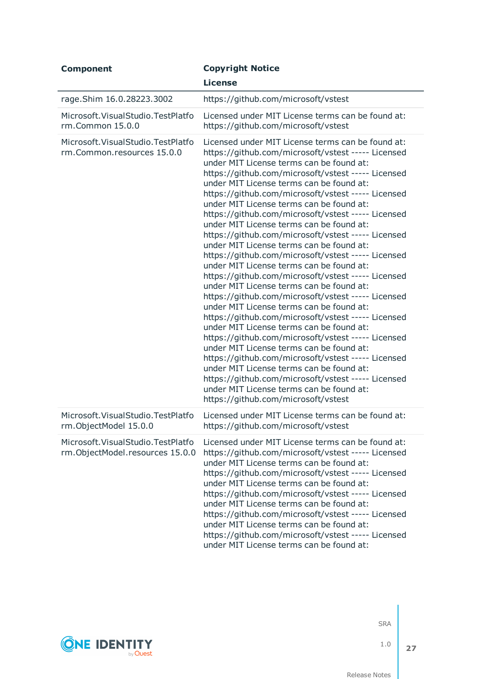| <b>Component</b>                                                         | <b>Copyright Notice</b><br><b>License</b>                                                                                                                                                                                                                                                                                                                                                                                                                                                                                                                                                                                                                                                                                                                                                                                                                                                                                                                                                                                                                                                                                                                                                                                                                                                                        |
|--------------------------------------------------------------------------|------------------------------------------------------------------------------------------------------------------------------------------------------------------------------------------------------------------------------------------------------------------------------------------------------------------------------------------------------------------------------------------------------------------------------------------------------------------------------------------------------------------------------------------------------------------------------------------------------------------------------------------------------------------------------------------------------------------------------------------------------------------------------------------------------------------------------------------------------------------------------------------------------------------------------------------------------------------------------------------------------------------------------------------------------------------------------------------------------------------------------------------------------------------------------------------------------------------------------------------------------------------------------------------------------------------|
| rage.Shim 16.0.28223.3002                                                | https://github.com/microsoft/vstest                                                                                                                                                                                                                                                                                                                                                                                                                                                                                                                                                                                                                                                                                                                                                                                                                                                                                                                                                                                                                                                                                                                                                                                                                                                                              |
| Microsoft. Visual Studio. Test Platfo<br>rm.Common 15.0.0                | Licensed under MIT License terms can be found at:<br>https://github.com/microsoft/vstest                                                                                                                                                                                                                                                                                                                                                                                                                                                                                                                                                                                                                                                                                                                                                                                                                                                                                                                                                                                                                                                                                                                                                                                                                         |
| Microsoft. Visual Studio. Test Platfo<br>rm.Common.resources 15.0.0      | Licensed under MIT License terms can be found at:<br>https://github.com/microsoft/vstest ----- Licensed<br>under MIT License terms can be found at:<br>https://github.com/microsoft/vstest ----- Licensed<br>under MIT License terms can be found at:<br>https://github.com/microsoft/vstest ----- Licensed<br>under MIT License terms can be found at:<br>https://github.com/microsoft/vstest ----- Licensed<br>under MIT License terms can be found at:<br>https://github.com/microsoft/vstest ----- Licensed<br>under MIT License terms can be found at:<br>https://github.com/microsoft/vstest ----- Licensed<br>under MIT License terms can be found at:<br>https://github.com/microsoft/vstest ----- Licensed<br>under MIT License terms can be found at:<br>https://github.com/microsoft/vstest ----- Licensed<br>under MIT License terms can be found at:<br>https://github.com/microsoft/vstest ----- Licensed<br>under MIT License terms can be found at:<br>https://github.com/microsoft/vstest ----- Licensed<br>under MIT License terms can be found at:<br>https://github.com/microsoft/vstest ----- Licensed<br>under MIT License terms can be found at:<br>https://github.com/microsoft/vstest ----- Licensed<br>under MIT License terms can be found at:<br>https://github.com/microsoft/vstest |
| Microsoft. Visual Studio. Test Platfo<br>rm.ObjectModel 15.0.0           | Licensed under MIT License terms can be found at:<br>https://github.com/microsoft/vstest                                                                                                                                                                                                                                                                                                                                                                                                                                                                                                                                                                                                                                                                                                                                                                                                                                                                                                                                                                                                                                                                                                                                                                                                                         |
| Microsoft. Visual Studio. Test Platfo<br>rm.ObjectModel.resources 15.0.0 | Licensed under MIT License terms can be found at:<br>https://github.com/microsoft/vstest ----- Licensed<br>under MIT License terms can be found at:<br>https://github.com/microsoft/vstest ----- Licensed<br>under MIT License terms can be found at:<br>https://github.com/microsoft/vstest ----- Licensed<br>under MIT License terms can be found at:<br>https://github.com/microsoft/vstest ----- Licensed<br>under MIT License terms can be found at:<br>https://github.com/microsoft/vstest ----- Licensed<br>under MIT License terms can be found at:                                                                                                                                                                                                                                                                                                                                                                                                                                                                                                                                                                                                                                                                                                                                                      |



1.0 **27**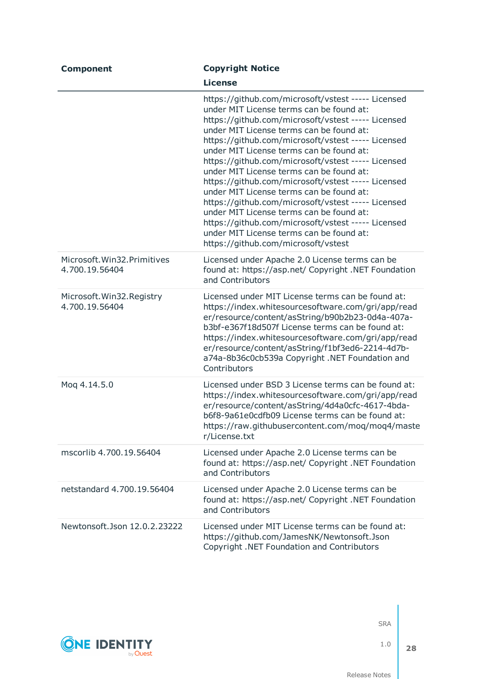| <b>Component</b>                               | <b>Copyright Notice</b>                                                                                                                                                                                                                                                                                                                                                                                                                                                                                                                                                                                                                                                                                                                           |
|------------------------------------------------|---------------------------------------------------------------------------------------------------------------------------------------------------------------------------------------------------------------------------------------------------------------------------------------------------------------------------------------------------------------------------------------------------------------------------------------------------------------------------------------------------------------------------------------------------------------------------------------------------------------------------------------------------------------------------------------------------------------------------------------------------|
|                                                | <b>License</b>                                                                                                                                                                                                                                                                                                                                                                                                                                                                                                                                                                                                                                                                                                                                    |
|                                                | https://github.com/microsoft/vstest ----- Licensed<br>under MIT License terms can be found at:<br>https://github.com/microsoft/vstest ----- Licensed<br>under MIT License terms can be found at:<br>https://github.com/microsoft/vstest ----- Licensed<br>under MIT License terms can be found at:<br>https://github.com/microsoft/vstest ----- Licensed<br>under MIT License terms can be found at:<br>https://github.com/microsoft/vstest ----- Licensed<br>under MIT License terms can be found at:<br>https://github.com/microsoft/vstest ----- Licensed<br>under MIT License terms can be found at:<br>https://github.com/microsoft/vstest ----- Licensed<br>under MIT License terms can be found at:<br>https://github.com/microsoft/vstest |
| Microsoft. Win32. Primitives<br>4.700.19.56404 | Licensed under Apache 2.0 License terms can be<br>found at: https://asp.net/ Copyright .NET Foundation<br>and Contributors                                                                                                                                                                                                                                                                                                                                                                                                                                                                                                                                                                                                                        |
| Microsoft. Win32. Registry<br>4.700.19.56404   | Licensed under MIT License terms can be found at:<br>https://index.whitesourcesoftware.com/gri/app/read<br>er/resource/content/asString/b90b2b23-0d4a-407a-<br>b3bf-e367f18d507f License terms can be found at:<br>https://index.whitesourcesoftware.com/gri/app/read<br>er/resource/content/asString/f1bf3ed6-2214-4d7b-<br>a74a-8b36c0cb539a Copyright .NET Foundation and<br>Contributors                                                                                                                                                                                                                                                                                                                                                      |
| Mog 4.14.5.0                                   | Licensed under BSD 3 License terms can be found at:<br>https://index.whitesourcesoftware.com/gri/app/read<br>er/resource/content/asString/4d4a0cfc-4617-4bda-<br>b6f8-9a61e0cdfb09 License terms can be found at:<br>https://raw.githubusercontent.com/moq/moq4/maste<br>r/License.txt                                                                                                                                                                                                                                                                                                                                                                                                                                                            |
| mscorlib 4.700.19.56404                        | Licensed under Apache 2.0 License terms can be<br>found at: https://asp.net/ Copyright .NET Foundation<br>and Contributors                                                                                                                                                                                                                                                                                                                                                                                                                                                                                                                                                                                                                        |
| netstandard 4.700.19.56404                     | Licensed under Apache 2.0 License terms can be<br>found at: https://asp.net/ Copyright .NET Foundation<br>and Contributors                                                                                                                                                                                                                                                                                                                                                                                                                                                                                                                                                                                                                        |
| Newtonsoft.Json 12.0.2.23222                   | Licensed under MIT License terms can be found at:<br>https://github.com/JamesNK/Newtonsoft.Json<br>Copyright .NET Foundation and Contributors                                                                                                                                                                                                                                                                                                                                                                                                                                                                                                                                                                                                     |



1.0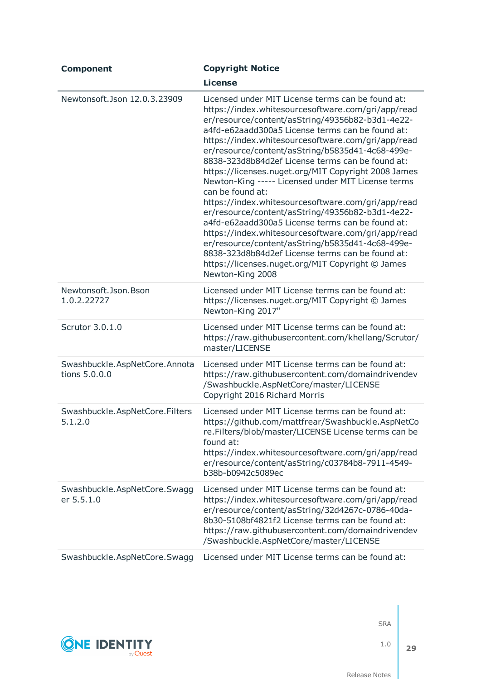| <b>Component</b>                               | <b>Copyright Notice</b>                                                                                                                                                                                                                                                                                                                                                                                                                                                                                                                                                                                                                                                                                                                                                                                                                                                                                            |
|------------------------------------------------|--------------------------------------------------------------------------------------------------------------------------------------------------------------------------------------------------------------------------------------------------------------------------------------------------------------------------------------------------------------------------------------------------------------------------------------------------------------------------------------------------------------------------------------------------------------------------------------------------------------------------------------------------------------------------------------------------------------------------------------------------------------------------------------------------------------------------------------------------------------------------------------------------------------------|
|                                                | <b>License</b>                                                                                                                                                                                                                                                                                                                                                                                                                                                                                                                                                                                                                                                                                                                                                                                                                                                                                                     |
| Newtonsoft.Json 12.0.3.23909                   | Licensed under MIT License terms can be found at:<br>https://index.whitesourcesoftware.com/gri/app/read<br>er/resource/content/asString/49356b82-b3d1-4e22-<br>a4fd-e62aadd300a5 License terms can be found at:<br>https://index.whitesourcesoftware.com/gri/app/read<br>er/resource/content/asString/b5835d41-4c68-499e-<br>8838-323d8b84d2ef License terms can be found at:<br>https://licenses.nuget.org/MIT Copyright 2008 James<br>Newton-King ----- Licensed under MIT License terms<br>can be found at:<br>https://index.whitesourcesoftware.com/gri/app/read<br>er/resource/content/asString/49356b82-b3d1-4e22-<br>a4fd-e62aadd300a5 License terms can be found at:<br>https://index.whitesourcesoftware.com/gri/app/read<br>er/resource/content/asString/b5835d41-4c68-499e-<br>8838-323d8b84d2ef License terms can be found at:<br>https://licenses.nuget.org/MIT Copyright © James<br>Newton-King 2008 |
| Newtonsoft.Json.Bson<br>1.0.2.22727            | Licensed under MIT License terms can be found at:<br>https://licenses.nuget.org/MIT Copyright © James<br>Newton-King 2017"                                                                                                                                                                                                                                                                                                                                                                                                                                                                                                                                                                                                                                                                                                                                                                                         |
| Scrutor 3.0.1.0                                | Licensed under MIT License terms can be found at:<br>https://raw.githubusercontent.com/khellang/Scrutor/<br>master/LICENSE                                                                                                                                                                                                                                                                                                                                                                                                                                                                                                                                                                                                                                                                                                                                                                                         |
| Swashbuckle.AspNetCore.Annota<br>tions 5.0.0.0 | Licensed under MIT License terms can be found at:<br>https://raw.githubusercontent.com/domaindrivendev<br>/Swashbuckle.AspNetCore/master/LICENSE<br>Copyright 2016 Richard Morris                                                                                                                                                                                                                                                                                                                                                                                                                                                                                                                                                                                                                                                                                                                                  |
| Swashbuckle.AspNetCore.Filters<br>5.1.2.0      | Licensed under MIT License terms can be found at:<br>https://github.com/mattfrear/Swashbuckle.AspNetCo<br>re.Filters/blob/master/LICENSE License terms can be<br>found at:<br>https://index.whitesourcesoftware.com/gri/app/read<br>er/resource/content/asString/c03784b8-7911-4549-<br>b38b-b0942c5089ec                                                                                                                                                                                                                                                                                                                                                                                                                                                                                                                                                                                                          |
| Swashbuckle.AspNetCore.Swagg<br>er 5.5.1.0     | Licensed under MIT License terms can be found at:<br>https://index.whitesourcesoftware.com/gri/app/read<br>er/resource/content/asString/32d4267c-0786-40da-<br>8b30-5108bf4821f2 License terms can be found at:<br>https://raw.githubusercontent.com/domaindrivendev<br>/Swashbuckle.AspNetCore/master/LICENSE                                                                                                                                                                                                                                                                                                                                                                                                                                                                                                                                                                                                     |
| Swashbuckle.AspNetCore.Swagg                   | Licensed under MIT License terms can be found at:                                                                                                                                                                                                                                                                                                                                                                                                                                                                                                                                                                                                                                                                                                                                                                                                                                                                  |



1.0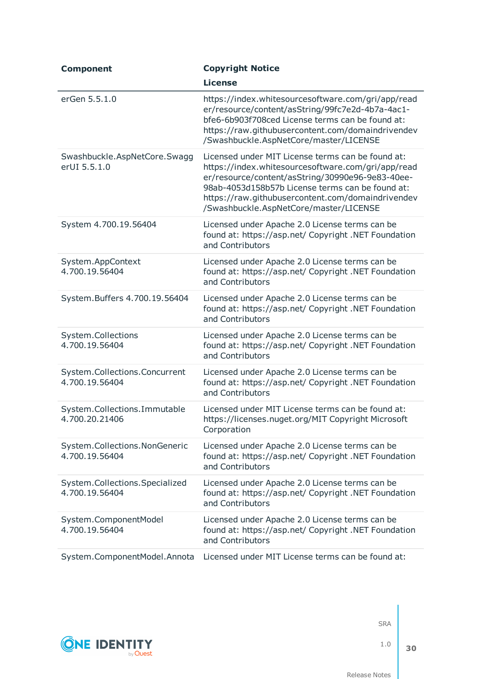| <b>Component</b>                                 | <b>Copyright Notice</b>                                                                                                                                                                                                                                                                                        |
|--------------------------------------------------|----------------------------------------------------------------------------------------------------------------------------------------------------------------------------------------------------------------------------------------------------------------------------------------------------------------|
|                                                  | <b>License</b>                                                                                                                                                                                                                                                                                                 |
| erGen 5.5.1.0                                    | https://index.whitesourcesoftware.com/gri/app/read<br>er/resource/content/asString/99fc7e2d-4b7a-4ac1-<br>bfe6-6b903f708ced License terms can be found at:<br>https://raw.githubusercontent.com/domaindrivendev<br>/Swashbuckle.AspNetCore/master/LICENSE                                                      |
| Swashbuckle.AspNetCore.Swagg<br>erUI 5.5.1.0     | Licensed under MIT License terms can be found at:<br>https://index.whitesourcesoftware.com/gri/app/read<br>er/resource/content/asString/30990e96-9e83-40ee-<br>98ab-4053d158b57b License terms can be found at:<br>https://raw.githubusercontent.com/domaindrivendev<br>/Swashbuckle.AspNetCore/master/LICENSE |
| System 4.700.19.56404                            | Licensed under Apache 2.0 License terms can be<br>found at: https://asp.net/ Copyright .NET Foundation<br>and Contributors                                                                                                                                                                                     |
| System.AppContext<br>4.700.19.56404              | Licensed under Apache 2.0 License terms can be<br>found at: https://asp.net/ Copyright .NET Foundation<br>and Contributors                                                                                                                                                                                     |
| System.Buffers 4.700.19.56404                    | Licensed under Apache 2.0 License terms can be<br>found at: https://asp.net/ Copyright .NET Foundation<br>and Contributors                                                                                                                                                                                     |
| System.Collections<br>4.700.19.56404             | Licensed under Apache 2.0 License terms can be<br>found at: https://asp.net/ Copyright .NET Foundation<br>and Contributors                                                                                                                                                                                     |
| System.Collections.Concurrent<br>4.700.19.56404  | Licensed under Apache 2.0 License terms can be<br>found at: https://asp.net/ Copyright .NET Foundation<br>and Contributors                                                                                                                                                                                     |
| System.Collections.Immutable<br>4.700.20.21406   | Licensed under MIT License terms can be found at:<br>https://licenses.nuget.org/MIT Copyright Microsoft<br>Corporation                                                                                                                                                                                         |
| System.Collections.NonGeneric<br>4.700.19.56404  | Licensed under Apache 2.0 License terms can be<br>found at: https://asp.net/ Copyright .NET Foundation<br>and Contributors                                                                                                                                                                                     |
| System.Collections.Specialized<br>4.700.19.56404 | Licensed under Apache 2.0 License terms can be<br>found at: https://asp.net/ Copyright .NET Foundation<br>and Contributors                                                                                                                                                                                     |
| System.ComponentModel<br>4.700.19.56404          | Licensed under Apache 2.0 License terms can be<br>found at: https://asp.net/ Copyright .NET Foundation<br>and Contributors                                                                                                                                                                                     |
| System.ComponentModel.Annota                     | Licensed under MIT License terms can be found at:                                                                                                                                                                                                                                                              |



1.0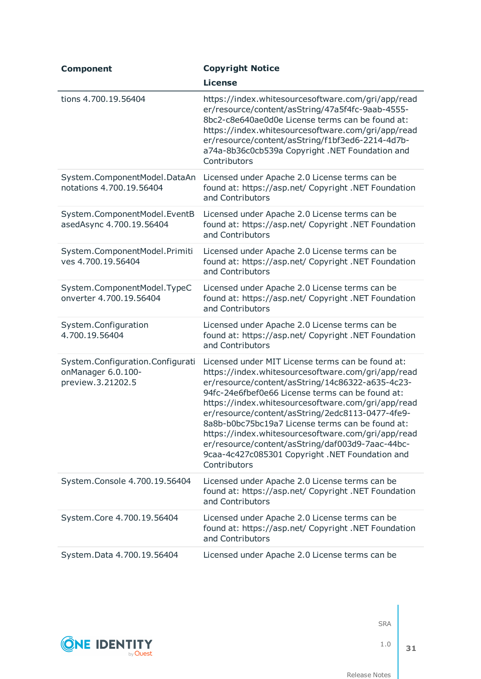| <b>Component</b>                                                            | <b>Copyright Notice</b>                                                                                                                                                                                                                                                                                                                                                                                                                                                                                                                                    |
|-----------------------------------------------------------------------------|------------------------------------------------------------------------------------------------------------------------------------------------------------------------------------------------------------------------------------------------------------------------------------------------------------------------------------------------------------------------------------------------------------------------------------------------------------------------------------------------------------------------------------------------------------|
|                                                                             | <b>License</b>                                                                                                                                                                                                                                                                                                                                                                                                                                                                                                                                             |
| tions 4.700.19.56404                                                        | https://index.whitesourcesoftware.com/gri/app/read<br>er/resource/content/asString/47a5f4fc-9aab-4555-<br>8bc2-c8e640ae0d0e License terms can be found at:<br>https://index.whitesourcesoftware.com/gri/app/read<br>er/resource/content/asString/f1bf3ed6-2214-4d7b-<br>a74a-8b36c0cb539a Copyright .NET Foundation and<br>Contributors                                                                                                                                                                                                                    |
| System.ComponentModel.DataAn<br>notations 4.700.19.56404                    | Licensed under Apache 2.0 License terms can be<br>found at: https://asp.net/ Copyright .NET Foundation<br>and Contributors                                                                                                                                                                                                                                                                                                                                                                                                                                 |
| System.ComponentModel.EventB<br>asedAsync 4.700.19.56404                    | Licensed under Apache 2.0 License terms can be<br>found at: https://asp.net/ Copyright .NET Foundation<br>and Contributors                                                                                                                                                                                                                                                                                                                                                                                                                                 |
| System.ComponentModel.Primiti<br>ves 4.700.19.56404                         | Licensed under Apache 2.0 License terms can be<br>found at: https://asp.net/ Copyright .NET Foundation<br>and Contributors                                                                                                                                                                                                                                                                                                                                                                                                                                 |
| System.ComponentModel.TypeC<br>onverter 4.700.19.56404                      | Licensed under Apache 2.0 License terms can be<br>found at: https://asp.net/ Copyright .NET Foundation<br>and Contributors                                                                                                                                                                                                                                                                                                                                                                                                                                 |
| System.Configuration<br>4.700.19.56404                                      | Licensed under Apache 2.0 License terms can be<br>found at: https://asp.net/ Copyright .NET Foundation<br>and Contributors                                                                                                                                                                                                                                                                                                                                                                                                                                 |
| System.Configuration.Configurati<br>onManager 6.0.100-<br>preview.3.21202.5 | Licensed under MIT License terms can be found at:<br>https://index.whitesourcesoftware.com/gri/app/read<br>er/resource/content/asString/14c86322-a635-4c23-<br>94fc-24e6fbef0e66 License terms can be found at:<br>https://index.whitesourcesoftware.com/gri/app/read<br>er/resource/content/asString/2edc8113-0477-4fe9-<br>8a8b-b0bc75bc19a7 License terms can be found at:<br>https://index.whitesourcesoftware.com/gri/app/read<br>er/resource/content/asString/daf003d9-7aac-44bc-<br>9caa-4c427c085301 Copyright .NET Foundation and<br>Contributors |
| System.Console 4.700.19.56404                                               | Licensed under Apache 2.0 License terms can be<br>found at: https://asp.net/ Copyright .NET Foundation<br>and Contributors                                                                                                                                                                                                                                                                                                                                                                                                                                 |
| System.Core 4.700.19.56404                                                  | Licensed under Apache 2.0 License terms can be<br>found at: https://asp.net/ Copyright .NET Foundation<br>and Contributors                                                                                                                                                                                                                                                                                                                                                                                                                                 |
| System.Data 4.700.19.56404                                                  | Licensed under Apache 2.0 License terms can be                                                                                                                                                                                                                                                                                                                                                                                                                                                                                                             |

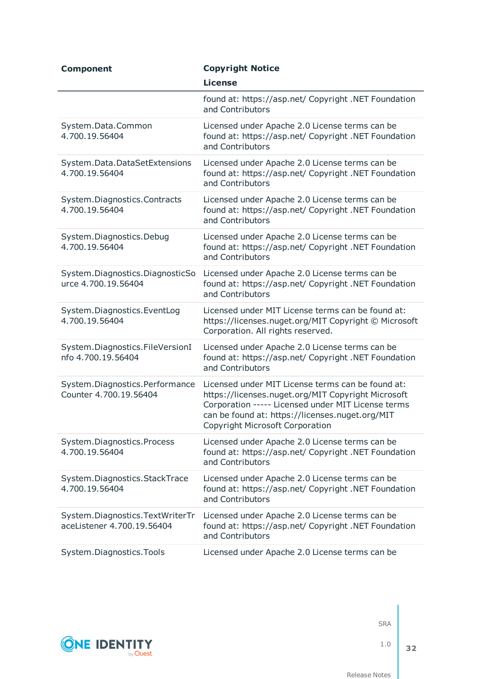| <b>Component</b>                                              | <b>Copyright Notice</b>                                                                                                                                                                                                                                    |
|---------------------------------------------------------------|------------------------------------------------------------------------------------------------------------------------------------------------------------------------------------------------------------------------------------------------------------|
|                                                               | <b>License</b>                                                                                                                                                                                                                                             |
|                                                               | found at: https://asp.net/ Copyright .NET Foundation<br>and Contributors                                                                                                                                                                                   |
| System.Data.Common<br>4.700.19.56404                          | Licensed under Apache 2.0 License terms can be<br>found at: https://asp.net/ Copyright .NET Foundation<br>and Contributors                                                                                                                                 |
| System.Data.DataSetExtensions<br>4.700.19.56404               | Licensed under Apache 2.0 License terms can be<br>found at: https://asp.net/ Copyright .NET Foundation<br>and Contributors                                                                                                                                 |
| System.Diagnostics.Contracts<br>4.700.19.56404                | Licensed under Apache 2.0 License terms can be<br>found at: https://asp.net/ Copyright .NET Foundation<br>and Contributors                                                                                                                                 |
| System.Diagnostics.Debug<br>4.700.19.56404                    | Licensed under Apache 2.0 License terms can be<br>found at: https://asp.net/ Copyright .NET Foundation<br>and Contributors                                                                                                                                 |
| System.Diagnostics.DiagnosticSo<br>urce 4.700.19.56404        | Licensed under Apache 2.0 License terms can be<br>found at: https://asp.net/ Copyright .NET Foundation<br>and Contributors                                                                                                                                 |
| System.Diagnostics.EventLog<br>4.700.19.56404                 | Licensed under MIT License terms can be found at:<br>https://licenses.nuget.org/MIT Copyright © Microsoft<br>Corporation. All rights reserved.                                                                                                             |
| System.Diagnostics.FileVersionI<br>nfo 4.700.19.56404         | Licensed under Apache 2.0 License terms can be<br>found at: https://asp.net/ Copyright .NET Foundation<br>and Contributors                                                                                                                                 |
| System.Diagnostics.Performance<br>Counter 4.700.19.56404      | Licensed under MIT License terms can be found at:<br>https://licenses.nuget.org/MIT Copyright Microsoft<br>Corporation ----- Licensed under MIT License terms<br>can be found at: https://licenses.nuget.org/MIT<br><b>Copyright Microsoft Corporation</b> |
| System.Diagnostics.Process<br>4.700.19.56404                  | Licensed under Apache 2.0 License terms can be<br>found at: https://asp.net/ Copyright .NET Foundation<br>and Contributors                                                                                                                                 |
| System.Diagnostics.StackTrace<br>4.700.19.56404               | Licensed under Apache 2.0 License terms can be<br>found at: https://asp.net/ Copyright .NET Foundation<br>and Contributors                                                                                                                                 |
| System.Diagnostics.TextWriterTr<br>aceListener 4.700.19.56404 | Licensed under Apache 2.0 License terms can be<br>found at: https://asp.net/ Copyright .NET Foundation<br>and Contributors                                                                                                                                 |
| System.Diagnostics.Tools                                      | Licensed under Apache 2.0 License terms can be                                                                                                                                                                                                             |



1.0

**32**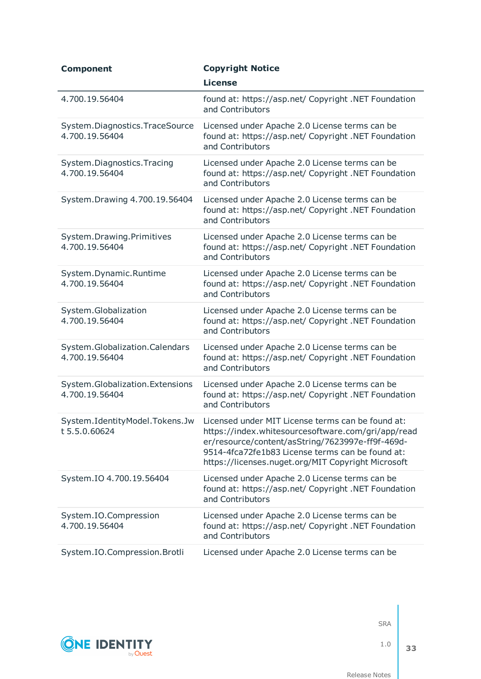| <b>Component</b>                                  | <b>Copyright Notice</b>                                                                                                                                                                                                                                               |
|---------------------------------------------------|-----------------------------------------------------------------------------------------------------------------------------------------------------------------------------------------------------------------------------------------------------------------------|
|                                                   | <b>License</b>                                                                                                                                                                                                                                                        |
| 4.700.19.56404                                    | found at: https://asp.net/ Copyright .NET Foundation<br>and Contributors                                                                                                                                                                                              |
| System.Diagnostics.TraceSource<br>4.700.19.56404  | Licensed under Apache 2.0 License terms can be<br>found at: https://asp.net/ Copyright .NET Foundation<br>and Contributors                                                                                                                                            |
| System.Diagnostics.Tracing<br>4.700.19.56404      | Licensed under Apache 2.0 License terms can be<br>found at: https://asp.net/ Copyright .NET Foundation<br>and Contributors                                                                                                                                            |
| System. Drawing 4.700.19.56404                    | Licensed under Apache 2.0 License terms can be<br>found at: https://asp.net/ Copyright .NET Foundation<br>and Contributors                                                                                                                                            |
| System.Drawing.Primitives<br>4.700.19.56404       | Licensed under Apache 2.0 License terms can be<br>found at: https://asp.net/ Copyright .NET Foundation<br>and Contributors                                                                                                                                            |
| System.Dynamic.Runtime<br>4.700.19.56404          | Licensed under Apache 2.0 License terms can be<br>found at: https://asp.net/ Copyright .NET Foundation<br>and Contributors                                                                                                                                            |
| System.Globalization<br>4.700.19.56404            | Licensed under Apache 2.0 License terms can be<br>found at: https://asp.net/ Copyright .NET Foundation<br>and Contributors                                                                                                                                            |
| System.Globalization.Calendars<br>4.700.19.56404  | Licensed under Apache 2.0 License terms can be<br>found at: https://asp.net/ Copyright .NET Foundation<br>and Contributors                                                                                                                                            |
| System.Globalization.Extensions<br>4.700.19.56404 | Licensed under Apache 2.0 License terms can be<br>found at: https://asp.net/ Copyright .NET Foundation<br>and Contributors                                                                                                                                            |
| System.IdentityModel.Tokens.Jw<br>t 5.5.0.60624   | Licensed under MIT License terms can be found at:<br>https://index.whitesourcesoftware.com/gri/app/read<br>er/resource/content/asString/7623997e-ff9f-469d-<br>9514-4fca72fe1b83 License terms can be found at:<br>https://licenses.nuget.org/MIT Copyright Microsoft |
| System.IO 4.700.19.56404                          | Licensed under Apache 2.0 License terms can be<br>found at: https://asp.net/ Copyright .NET Foundation<br>and Contributors                                                                                                                                            |
| System.IO.Compression<br>4.700.19.56404           | Licensed under Apache 2.0 License terms can be<br>found at: https://asp.net/ Copyright .NET Foundation<br>and Contributors                                                                                                                                            |
| System.IO.Compression.Brotli                      | Licensed under Apache 2.0 License terms can be                                                                                                                                                                                                                        |

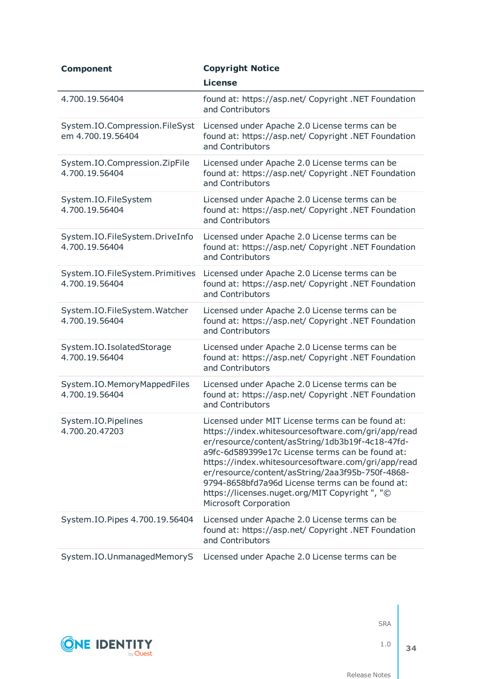| <b>Component</b>                                    | <b>Copyright Notice</b>                                                                                                                                                                                                                                                                                                                                                                                                                                        |
|-----------------------------------------------------|----------------------------------------------------------------------------------------------------------------------------------------------------------------------------------------------------------------------------------------------------------------------------------------------------------------------------------------------------------------------------------------------------------------------------------------------------------------|
|                                                     | <b>License</b>                                                                                                                                                                                                                                                                                                                                                                                                                                                 |
| 4.700.19.56404                                      | found at: https://asp.net/ Copyright .NET Foundation<br>and Contributors                                                                                                                                                                                                                                                                                                                                                                                       |
| System.IO.Compression.FileSyst<br>em 4.700.19.56404 | Licensed under Apache 2.0 License terms can be<br>found at: https://asp.net/ Copyright .NET Foundation<br>and Contributors                                                                                                                                                                                                                                                                                                                                     |
| System.IO.Compression.ZipFile<br>4.700.19.56404     | Licensed under Apache 2.0 License terms can be<br>found at: https://asp.net/ Copyright .NET Foundation<br>and Contributors                                                                                                                                                                                                                                                                                                                                     |
| System.IO.FileSystem<br>4.700.19.56404              | Licensed under Apache 2.0 License terms can be<br>found at: https://asp.net/ Copyright .NET Foundation<br>and Contributors                                                                                                                                                                                                                                                                                                                                     |
| System.IO.FileSystem.DriveInfo<br>4.700.19.56404    | Licensed under Apache 2.0 License terms can be<br>found at: https://asp.net/ Copyright .NET Foundation<br>and Contributors                                                                                                                                                                                                                                                                                                                                     |
| System.IO.FileSystem.Primitives<br>4.700.19.56404   | Licensed under Apache 2.0 License terms can be<br>found at: https://asp.net/ Copyright .NET Foundation<br>and Contributors                                                                                                                                                                                                                                                                                                                                     |
| System.IO.FileSystem.Watcher<br>4.700.19.56404      | Licensed under Apache 2.0 License terms can be<br>found at: https://asp.net/ Copyright .NET Foundation<br>and Contributors                                                                                                                                                                                                                                                                                                                                     |
| System.IO.IsolatedStorage<br>4.700.19.56404         | Licensed under Apache 2.0 License terms can be<br>found at: https://asp.net/ Copyright .NET Foundation<br>and Contributors                                                                                                                                                                                                                                                                                                                                     |
| System.IO.MemoryMappedFiles<br>4.700.19.56404       | Licensed under Apache 2.0 License terms can be<br>found at: https://asp.net/ Copyright .NET Foundation<br>and Contributors                                                                                                                                                                                                                                                                                                                                     |
| System.IO.Pipelines<br>4.700.20.47203               | Licensed under MIT License terms can be found at:<br>https://index.whitesourcesoftware.com/gri/app/read<br>er/resource/content/asString/1db3b19f-4c18-47fd-<br>a9fc-6d589399e17c License terms can be found at:<br>https://index.whitesourcesoftware.com/gri/app/read<br>er/resource/content/asString/2aa3f95b-750f-4868-<br>9794-8658bfd7a96d License terms can be found at:<br>https://licenses.nuget.org/MIT Copyright", "©<br><b>Microsoft Corporation</b> |
| System.IO.Pipes 4.700.19.56404                      | Licensed under Apache 2.0 License terms can be<br>found at: https://asp.net/ Copyright .NET Foundation<br>and Contributors                                                                                                                                                                                                                                                                                                                                     |
| System.IO.UnmanagedMemoryS                          | Licensed under Apache 2.0 License terms can be                                                                                                                                                                                                                                                                                                                                                                                                                 |



1.0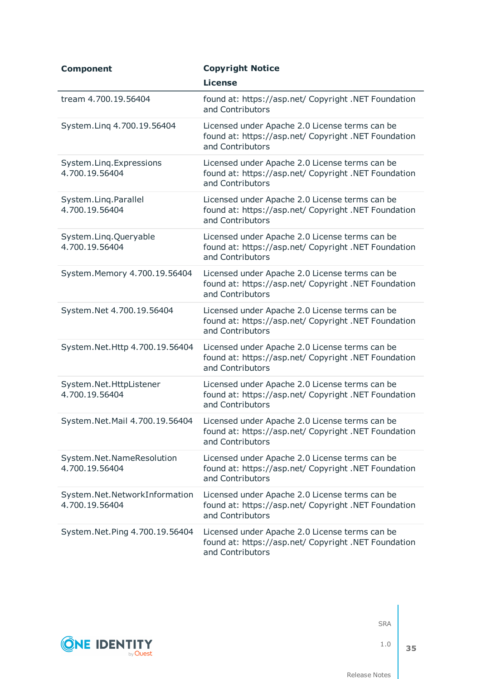| <b>Component</b>                                | <b>Copyright Notice</b>                                                                                                    |
|-------------------------------------------------|----------------------------------------------------------------------------------------------------------------------------|
|                                                 | <b>License</b>                                                                                                             |
| tream 4.700.19.56404                            | found at: https://asp.net/ Copyright .NET Foundation<br>and Contributors                                                   |
| System.Ling 4.700.19.56404                      | Licensed under Apache 2.0 License terms can be<br>found at: https://asp.net/ Copyright .NET Foundation<br>and Contributors |
| System.Ling.Expressions<br>4.700.19.56404       | Licensed under Apache 2.0 License terms can be<br>found at: https://asp.net/ Copyright .NET Foundation<br>and Contributors |
| System.Ling.Parallel<br>4.700.19.56404          | Licensed under Apache 2.0 License terms can be<br>found at: https://asp.net/ Copyright .NET Foundation<br>and Contributors |
| System.Ling.Queryable<br>4.700.19.56404         | Licensed under Apache 2.0 License terms can be<br>found at: https://asp.net/ Copyright .NET Foundation<br>and Contributors |
| System. Memory 4.700.19.56404                   | Licensed under Apache 2.0 License terms can be<br>found at: https://asp.net/ Copyright .NET Foundation<br>and Contributors |
| System.Net 4.700.19.56404                       | Licensed under Apache 2.0 License terms can be<br>found at: https://asp.net/ Copyright .NET Foundation<br>and Contributors |
| System.Net.Http 4.700.19.56404                  | Licensed under Apache 2.0 License terms can be<br>found at: https://asp.net/ Copyright .NET Foundation<br>and Contributors |
| System.Net.HttpListener<br>4.700.19.56404       | Licensed under Apache 2.0 License terms can be<br>found at: https://asp.net/ Copyright .NET Foundation<br>and Contributors |
| System.Net.Mail 4.700.19.56404                  | Licensed under Apache 2.0 License terms can be<br>found at: https://asp.net/ Copyright .NET Foundation<br>and Contributors |
| System.Net.NameResolution<br>4.700.19.56404     | Licensed under Apache 2.0 License terms can be<br>found at: https://asp.net/ Copyright .NET Foundation<br>and Contributors |
| System.Net.NetworkInformation<br>4.700.19.56404 | Licensed under Apache 2.0 License terms can be<br>found at: https://asp.net/ Copyright .NET Foundation<br>and Contributors |
| System.Net.Ping 4.700.19.56404                  | Licensed under Apache 2.0 License terms can be<br>found at: https://asp.net/ Copyright .NET Foundation<br>and Contributors |



1.0 **35**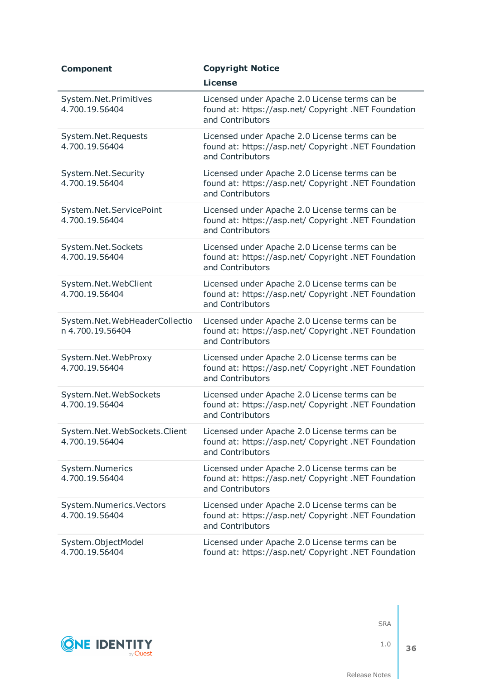| <b>Component</b>                                  | <b>Copyright Notice</b>                                                                                                    |
|---------------------------------------------------|----------------------------------------------------------------------------------------------------------------------------|
|                                                   | <b>License</b>                                                                                                             |
| System.Net.Primitives<br>4.700.19.56404           | Licensed under Apache 2.0 License terms can be<br>found at: https://asp.net/ Copyright .NET Foundation<br>and Contributors |
| System.Net.Requests<br>4.700.19.56404             | Licensed under Apache 2.0 License terms can be<br>found at: https://asp.net/ Copyright .NET Foundation<br>and Contributors |
| System.Net.Security<br>4.700.19.56404             | Licensed under Apache 2.0 License terms can be<br>found at: https://asp.net/ Copyright .NET Foundation<br>and Contributors |
| System.Net.ServicePoint<br>4.700.19.56404         | Licensed under Apache 2.0 License terms can be<br>found at: https://asp.net/ Copyright .NET Foundation<br>and Contributors |
| System.Net.Sockets<br>4.700.19.56404              | Licensed under Apache 2.0 License terms can be<br>found at: https://asp.net/ Copyright .NET Foundation<br>and Contributors |
| System.Net.WebClient<br>4.700.19.56404            | Licensed under Apache 2.0 License terms can be<br>found at: https://asp.net/ Copyright .NET Foundation<br>and Contributors |
| System.Net.WebHeaderCollectio<br>n 4.700.19.56404 | Licensed under Apache 2.0 License terms can be<br>found at: https://asp.net/ Copyright .NET Foundation<br>and Contributors |
| System.Net.WebProxy<br>4.700.19.56404             | Licensed under Apache 2.0 License terms can be<br>found at: https://asp.net/ Copyright .NET Foundation<br>and Contributors |
| System.Net.WebSockets<br>4.700.19.56404           | Licensed under Apache 2.0 License terms can be<br>found at: https://asp.net/ Copyright .NET Foundation<br>and Contributors |
| System.Net.WebSockets.Client<br>4.700.19.56404    | Licensed under Apache 2.0 License terms can be<br>found at: https://asp.net/ Copyright .NET Foundation<br>and Contributors |
| System.Numerics<br>4.700.19.56404                 | Licensed under Apache 2.0 License terms can be<br>found at: https://asp.net/ Copyright .NET Foundation<br>and Contributors |
| System.Numerics.Vectors<br>4.700.19.56404         | Licensed under Apache 2.0 License terms can be<br>found at: https://asp.net/ Copyright .NET Foundation<br>and Contributors |
| System.ObjectModel<br>4.700.19.56404              | Licensed under Apache 2.0 License terms can be<br>found at: https://asp.net/ Copyright .NET Foundation                     |

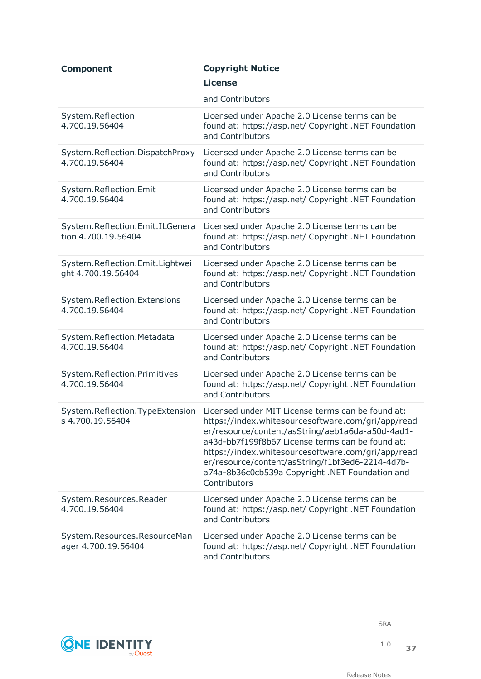| <b>Component</b>                                       | <b>Copyright Notice</b>                                                                                                                                                                                                                                                                                                                                                                      |
|--------------------------------------------------------|----------------------------------------------------------------------------------------------------------------------------------------------------------------------------------------------------------------------------------------------------------------------------------------------------------------------------------------------------------------------------------------------|
|                                                        | <b>License</b>                                                                                                                                                                                                                                                                                                                                                                               |
|                                                        | and Contributors                                                                                                                                                                                                                                                                                                                                                                             |
| System.Reflection<br>4.700.19.56404                    | Licensed under Apache 2.0 License terms can be<br>found at: https://asp.net/ Copyright .NET Foundation<br>and Contributors                                                                                                                                                                                                                                                                   |
| System.Reflection.DispatchProxy<br>4.700.19.56404      | Licensed under Apache 2.0 License terms can be<br>found at: https://asp.net/ Copyright .NET Foundation<br>and Contributors                                                                                                                                                                                                                                                                   |
| System.Reflection.Emit<br>4.700.19.56404               | Licensed under Apache 2.0 License terms can be<br>found at: https://asp.net/ Copyright .NET Foundation<br>and Contributors                                                                                                                                                                                                                                                                   |
| System.Reflection.Emit.ILGenera<br>tion 4.700.19.56404 | Licensed under Apache 2.0 License terms can be<br>found at: https://asp.net/ Copyright .NET Foundation<br>and Contributors                                                                                                                                                                                                                                                                   |
| System.Reflection.Emit.Lightwei<br>ght 4.700.19.56404  | Licensed under Apache 2.0 License terms can be<br>found at: https://asp.net/ Copyright .NET Foundation<br>and Contributors                                                                                                                                                                                                                                                                   |
| System.Reflection.Extensions<br>4.700.19.56404         | Licensed under Apache 2.0 License terms can be<br>found at: https://asp.net/ Copyright .NET Foundation<br>and Contributors                                                                                                                                                                                                                                                                   |
| System.Reflection.Metadata<br>4.700.19.56404           | Licensed under Apache 2.0 License terms can be<br>found at: https://asp.net/ Copyright .NET Foundation<br>and Contributors                                                                                                                                                                                                                                                                   |
| System.Reflection.Primitives<br>4.700.19.56404         | Licensed under Apache 2.0 License terms can be<br>found at: https://asp.net/ Copyright .NET Foundation<br>and Contributors                                                                                                                                                                                                                                                                   |
| System.Reflection.TypeExtension<br>s 4.700.19.56404    | Licensed under MIT License terms can be found at:<br>https://index.whitesourcesoftware.com/gri/app/read<br>er/resource/content/asString/aeb1a6da-a50d-4ad1-<br>a43d-bb7f199f8b67 License terms can be found at:<br>https://index.whitesourcesoftware.com/gri/app/read<br>er/resource/content/asString/f1bf3ed6-2214-4d7b-<br>a74a-8b36c0cb539a Copyright .NET Foundation and<br>Contributors |
| System.Resources.Reader<br>4.700.19.56404              | Licensed under Apache 2.0 License terms can be<br>found at: https://asp.net/ Copyright .NET Foundation<br>and Contributors                                                                                                                                                                                                                                                                   |
| System.Resources.ResourceMan<br>ager 4.700.19.56404    | Licensed under Apache 2.0 License terms can be<br>found at: https://asp.net/ Copyright .NET Foundation<br>and Contributors                                                                                                                                                                                                                                                                   |



1.0 **37**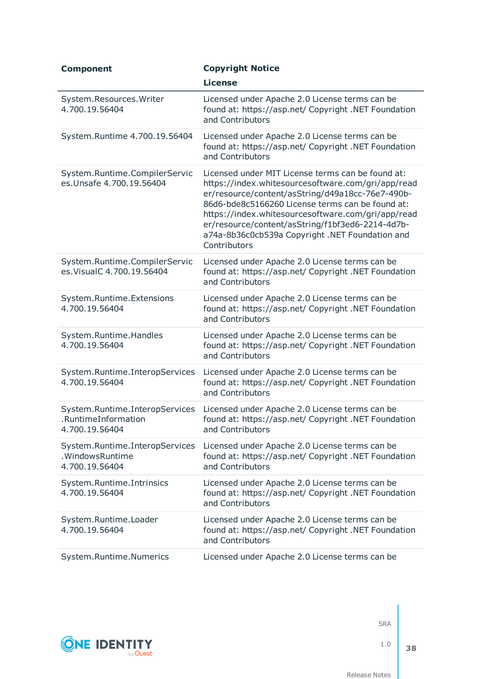| <b>Component</b>                                                        | <b>Copyright Notice</b>                                                                                                                                                                                                                                                                                                                                                                      |
|-------------------------------------------------------------------------|----------------------------------------------------------------------------------------------------------------------------------------------------------------------------------------------------------------------------------------------------------------------------------------------------------------------------------------------------------------------------------------------|
|                                                                         | <b>License</b>                                                                                                                                                                                                                                                                                                                                                                               |
| System.Resources.Writer<br>4.700.19.56404                               | Licensed under Apache 2.0 License terms can be<br>found at: https://asp.net/ Copyright .NET Foundation<br>and Contributors                                                                                                                                                                                                                                                                   |
| System.Runtime 4.700.19.56404                                           | Licensed under Apache 2.0 License terms can be<br>found at: https://asp.net/ Copyright .NET Foundation<br>and Contributors                                                                                                                                                                                                                                                                   |
| System.Runtime.CompilerServic<br>es. Unsafe 4.700.19.56404              | Licensed under MIT License terms can be found at:<br>https://index.whitesourcesoftware.com/gri/app/read<br>er/resource/content/asString/d49a18cc-76e7-490b-<br>86d6-bde8c5166260 License terms can be found at:<br>https://index.whitesourcesoftware.com/gri/app/read<br>er/resource/content/asString/f1bf3ed6-2214-4d7b-<br>a74a-8b36c0cb539a Copyright .NET Foundation and<br>Contributors |
| System.Runtime.CompilerServic<br>es. Visual C 4.700.19.56404            | Licensed under Apache 2.0 License terms can be<br>found at: https://asp.net/ Copyright .NET Foundation<br>and Contributors                                                                                                                                                                                                                                                                   |
| System.Runtime.Extensions<br>4.700.19.56404                             | Licensed under Apache 2.0 License terms can be<br>found at: https://asp.net/ Copyright .NET Foundation<br>and Contributors                                                                                                                                                                                                                                                                   |
| System.Runtime.Handles<br>4.700.19.56404                                | Licensed under Apache 2.0 License terms can be<br>found at: https://asp.net/ Copyright .NET Foundation<br>and Contributors                                                                                                                                                                                                                                                                   |
| System.Runtime.InteropServices<br>4.700.19.56404                        | Licensed under Apache 2.0 License terms can be<br>found at: https://asp.net/ Copyright .NET Foundation<br>and Contributors                                                                                                                                                                                                                                                                   |
| System.Runtime.InteropServices<br>.RuntimeInformation<br>4.700.19.56404 | Licensed under Apache 2.0 License terms can be<br>found at: https://asp.net/ Copyright .NET Foundation<br>and Contributors                                                                                                                                                                                                                                                                   |
| System.Runtime.InteropServices<br>.WindowsRuntime<br>4.700.19.56404     | Licensed under Apache 2.0 License terms can be<br>found at: https://asp.net/ Copyright .NET Foundation<br>and Contributors                                                                                                                                                                                                                                                                   |
| System.Runtime.Intrinsics<br>4.700.19.56404                             | Licensed under Apache 2.0 License terms can be<br>found at: https://asp.net/ Copyright .NET Foundation<br>and Contributors                                                                                                                                                                                                                                                                   |
| System.Runtime.Loader<br>4.700.19.56404                                 | Licensed under Apache 2.0 License terms can be<br>found at: https://asp.net/ Copyright .NET Foundation<br>and Contributors                                                                                                                                                                                                                                                                   |
| System.Runtime.Numerics                                                 | Licensed under Apache 2.0 License terms can be                                                                                                                                                                                                                                                                                                                                               |



1.0 **38**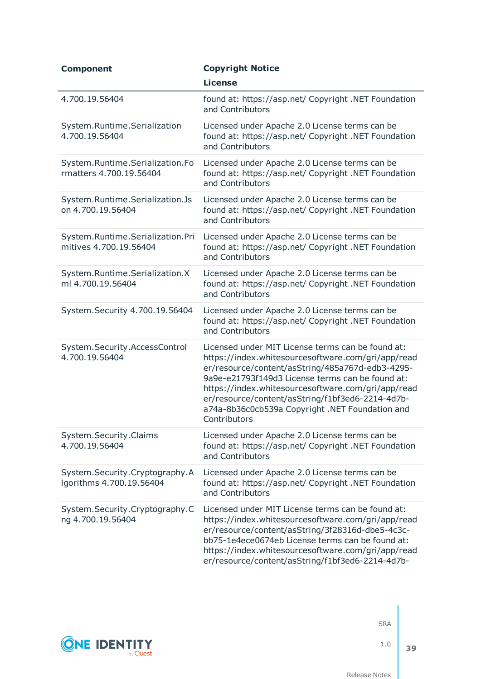| <b>Component</b>                                           | <b>Copyright Notice</b>                                                                                                                                                                                                                                                                                                                                                                      |
|------------------------------------------------------------|----------------------------------------------------------------------------------------------------------------------------------------------------------------------------------------------------------------------------------------------------------------------------------------------------------------------------------------------------------------------------------------------|
|                                                            | <b>License</b>                                                                                                                                                                                                                                                                                                                                                                               |
| 4.700.19.56404                                             | found at: https://asp.net/ Copyright .NET Foundation<br>and Contributors                                                                                                                                                                                                                                                                                                                     |
| System.Runtime.Serialization<br>4.700.19.56404             | Licensed under Apache 2.0 License terms can be<br>found at: https://asp.net/ Copyright .NET Foundation<br>and Contributors                                                                                                                                                                                                                                                                   |
| System.Runtime.Serialization.Fo<br>rmatters 4.700.19.56404 | Licensed under Apache 2.0 License terms can be<br>found at: https://asp.net/ Copyright .NET Foundation<br>and Contributors                                                                                                                                                                                                                                                                   |
| System.Runtime.Serialization.Js<br>on 4.700.19.56404       | Licensed under Apache 2.0 License terms can be<br>found at: https://asp.net/ Copyright .NET Foundation<br>and Contributors                                                                                                                                                                                                                                                                   |
| System.Runtime.Serialization.Pri<br>mitives 4.700.19.56404 | Licensed under Apache 2.0 License terms can be<br>found at: https://asp.net/ Copyright .NET Foundation<br>and Contributors                                                                                                                                                                                                                                                                   |
| System.Runtime.Serialization.X<br>ml 4.700.19.56404        | Licensed under Apache 2.0 License terms can be<br>found at: https://asp.net/ Copyright .NET Foundation<br>and Contributors                                                                                                                                                                                                                                                                   |
| System.Security 4.700.19.56404                             | Licensed under Apache 2.0 License terms can be<br>found at: https://asp.net/ Copyright .NET Foundation<br>and Contributors                                                                                                                                                                                                                                                                   |
| System.Security.AccessControl<br>4.700.19.56404            | Licensed under MIT License terms can be found at:<br>https://index.whitesourcesoftware.com/gri/app/read<br>er/resource/content/asString/485a767d-edb3-4295-<br>9a9e-e21793f149d3 License terms can be found at:<br>https://index.whitesourcesoftware.com/gri/app/read<br>er/resource/content/asString/f1bf3ed6-2214-4d7b-<br>a74a-8b36c0cb539a Copyright .NET Foundation and<br>Contributors |
| System.Security.Claims<br>4.700.19.56404                   | Licensed under Apache 2.0 License terms can be<br>found at: https://asp.net/ Copyright .NET Foundation<br>and Contributors                                                                                                                                                                                                                                                                   |
| System.Security.Cryptography.A<br>Igorithms 4.700.19.56404 | Licensed under Apache 2.0 License terms can be<br>found at: https://asp.net/ Copyright .NET Foundation<br>and Contributors                                                                                                                                                                                                                                                                   |
| System.Security.Cryptography.C<br>ng 4.700.19.56404        | Licensed under MIT License terms can be found at:<br>https://index.whitesourcesoftware.com/gri/app/read<br>er/resource/content/asString/3f28316d-dbe5-4c3c-<br>bb75-1e4ece0674eb License terms can be found at:<br>https://index.whitesourcesoftware.com/gri/app/read<br>er/resource/content/asString/f1bf3ed6-2214-4d7b-                                                                    |



1.0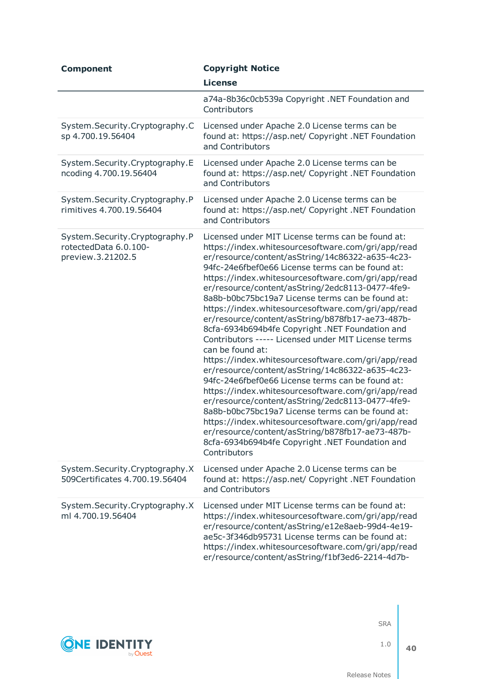| <b>Component</b>                                                             | <b>Copyright Notice</b>                                                                                                                                                                                                                                                                                                                                                                                                                                                                                                                                                                                                                                                                                                                                                                                                                                                                                                                                                                                                                                                                                                        |
|------------------------------------------------------------------------------|--------------------------------------------------------------------------------------------------------------------------------------------------------------------------------------------------------------------------------------------------------------------------------------------------------------------------------------------------------------------------------------------------------------------------------------------------------------------------------------------------------------------------------------------------------------------------------------------------------------------------------------------------------------------------------------------------------------------------------------------------------------------------------------------------------------------------------------------------------------------------------------------------------------------------------------------------------------------------------------------------------------------------------------------------------------------------------------------------------------------------------|
|                                                                              | <b>License</b>                                                                                                                                                                                                                                                                                                                                                                                                                                                                                                                                                                                                                                                                                                                                                                                                                                                                                                                                                                                                                                                                                                                 |
|                                                                              | a74a-8b36c0cb539a Copyright .NET Foundation and<br>Contributors                                                                                                                                                                                                                                                                                                                                                                                                                                                                                                                                                                                                                                                                                                                                                                                                                                                                                                                                                                                                                                                                |
| System.Security.Cryptography.C<br>sp 4.700.19.56404                          | Licensed under Apache 2.0 License terms can be<br>found at: https://asp.net/ Copyright .NET Foundation<br>and Contributors                                                                                                                                                                                                                                                                                                                                                                                                                                                                                                                                                                                                                                                                                                                                                                                                                                                                                                                                                                                                     |
| System.Security.Cryptography.E<br>ncoding 4.700.19.56404                     | Licensed under Apache 2.0 License terms can be<br>found at: https://asp.net/ Copyright .NET Foundation<br>and Contributors                                                                                                                                                                                                                                                                                                                                                                                                                                                                                                                                                                                                                                                                                                                                                                                                                                                                                                                                                                                                     |
| System.Security.Cryptography.P<br>rimitives 4.700.19.56404                   | Licensed under Apache 2.0 License terms can be<br>found at: https://asp.net/ Copyright .NET Foundation<br>and Contributors                                                                                                                                                                                                                                                                                                                                                                                                                                                                                                                                                                                                                                                                                                                                                                                                                                                                                                                                                                                                     |
| System.Security.Cryptography.P<br>rotectedData 6.0.100-<br>preview.3.21202.5 | Licensed under MIT License terms can be found at:<br>https://index.whitesourcesoftware.com/gri/app/read<br>er/resource/content/asString/14c86322-a635-4c23-<br>94fc-24e6fbef0e66 License terms can be found at:<br>https://index.whitesourcesoftware.com/gri/app/read<br>er/resource/content/asString/2edc8113-0477-4fe9-<br>8a8b-b0bc75bc19a7 License terms can be found at:<br>https://index.whitesourcesoftware.com/gri/app/read<br>er/resource/content/asString/b878fb17-ae73-487b-<br>8cfa-6934b694b4fe Copyright .NET Foundation and<br>Contributors ----- Licensed under MIT License terms<br>can be found at:<br>https://index.whitesourcesoftware.com/gri/app/read<br>er/resource/content/asString/14c86322-a635-4c23-<br>94fc-24e6fbef0e66 License terms can be found at:<br>https://index.whitesourcesoftware.com/gri/app/read<br>er/resource/content/asString/2edc8113-0477-4fe9-<br>8a8b-b0bc75bc19a7 License terms can be found at:<br>https://index.whitesourcesoftware.com/gri/app/read<br>er/resource/content/asString/b878fb17-ae73-487b-<br>8cfa-6934b694b4fe Copyright .NET Foundation and<br>Contributors |
| System.Security.Cryptography.X<br>509Certificates 4.700.19.56404             | Licensed under Apache 2.0 License terms can be<br>found at: https://asp.net/ Copyright .NET Foundation<br>and Contributors                                                                                                                                                                                                                                                                                                                                                                                                                                                                                                                                                                                                                                                                                                                                                                                                                                                                                                                                                                                                     |
| System.Security.Cryptography.X<br>ml 4.700.19.56404                          | Licensed under MIT License terms can be found at:<br>https://index.whitesourcesoftware.com/gri/app/read<br>er/resource/content/asString/e12e8aeb-99d4-4e19-<br>ae5c-3f346db95731 License terms can be found at:<br>https://index.whitesourcesoftware.com/gri/app/read<br>er/resource/content/asString/f1bf3ed6-2214-4d7b-                                                                                                                                                                                                                                                                                                                                                                                                                                                                                                                                                                                                                                                                                                                                                                                                      |



Release Notes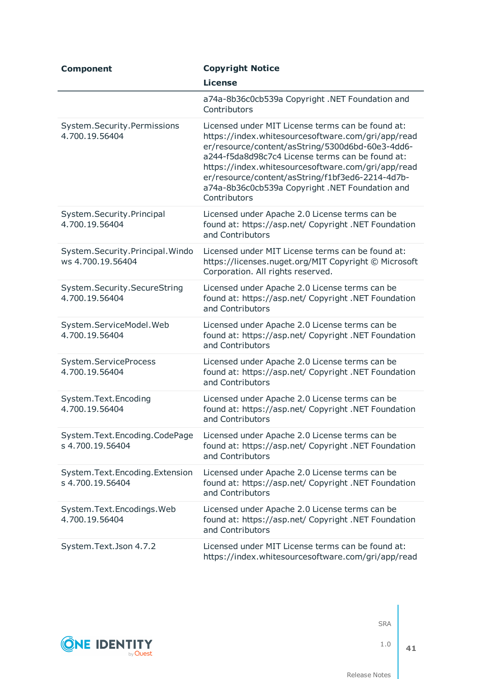| <b>Component</b>                                     | <b>Copyright Notice</b>                                                                                                                                                                                                                                                                                                                                                                      |
|------------------------------------------------------|----------------------------------------------------------------------------------------------------------------------------------------------------------------------------------------------------------------------------------------------------------------------------------------------------------------------------------------------------------------------------------------------|
|                                                      | <b>License</b>                                                                                                                                                                                                                                                                                                                                                                               |
|                                                      | a74a-8b36c0cb539a Copyright .NET Foundation and<br>Contributors                                                                                                                                                                                                                                                                                                                              |
| System.Security.Permissions<br>4.700.19.56404        | Licensed under MIT License terms can be found at:<br>https://index.whitesourcesoftware.com/gri/app/read<br>er/resource/content/asString/5300d6bd-60e3-4dd6-<br>a244-f5da8d98c7c4 License terms can be found at:<br>https://index.whitesourcesoftware.com/gri/app/read<br>er/resource/content/asString/f1bf3ed6-2214-4d7b-<br>a74a-8b36c0cb539a Copyright .NET Foundation and<br>Contributors |
| System.Security.Principal<br>4.700.19.56404          | Licensed under Apache 2.0 License terms can be<br>found at: https://asp.net/ Copyright .NET Foundation<br>and Contributors                                                                                                                                                                                                                                                                   |
| System.Security.Principal.Windo<br>ws 4.700.19.56404 | Licensed under MIT License terms can be found at:<br>https://licenses.nuget.org/MIT Copyright © Microsoft<br>Corporation. All rights reserved.                                                                                                                                                                                                                                               |
| System.Security.SecureString<br>4.700.19.56404       | Licensed under Apache 2.0 License terms can be<br>found at: https://asp.net/ Copyright .NET Foundation<br>and Contributors                                                                                                                                                                                                                                                                   |
| System.ServiceModel.Web<br>4.700.19.56404            | Licensed under Apache 2.0 License terms can be<br>found at: https://asp.net/ Copyright .NET Foundation<br>and Contributors                                                                                                                                                                                                                                                                   |
| System.ServiceProcess<br>4.700.19.56404              | Licensed under Apache 2.0 License terms can be<br>found at: https://asp.net/ Copyright .NET Foundation<br>and Contributors                                                                                                                                                                                                                                                                   |
| System.Text.Encoding<br>4.700.19.56404               | Licensed under Apache 2.0 License terms can be<br>found at: https://asp.net/ Copyright .NET Foundation<br>and Contributors                                                                                                                                                                                                                                                                   |
| System.Text.Encoding.CodePage<br>s 4.700.19.56404    | Licensed under Apache 2.0 License terms can be<br>found at: https://asp.net/ Copyright .NET Foundation<br>and Contributors                                                                                                                                                                                                                                                                   |
| System.Text.Encoding.Extension<br>s 4.700.19.56404   | Licensed under Apache 2.0 License terms can be<br>found at: https://asp.net/ Copyright .NET Foundation<br>and Contributors                                                                                                                                                                                                                                                                   |
| System.Text.Encodings.Web<br>4.700.19.56404          | Licensed under Apache 2.0 License terms can be<br>found at: https://asp.net/ Copyright .NET Foundation<br>and Contributors                                                                                                                                                                                                                                                                   |
| System.Text.Json 4.7.2                               | Licensed under MIT License terms can be found at:<br>https://index.whitesourcesoftware.com/gri/app/read                                                                                                                                                                                                                                                                                      |

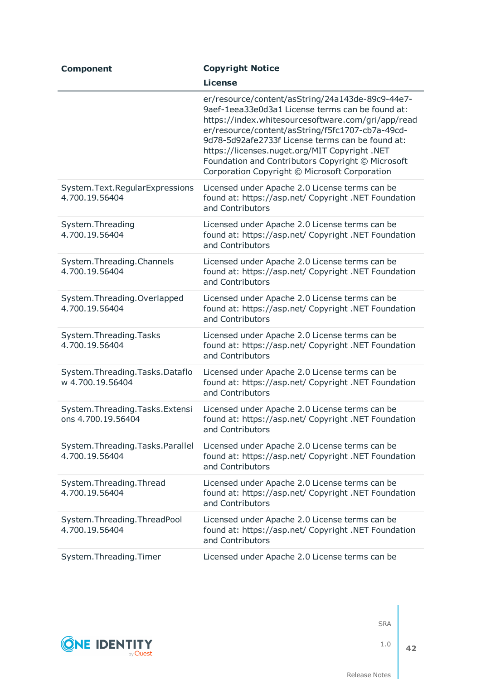| <b>Component</b>                                      | <b>Copyright Notice</b>                                                                                                                                                                                                                                                                                                                                                                                                   |
|-------------------------------------------------------|---------------------------------------------------------------------------------------------------------------------------------------------------------------------------------------------------------------------------------------------------------------------------------------------------------------------------------------------------------------------------------------------------------------------------|
|                                                       | <b>License</b>                                                                                                                                                                                                                                                                                                                                                                                                            |
|                                                       | er/resource/content/asString/24a143de-89c9-44e7-<br>9aef-1eea33e0d3a1 License terms can be found at:<br>https://index.whitesourcesoftware.com/gri/app/read<br>er/resource/content/asString/f5fc1707-cb7a-49cd-<br>9d78-5d92afe2733f License terms can be found at:<br>https://licenses.nuget.org/MIT Copyright .NET<br>Foundation and Contributors Copyright © Microsoft<br>Corporation Copyright © Microsoft Corporation |
| System.Text.RegularExpressions<br>4.700.19.56404      | Licensed under Apache 2.0 License terms can be<br>found at: https://asp.net/ Copyright .NET Foundation<br>and Contributors                                                                                                                                                                                                                                                                                                |
| System. Threading<br>4.700.19.56404                   | Licensed under Apache 2.0 License terms can be<br>found at: https://asp.net/ Copyright .NET Foundation<br>and Contributors                                                                                                                                                                                                                                                                                                |
| System. Threading. Channels<br>4.700.19.56404         | Licensed under Apache 2.0 License terms can be<br>found at: https://asp.net/ Copyright .NET Foundation<br>and Contributors                                                                                                                                                                                                                                                                                                |
| System.Threading.Overlapped<br>4.700.19.56404         | Licensed under Apache 2.0 License terms can be<br>found at: https://asp.net/ Copyright .NET Foundation<br>and Contributors                                                                                                                                                                                                                                                                                                |
| System. Threading. Tasks<br>4.700.19.56404            | Licensed under Apache 2.0 License terms can be<br>found at: https://asp.net/ Copyright .NET Foundation<br>and Contributors                                                                                                                                                                                                                                                                                                |
| System. Threading. Tasks. Dataflo<br>w 4.700.19.56404 | Licensed under Apache 2.0 License terms can be<br>found at: https://asp.net/ Copyright .NET Foundation<br>and Contributors                                                                                                                                                                                                                                                                                                |
| System.Threading.Tasks.Extensi<br>ons 4.700.19.56404  | Licensed under Apache 2.0 License terms can be<br>found at: https://asp.net/ Copyright .NET Foundation<br>and Contributors                                                                                                                                                                                                                                                                                                |
| System. Threading. Tasks. Parallel<br>4.700.19.56404  | Licensed under Apache 2.0 License terms can be<br>found at: https://asp.net/ Copyright .NET Foundation<br>and Contributors                                                                                                                                                                                                                                                                                                |
| System. Threading. Thread<br>4.700.19.56404           | Licensed under Apache 2.0 License terms can be<br>found at: https://asp.net/ Copyright .NET Foundation<br>and Contributors                                                                                                                                                                                                                                                                                                |
| System.Threading.ThreadPool<br>4.700.19.56404         | Licensed under Apache 2.0 License terms can be<br>found at: https://asp.net/ Copyright .NET Foundation<br>and Contributors                                                                                                                                                                                                                                                                                                |
| System.Threading.Timer                                | Licensed under Apache 2.0 License terms can be                                                                                                                                                                                                                                                                                                                                                                            |

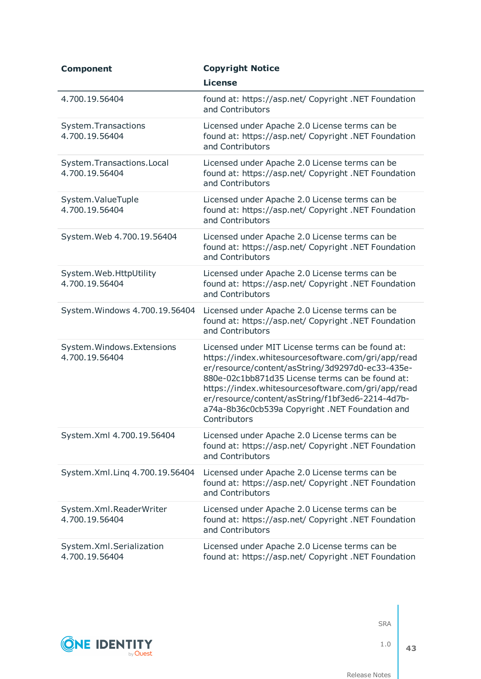| <b>Component</b>                              | <b>Copyright Notice</b>                                                                                                                                                                                                                                                                                                                                                                      |
|-----------------------------------------------|----------------------------------------------------------------------------------------------------------------------------------------------------------------------------------------------------------------------------------------------------------------------------------------------------------------------------------------------------------------------------------------------|
|                                               | <b>License</b>                                                                                                                                                                                                                                                                                                                                                                               |
| 4.700.19.56404                                | found at: https://asp.net/ Copyright .NET Foundation<br>and Contributors                                                                                                                                                                                                                                                                                                                     |
| System.Transactions<br>4.700.19.56404         | Licensed under Apache 2.0 License terms can be<br>found at: https://asp.net/ Copyright .NET Foundation<br>and Contributors                                                                                                                                                                                                                                                                   |
| System.Transactions.Local<br>4.700.19.56404   | Licensed under Apache 2.0 License terms can be<br>found at: https://asp.net/ Copyright .NET Foundation<br>and Contributors                                                                                                                                                                                                                                                                   |
| System.ValueTuple<br>4.700.19.56404           | Licensed under Apache 2.0 License terms can be<br>found at: https://asp.net/ Copyright .NET Foundation<br>and Contributors                                                                                                                                                                                                                                                                   |
| System. Web 4.700.19.56404                    | Licensed under Apache 2.0 License terms can be<br>found at: https://asp.net/ Copyright .NET Foundation<br>and Contributors                                                                                                                                                                                                                                                                   |
| System. Web. HttpUtility<br>4.700.19.56404    | Licensed under Apache 2.0 License terms can be<br>found at: https://asp.net/ Copyright .NET Foundation<br>and Contributors                                                                                                                                                                                                                                                                   |
| System. Windows 4.700.19.56404                | Licensed under Apache 2.0 License terms can be<br>found at: https://asp.net/ Copyright .NET Foundation<br>and Contributors                                                                                                                                                                                                                                                                   |
| System. Windows. Extensions<br>4.700.19.56404 | Licensed under MIT License terms can be found at:<br>https://index.whitesourcesoftware.com/gri/app/read<br>er/resource/content/asString/3d9297d0-ec33-435e-<br>880e-02c1bb871d35 License terms can be found at:<br>https://index.whitesourcesoftware.com/gri/app/read<br>er/resource/content/asString/f1bf3ed6-2214-4d7b-<br>a74a-8b36c0cb539a Copyright .NET Foundation and<br>Contributors |
| System.Xml 4.700.19.56404                     | Licensed under Apache 2.0 License terms can be<br>found at: https://asp.net/ Copyright .NET Foundation<br>and Contributors                                                                                                                                                                                                                                                                   |
| System.Xml.Ling 4.700.19.56404                | Licensed under Apache 2.0 License terms can be<br>found at: https://asp.net/ Copyright .NET Foundation<br>and Contributors                                                                                                                                                                                                                                                                   |
| System.Xml.ReaderWriter<br>4.700.19.56404     | Licensed under Apache 2.0 License terms can be<br>found at: https://asp.net/ Copyright .NET Foundation<br>and Contributors                                                                                                                                                                                                                                                                   |
| System.Xml.Serialization<br>4.700.19.56404    | Licensed under Apache 2.0 License terms can be<br>found at: https://asp.net/ Copyright .NET Foundation                                                                                                                                                                                                                                                                                       |



1.0 **43**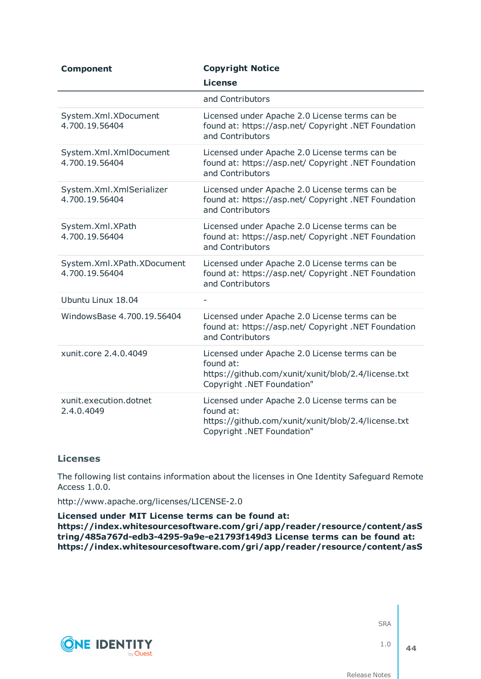| <b>Component</b>                             | <b>Copyright Notice</b><br><b>License</b>                                                                                                        |
|----------------------------------------------|--------------------------------------------------------------------------------------------------------------------------------------------------|
|                                              | and Contributors                                                                                                                                 |
| System.Xml.XDocument<br>4.700.19.56404       | Licensed under Apache 2.0 License terms can be<br>found at: https://asp.net/ Copyright .NET Foundation<br>and Contributors                       |
| System.Xml.XmlDocument<br>4.700.19.56404     | Licensed under Apache 2.0 License terms can be<br>found at: https://asp.net/ Copyright .NET Foundation<br>and Contributors                       |
| System.Xml.XmlSerializer<br>4.700.19.56404   | Licensed under Apache 2.0 License terms can be<br>found at: https://asp.net/ Copyright .NET Foundation<br>and Contributors                       |
| System.Xml.XPath<br>4.700.19.56404           | Licensed under Apache 2.0 License terms can be<br>found at: https://asp.net/ Copyright .NET Foundation<br>and Contributors                       |
| System.Xml.XPath.XDocument<br>4.700.19.56404 | Licensed under Apache 2.0 License terms can be<br>found at: https://asp.net/ Copyright .NET Foundation<br>and Contributors                       |
| Ubuntu Linux 18.04                           |                                                                                                                                                  |
| WindowsBase 4.700.19.56404                   | Licensed under Apache 2.0 License terms can be<br>found at: https://asp.net/ Copyright .NET Foundation<br>and Contributors                       |
| xunit.core 2.4.0.4049                        | Licensed under Apache 2.0 License terms can be<br>found at:<br>https://github.com/xunit/xunit/blob/2.4/license.txt<br>Copyright .NET Foundation" |
| xunit.execution.dotnet<br>2.4.0.4049         | Licensed under Apache 2.0 License terms can be<br>found at:<br>https://github.com/xunit/xunit/blob/2.4/license.txt<br>Copyright .NET Foundation" |

### **Licenses**

The following list contains information about the licenses in One Identity Safeguard Remote Access 1.0.0.

http://www.apache.org/licenses/LICENSE-2.0

**Licensed under MIT License terms can be found at: https://index.whitesourcesoftware.com/gri/app/reader/resource/content/asS tring/485a767d-edb3-4295-9a9e-e21793f149d3 License terms can be found at: https://index.whitesourcesoftware.com/gri/app/reader/resource/content/asS**



SRA

1.0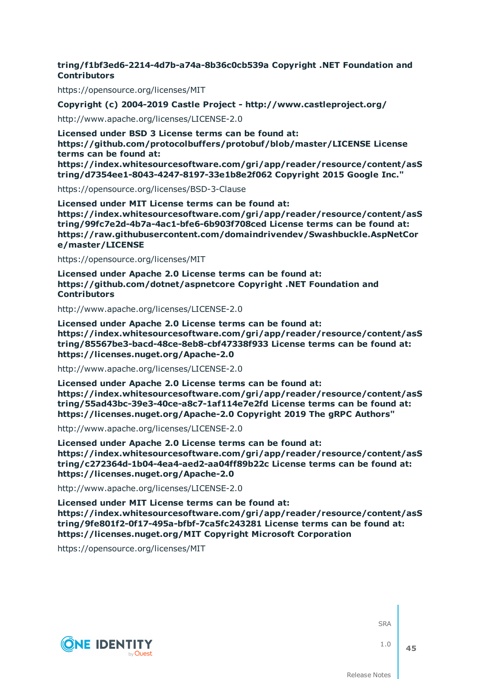### **tring/f1bf3ed6-2214-4d7b-a74a-8b36c0cb539a Copyright .NET Foundation and Contributors**

https://opensource.org/licenses/MIT

**Copyright (c) 2004-2019 Castle Project - http://www.castleproject.org/**

http://www.apache.org/licenses/LICENSE-2.0

**Licensed under BSD 3 License terms can be found at: https://github.com/protocolbuffers/protobuf/blob/master/LICENSE License terms can be found at: https://index.whitesourcesoftware.com/gri/app/reader/resource/content/asS**

**tring/d7354ee1-8043-4247-8197-33e1b8e2f062 Copyright 2015 Google Inc."**

https://opensource.org/licenses/BSD-3-Clause

**Licensed under MIT License terms can be found at: https://index.whitesourcesoftware.com/gri/app/reader/resource/content/asS tring/99fc7e2d-4b7a-4ac1-bfe6-6b903f708ced License terms can be found at: https://raw.githubusercontent.com/domaindrivendev/Swashbuckle.AspNetCor e/master/LICENSE**

https://opensource.org/licenses/MIT

**Licensed under Apache 2.0 License terms can be found at: https://github.com/dotnet/aspnetcore Copyright .NET Foundation and Contributors**

http://www.apache.org/licenses/LICENSE-2.0

**Licensed under Apache 2.0 License terms can be found at: https://index.whitesourcesoftware.com/gri/app/reader/resource/content/asS tring/85567be3-bacd-48ce-8eb8-cbf47338f933 License terms can be found at: https://licenses.nuget.org/Apache-2.0**

http://www.apache.org/licenses/LICENSE-2.0

**Licensed under Apache 2.0 License terms can be found at: https://index.whitesourcesoftware.com/gri/app/reader/resource/content/asS tring/55ad43bc-39e3-40ce-a8c7-1af114e7e2fd License terms can be found at: https://licenses.nuget.org/Apache-2.0 Copyright 2019 The gRPC Authors"**

http://www.apache.org/licenses/LICENSE-2.0

**Licensed under Apache 2.0 License terms can be found at: https://index.whitesourcesoftware.com/gri/app/reader/resource/content/asS tring/c272364d-1b04-4ea4-aed2-aa04ff89b22c License terms can be found at: https://licenses.nuget.org/Apache-2.0**

http://www.apache.org/licenses/LICENSE-2.0

**Licensed under MIT License terms can be found at: https://index.whitesourcesoftware.com/gri/app/reader/resource/content/asS tring/9fe801f2-0f17-495a-bfbf-7ca5fc243281 License terms can be found at: https://licenses.nuget.org/MIT Copyright Microsoft Corporation**

https://opensource.org/licenses/MIT



**SRA** 

1.0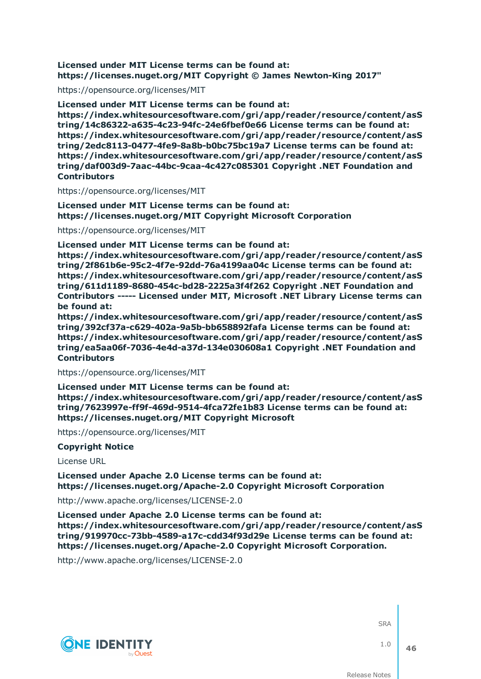### **Licensed under MIT License terms can be found at: https://licenses.nuget.org/MIT Copyright © James Newton-King 2017"**

https://opensource.org/licenses/MIT

**Licensed under MIT License terms can be found at:**

**https://index.whitesourcesoftware.com/gri/app/reader/resource/content/asS tring/14c86322-a635-4c23-94fc-24e6fbef0e66 License terms can be found at: https://index.whitesourcesoftware.com/gri/app/reader/resource/content/asS tring/2edc8113-0477-4fe9-8a8b-b0bc75bc19a7 License terms can be found at: https://index.whitesourcesoftware.com/gri/app/reader/resource/content/asS tring/daf003d9-7aac-44bc-9caa-4c427c085301 Copyright .NET Foundation and Contributors**

https://opensource.org/licenses/MIT

**Licensed under MIT License terms can be found at: https://licenses.nuget.org/MIT Copyright Microsoft Corporation**

https://opensource.org/licenses/MIT

**Licensed under MIT License terms can be found at:**

**https://index.whitesourcesoftware.com/gri/app/reader/resource/content/asS tring/2f861b6e-95c2-4f7e-92dd-76a4199aa04c License terms can be found at: https://index.whitesourcesoftware.com/gri/app/reader/resource/content/asS tring/611d1189-8680-454c-bd28-2225a3f4f262 Copyright .NET Foundation and Contributors ----- Licensed under MIT, Microsoft .NET Library License terms can be found at:**

**https://index.whitesourcesoftware.com/gri/app/reader/resource/content/asS tring/392cf37a-c629-402a-9a5b-bb658892fafa License terms can be found at: https://index.whitesourcesoftware.com/gri/app/reader/resource/content/asS tring/ea5aa06f-7036-4e4d-a37d-134e030608a1 Copyright .NET Foundation and Contributors**

https://opensource.org/licenses/MIT

**Licensed under MIT License terms can be found at: https://index.whitesourcesoftware.com/gri/app/reader/resource/content/asS tring/7623997e-ff9f-469d-9514-4fca72fe1b83 License terms can be found at: https://licenses.nuget.org/MIT Copyright Microsoft**

https://opensource.org/licenses/MIT

**Copyright Notice**

License URL

**Licensed under Apache 2.0 License terms can be found at: https://licenses.nuget.org/Apache-2.0 Copyright Microsoft Corporation**

http://www.apache.org/licenses/LICENSE-2.0

**Licensed under Apache 2.0 License terms can be found at: https://index.whitesourcesoftware.com/gri/app/reader/resource/content/asS tring/919970cc-73bb-4589-a17c-cdd34f93d29e License terms can be found at: https://licenses.nuget.org/Apache-2.0 Copyright Microsoft Corporation.**

http://www.apache.org/licenses/LICENSE-2.0



**SRA**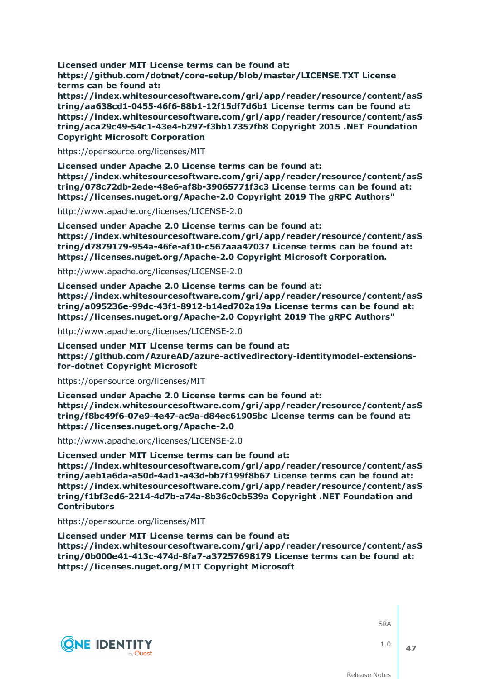**Licensed under MIT License terms can be found at: https://github.com/dotnet/core-setup/blob/master/LICENSE.TXT License terms can be found at:**

**https://index.whitesourcesoftware.com/gri/app/reader/resource/content/asS tring/aa638cd1-0455-46f6-88b1-12f15df7d6b1 License terms can be found at: https://index.whitesourcesoftware.com/gri/app/reader/resource/content/asS tring/aca29c49-54c1-43e4-b297-f3bb17357fb8 Copyright 2015 .NET Foundation Copyright Microsoft Corporation**

https://opensource.org/licenses/MIT

**Licensed under Apache 2.0 License terms can be found at: https://index.whitesourcesoftware.com/gri/app/reader/resource/content/asS tring/078c72db-2ede-48e6-af8b-39065771f3c3 License terms can be found at: https://licenses.nuget.org/Apache-2.0 Copyright 2019 The gRPC Authors"**

http://www.apache.org/licenses/LICENSE-2.0

**Licensed under Apache 2.0 License terms can be found at: https://index.whitesourcesoftware.com/gri/app/reader/resource/content/asS tring/d7879179-954a-46fe-af10-c567aaa47037 License terms can be found at: https://licenses.nuget.org/Apache-2.0 Copyright Microsoft Corporation.**

http://www.apache.org/licenses/LICENSE-2.0

**Licensed under Apache 2.0 License terms can be found at: https://index.whitesourcesoftware.com/gri/app/reader/resource/content/asS tring/a095236e-99dc-43f1-8912-b14ed702a19a License terms can be found at: https://licenses.nuget.org/Apache-2.0 Copyright 2019 The gRPC Authors"**

http://www.apache.org/licenses/LICENSE-2.0

**Licensed under MIT License terms can be found at: https://github.com/AzureAD/azure-activedirectory-identitymodel-extensionsfor-dotnet Copyright Microsoft**

https://opensource.org/licenses/MIT

**Licensed under Apache 2.0 License terms can be found at: https://index.whitesourcesoftware.com/gri/app/reader/resource/content/asS tring/f8bc49f6-07e9-4e47-ac9a-d84ec61905bc License terms can be found at: https://licenses.nuget.org/Apache-2.0**

http://www.apache.org/licenses/LICENSE-2.0

**Licensed under MIT License terms can be found at:**

**https://index.whitesourcesoftware.com/gri/app/reader/resource/content/asS tring/aeb1a6da-a50d-4ad1-a43d-bb7f199f8b67 License terms can be found at: https://index.whitesourcesoftware.com/gri/app/reader/resource/content/asS tring/f1bf3ed6-2214-4d7b-a74a-8b36c0cb539a Copyright .NET Foundation and Contributors**

https://opensource.org/licenses/MIT

**Licensed under MIT License terms can be found at: https://index.whitesourcesoftware.com/gri/app/reader/resource/content/asS tring/0b000e41-413c-474d-8fa7-a37257698179 License terms can be found at: https://licenses.nuget.org/MIT Copyright Microsoft**



**SRA** 

1.0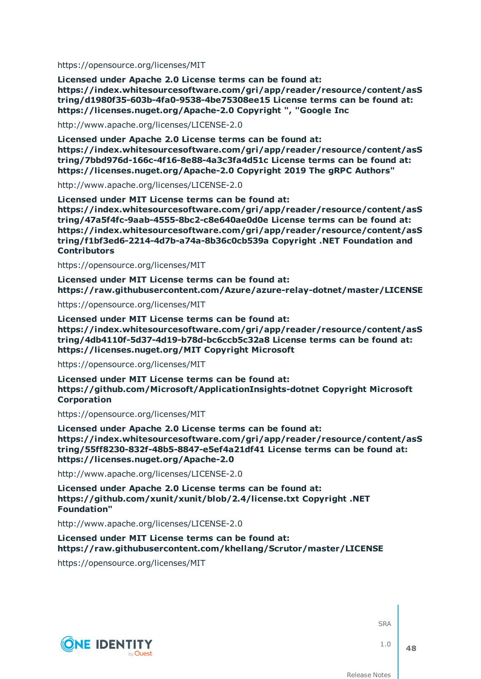https://opensource.org/licenses/MIT

**Licensed under Apache 2.0 License terms can be found at: https://index.whitesourcesoftware.com/gri/app/reader/resource/content/asS tring/d1980f35-603b-4fa0-9538-4be75308ee15 License terms can be found at: https://licenses.nuget.org/Apache-2.0 Copyright ", "Google Inc**

http://www.apache.org/licenses/LICENSE-2.0

**Licensed under Apache 2.0 License terms can be found at: https://index.whitesourcesoftware.com/gri/app/reader/resource/content/asS tring/7bbd976d-166c-4f16-8e88-4a3c3fa4d51c License terms can be found at: https://licenses.nuget.org/Apache-2.0 Copyright 2019 The gRPC Authors"**

http://www.apache.org/licenses/LICENSE-2.0

**Licensed under MIT License terms can be found at: https://index.whitesourcesoftware.com/gri/app/reader/resource/content/asS tring/47a5f4fc-9aab-4555-8bc2-c8e640ae0d0e License terms can be found at: https://index.whitesourcesoftware.com/gri/app/reader/resource/content/asS tring/f1bf3ed6-2214-4d7b-a74a-8b36c0cb539a Copyright .NET Foundation and Contributors**

https://opensource.org/licenses/MIT

**Licensed under MIT License terms can be found at: https://raw.githubusercontent.com/Azure/azure-relay-dotnet/master/LICENSE**

https://opensource.org/licenses/MIT

**Licensed under MIT License terms can be found at: https://index.whitesourcesoftware.com/gri/app/reader/resource/content/asS tring/4db4110f-5d37-4d19-b78d-bc6ccb5c32a8 License terms can be found at: https://licenses.nuget.org/MIT Copyright Microsoft**

https://opensource.org/licenses/MIT

**Licensed under MIT License terms can be found at: https://github.com/Microsoft/ApplicationInsights-dotnet Copyright Microsoft Corporation**

https://opensource.org/licenses/MIT

**Licensed under Apache 2.0 License terms can be found at: https://index.whitesourcesoftware.com/gri/app/reader/resource/content/asS tring/55ff8230-832f-48b5-8847-e5ef4a21df41 License terms can be found at: https://licenses.nuget.org/Apache-2.0**

http://www.apache.org/licenses/LICENSE-2.0

**Licensed under Apache 2.0 License terms can be found at: https://github.com/xunit/xunit/blob/2.4/license.txt Copyright .NET Foundation"**

http://www.apache.org/licenses/LICENSE-2.0

**Licensed under MIT License terms can be found at: https://raw.githubusercontent.com/khellang/Scrutor/master/LICENSE**

https://opensource.org/licenses/MIT



**SRA** 

1.0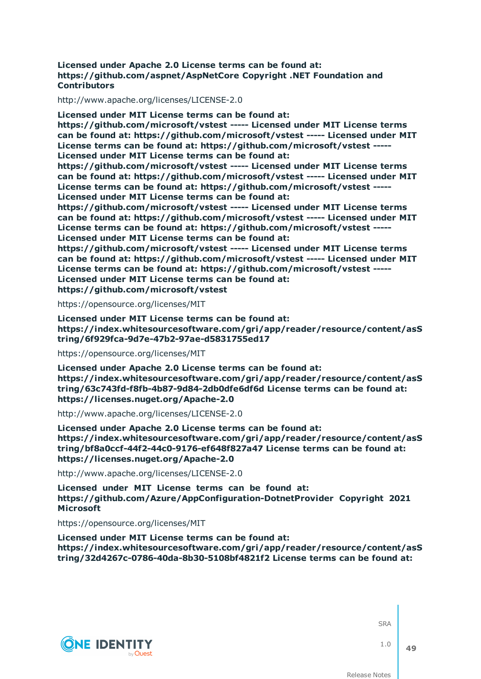#### **Licensed under Apache 2.0 License terms can be found at: https://github.com/aspnet/AspNetCore Copyright .NET Foundation and Contributors**

http://www.apache.org/licenses/LICENSE-2.0

**Licensed under MIT License terms can be found at: https://github.com/microsoft/vstest ----- Licensed under MIT License terms can be found at: https://github.com/microsoft/vstest ----- Licensed under MIT License terms can be found at: https://github.com/microsoft/vstest ----- Licensed under MIT License terms can be found at: https://github.com/microsoft/vstest ----- Licensed under MIT License terms can be found at: https://github.com/microsoft/vstest ----- Licensed under MIT License terms can be found at: https://github.com/microsoft/vstest ----- Licensed under MIT License terms can be found at: https://github.com/microsoft/vstest ----- Licensed under MIT License terms can be found at: https://github.com/microsoft/vstest ----- Licensed under MIT License terms can be found at: https://github.com/microsoft/vstest ----- Licensed under MIT License terms can be found at: https://github.com/microsoft/vstest ----- Licensed under MIT License terms can be found at: https://github.com/microsoft/vstest ----- Licensed under MIT License terms can be found at: https://github.com/microsoft/vstest ----- Licensed under MIT License terms can be found at: https://github.com/microsoft/vstest**

https://opensource.org/licenses/MIT

**Licensed under MIT License terms can be found at: https://index.whitesourcesoftware.com/gri/app/reader/resource/content/asS tring/6f929fca-9d7e-47b2-97ae-d5831755ed17**

https://opensource.org/licenses/MIT

**Licensed under Apache 2.0 License terms can be found at: https://index.whitesourcesoftware.com/gri/app/reader/resource/content/asS tring/63c743fd-f8fb-4b87-9d84-2db0dfe6df6d License terms can be found at: https://licenses.nuget.org/Apache-2.0**

http://www.apache.org/licenses/LICENSE-2.0

**Licensed under Apache 2.0 License terms can be found at: https://index.whitesourcesoftware.com/gri/app/reader/resource/content/asS tring/bf8a0ccf-44f2-44c0-9176-ef648f827a47 License terms can be found at: https://licenses.nuget.org/Apache-2.0**

http://www.apache.org/licenses/LICENSE-2.0

**Licensed under MIT License terms can be found at: https://github.com/Azure/AppConfiguration-DotnetProvider Copyright 2021 Microsoft**

https://opensource.org/licenses/MIT

**Licensed under MIT License terms can be found at: https://index.whitesourcesoftware.com/gri/app/reader/resource/content/asS tring/32d4267c-0786-40da-8b30-5108bf4821f2 License terms can be found at:**



**SRA** 

1.0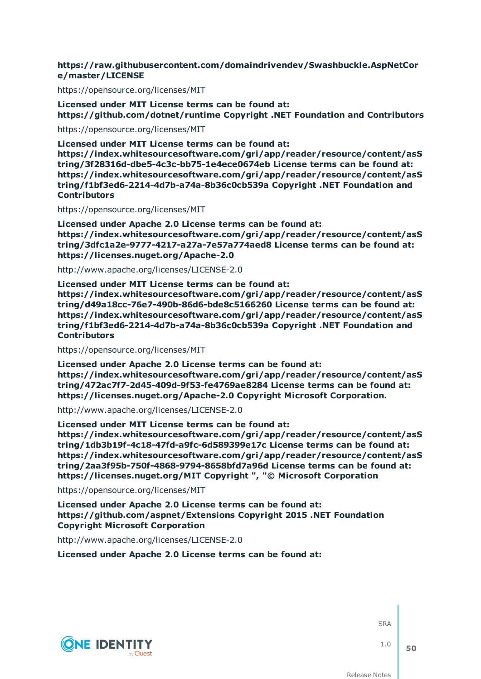### **https://raw.githubusercontent.com/domaindrivendev/Swashbuckle.AspNetCor e/master/LICENSE**

https://opensource.org/licenses/MIT

**Licensed under MIT License terms can be found at: https://github.com/dotnet/runtime Copyright .NET Foundation and Contributors**

https://opensource.org/licenses/MIT

**Licensed under MIT License terms can be found at:**

**https://index.whitesourcesoftware.com/gri/app/reader/resource/content/asS tring/3f28316d-dbe5-4c3c-bb75-1e4ece0674eb License terms can be found at: https://index.whitesourcesoftware.com/gri/app/reader/resource/content/asS tring/f1bf3ed6-2214-4d7b-a74a-8b36c0cb539a Copyright .NET Foundation and Contributors**

https://opensource.org/licenses/MIT

**Licensed under Apache 2.0 License terms can be found at: https://index.whitesourcesoftware.com/gri/app/reader/resource/content/asS tring/3dfc1a2e-9777-4217-a27a-7e57a774aed8 License terms can be found at: https://licenses.nuget.org/Apache-2.0**

http://www.apache.org/licenses/LICENSE-2.0

**Licensed under MIT License terms can be found at: https://index.whitesourcesoftware.com/gri/app/reader/resource/content/asS tring/d49a18cc-76e7-490b-86d6-bde8c5166260 License terms can be found at: https://index.whitesourcesoftware.com/gri/app/reader/resource/content/asS tring/f1bf3ed6-2214-4d7b-a74a-8b36c0cb539a Copyright .NET Foundation and Contributors**

https://opensource.org/licenses/MIT

**Licensed under Apache 2.0 License terms can be found at: https://index.whitesourcesoftware.com/gri/app/reader/resource/content/asS tring/472ac7f7-2d45-409d-9f53-fe4769ae8284 License terms can be found at: https://licenses.nuget.org/Apache-2.0 Copyright Microsoft Corporation.**

http://www.apache.org/licenses/LICENSE-2.0

**Licensed under MIT License terms can be found at: https://index.whitesourcesoftware.com/gri/app/reader/resource/content/asS tring/1db3b19f-4c18-47fd-a9fc-6d589399e17c License terms can be found at: https://index.whitesourcesoftware.com/gri/app/reader/resource/content/asS tring/2aa3f95b-750f-4868-9794-8658bfd7a96d License terms can be found at: https://licenses.nuget.org/MIT Copyright ", "© Microsoft Corporation**

https://opensource.org/licenses/MIT

**Licensed under Apache 2.0 License terms can be found at: https://github.com/aspnet/Extensions Copyright 2015 .NET Foundation Copyright Microsoft Corporation**

http://www.apache.org/licenses/LICENSE-2.0

**Licensed under Apache 2.0 License terms can be found at:**



**SRA**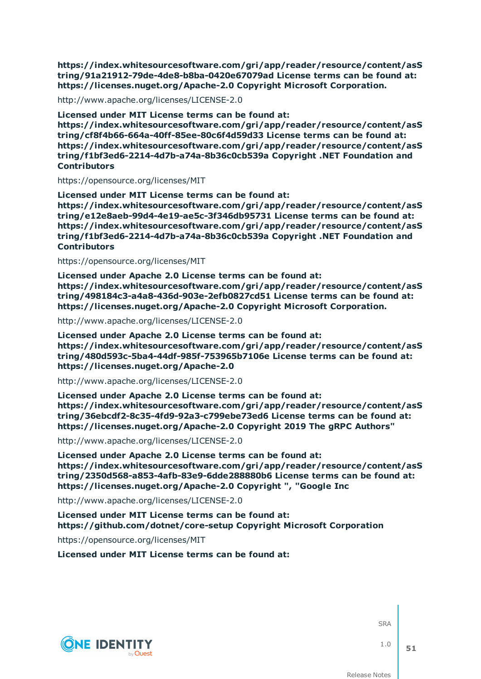**https://index.whitesourcesoftware.com/gri/app/reader/resource/content/asS tring/91a21912-79de-4de8-b8ba-0420e67079ad License terms can be found at: https://licenses.nuget.org/Apache-2.0 Copyright Microsoft Corporation.**

http://www.apache.org/licenses/LICENSE-2.0

**Licensed under MIT License terms can be found at: https://index.whitesourcesoftware.com/gri/app/reader/resource/content/asS tring/cf8f4b66-664a-40ff-85ee-80c6f4d59d33 License terms can be found at: https://index.whitesourcesoftware.com/gri/app/reader/resource/content/asS tring/f1bf3ed6-2214-4d7b-a74a-8b36c0cb539a Copyright .NET Foundation and Contributors**

https://opensource.org/licenses/MIT

**Licensed under MIT License terms can be found at: https://index.whitesourcesoftware.com/gri/app/reader/resource/content/asS tring/e12e8aeb-99d4-4e19-ae5c-3f346db95731 License terms can be found at: https://index.whitesourcesoftware.com/gri/app/reader/resource/content/asS tring/f1bf3ed6-2214-4d7b-a74a-8b36c0cb539a Copyright .NET Foundation and Contributors**

https://opensource.org/licenses/MIT

**Licensed under Apache 2.0 License terms can be found at: https://index.whitesourcesoftware.com/gri/app/reader/resource/content/asS tring/498184c3-a4a8-436d-903e-2efb0827cd51 License terms can be found at: https://licenses.nuget.org/Apache-2.0 Copyright Microsoft Corporation.**

http://www.apache.org/licenses/LICENSE-2.0

**Licensed under Apache 2.0 License terms can be found at: https://index.whitesourcesoftware.com/gri/app/reader/resource/content/asS tring/480d593c-5ba4-44df-985f-753965b7106e License terms can be found at: https://licenses.nuget.org/Apache-2.0**

http://www.apache.org/licenses/LICENSE-2.0

**Licensed under Apache 2.0 License terms can be found at: https://index.whitesourcesoftware.com/gri/app/reader/resource/content/asS tring/36ebcdf2-8c35-4fd9-92a3-c799ebe73ed6 License terms can be found at: https://licenses.nuget.org/Apache-2.0 Copyright 2019 The gRPC Authors"**

http://www.apache.org/licenses/LICENSE-2.0

**Licensed under Apache 2.0 License terms can be found at: https://index.whitesourcesoftware.com/gri/app/reader/resource/content/asS tring/2350d568-a853-4afb-83e9-6dde288880b6 License terms can be found at: https://licenses.nuget.org/Apache-2.0 Copyright ", "Google Inc**

http://www.apache.org/licenses/LICENSE-2.0

**Licensed under MIT License terms can be found at: https://github.com/dotnet/core-setup Copyright Microsoft Corporation**

https://opensource.org/licenses/MIT

**Licensed under MIT License terms can be found at:**



**SRA**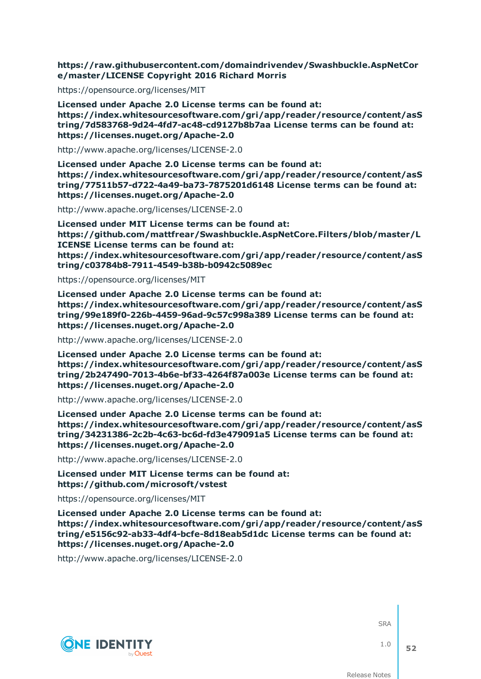**https://raw.githubusercontent.com/domaindrivendev/Swashbuckle.AspNetCor e/master/LICENSE Copyright 2016 Richard Morris**

https://opensource.org/licenses/MIT

**Licensed under Apache 2.0 License terms can be found at: https://index.whitesourcesoftware.com/gri/app/reader/resource/content/asS tring/7d583768-9d24-4fd7-ac48-cd9127b8b7aa License terms can be found at: https://licenses.nuget.org/Apache-2.0**

http://www.apache.org/licenses/LICENSE-2.0

**Licensed under Apache 2.0 License terms can be found at: https://index.whitesourcesoftware.com/gri/app/reader/resource/content/asS tring/77511b57-d722-4a49-ba73-7875201d6148 License terms can be found at: https://licenses.nuget.org/Apache-2.0**

http://www.apache.org/licenses/LICENSE-2.0

**Licensed under MIT License terms can be found at: https://github.com/mattfrear/Swashbuckle.AspNetCore.Filters/blob/master/L ICENSE License terms can be found at: https://index.whitesourcesoftware.com/gri/app/reader/resource/content/asS tring/c03784b8-7911-4549-b38b-b0942c5089ec**

https://opensource.org/licenses/MIT

**Licensed under Apache 2.0 License terms can be found at: https://index.whitesourcesoftware.com/gri/app/reader/resource/content/asS tring/99e189f0-226b-4459-96ad-9c57c998a389 License terms can be found at: https://licenses.nuget.org/Apache-2.0**

http://www.apache.org/licenses/LICENSE-2.0

**Licensed under Apache 2.0 License terms can be found at: https://index.whitesourcesoftware.com/gri/app/reader/resource/content/asS tring/2b247490-7013-4b6e-bf33-4264f87a003e License terms can be found at: https://licenses.nuget.org/Apache-2.0**

http://www.apache.org/licenses/LICENSE-2.0

**Licensed under Apache 2.0 License terms can be found at: https://index.whitesourcesoftware.com/gri/app/reader/resource/content/asS tring/34231386-2c2b-4c63-bc6d-fd3e479091a5 License terms can be found at: https://licenses.nuget.org/Apache-2.0**

http://www.apache.org/licenses/LICENSE-2.0

**Licensed under MIT License terms can be found at: https://github.com/microsoft/vstest**

https://opensource.org/licenses/MIT

**Licensed under Apache 2.0 License terms can be found at: https://index.whitesourcesoftware.com/gri/app/reader/resource/content/asS tring/e5156c92-ab33-4df4-bcfe-8d18eab5d1dc License terms can be found at: https://licenses.nuget.org/Apache-2.0**

http://www.apache.org/licenses/LICENSE-2.0



**SRA** 

1.0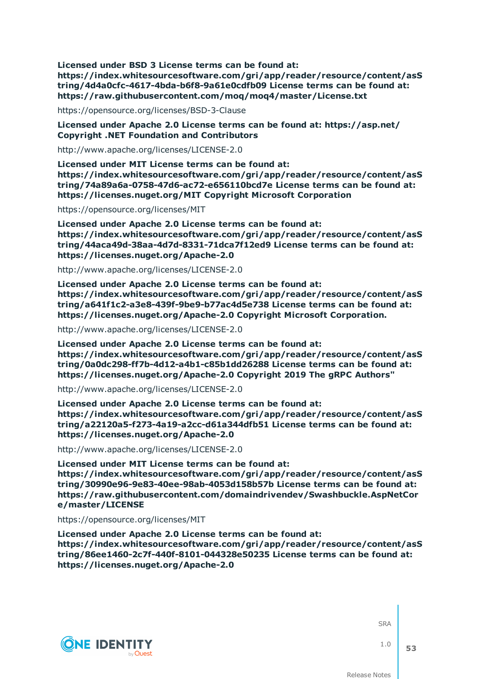**Licensed under BSD 3 License terms can be found at: https://index.whitesourcesoftware.com/gri/app/reader/resource/content/asS tring/4d4a0cfc-4617-4bda-b6f8-9a61e0cdfb09 License terms can be found at: https://raw.githubusercontent.com/moq/moq4/master/License.txt**

https://opensource.org/licenses/BSD-3-Clause

**Licensed under Apache 2.0 License terms can be found at: https://asp.net/ Copyright .NET Foundation and Contributors**

http://www.apache.org/licenses/LICENSE-2.0

**Licensed under MIT License terms can be found at: https://index.whitesourcesoftware.com/gri/app/reader/resource/content/asS tring/74a89a6a-0758-47d6-ac72-e656110bcd7e License terms can be found at: https://licenses.nuget.org/MIT Copyright Microsoft Corporation**

https://opensource.org/licenses/MIT

**Licensed under Apache 2.0 License terms can be found at: https://index.whitesourcesoftware.com/gri/app/reader/resource/content/asS tring/44aca49d-38aa-4d7d-8331-71dca7f12ed9 License terms can be found at: https://licenses.nuget.org/Apache-2.0**

http://www.apache.org/licenses/LICENSE-2.0

**Licensed under Apache 2.0 License terms can be found at: https://index.whitesourcesoftware.com/gri/app/reader/resource/content/asS tring/a641f1c2-a3e8-439f-9be9-b77ac4d5e738 License terms can be found at: https://licenses.nuget.org/Apache-2.0 Copyright Microsoft Corporation.**

http://www.apache.org/licenses/LICENSE-2.0

**Licensed under Apache 2.0 License terms can be found at: https://index.whitesourcesoftware.com/gri/app/reader/resource/content/asS tring/0a0dc298-ff7b-4d12-a4b1-c85b1dd26288 License terms can be found at: https://licenses.nuget.org/Apache-2.0 Copyright 2019 The gRPC Authors"**

http://www.apache.org/licenses/LICENSE-2.0

**Licensed under Apache 2.0 License terms can be found at: https://index.whitesourcesoftware.com/gri/app/reader/resource/content/asS tring/a22120a5-f273-4a19-a2cc-d61a344dfb51 License terms can be found at: https://licenses.nuget.org/Apache-2.0**

http://www.apache.org/licenses/LICENSE-2.0

**Licensed under MIT License terms can be found at: https://index.whitesourcesoftware.com/gri/app/reader/resource/content/asS tring/30990e96-9e83-40ee-98ab-4053d158b57b License terms can be found at: https://raw.githubusercontent.com/domaindrivendev/Swashbuckle.AspNetCor e/master/LICENSE**

https://opensource.org/licenses/MIT

**Licensed under Apache 2.0 License terms can be found at: https://index.whitesourcesoftware.com/gri/app/reader/resource/content/asS tring/86ee1460-2c7f-440f-8101-044328e50235 License terms can be found at: https://licenses.nuget.org/Apache-2.0**



**SRA** 

1.0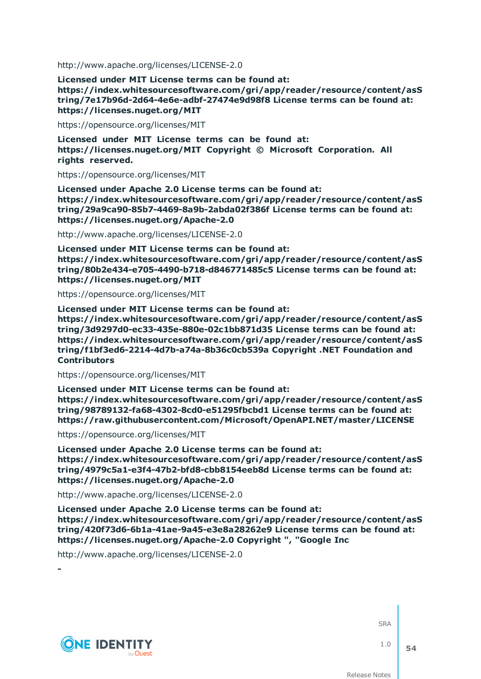http://www.apache.org/licenses/LICENSE-2.0

**Licensed under MIT License terms can be found at: https://index.whitesourcesoftware.com/gri/app/reader/resource/content/asS tring/7e17b96d-2d64-4e6e-adbf-27474e9d98f8 License terms can be found at: https://licenses.nuget.org/MIT**

https://opensource.org/licenses/MIT

**Licensed under MIT License terms can be found at: https://licenses.nuget.org/MIT Copyright © Microsoft Corporation. All rights reserved.**

https://opensource.org/licenses/MIT

**Licensed under Apache 2.0 License terms can be found at: https://index.whitesourcesoftware.com/gri/app/reader/resource/content/asS tring/29a9ca90-85b7-4469-8a9b-2abda02f386f License terms can be found at: https://licenses.nuget.org/Apache-2.0**

http://www.apache.org/licenses/LICENSE-2.0

**Licensed under MIT License terms can be found at: https://index.whitesourcesoftware.com/gri/app/reader/resource/content/asS tring/80b2e434-e705-4490-b718-d846771485c5 License terms can be found at: https://licenses.nuget.org/MIT**

https://opensource.org/licenses/MIT

**Licensed under MIT License terms can be found at:**

**https://index.whitesourcesoftware.com/gri/app/reader/resource/content/asS tring/3d9297d0-ec33-435e-880e-02c1bb871d35 License terms can be found at: https://index.whitesourcesoftware.com/gri/app/reader/resource/content/asS tring/f1bf3ed6-2214-4d7b-a74a-8b36c0cb539a Copyright .NET Foundation and Contributors**

https://opensource.org/licenses/MIT

**Licensed under MIT License terms can be found at: https://index.whitesourcesoftware.com/gri/app/reader/resource/content/asS tring/98789132-fa68-4302-8cd0-e51295fbcbd1 License terms can be found at: https://raw.githubusercontent.com/Microsoft/OpenAPI.NET/master/LICENSE**

https://opensource.org/licenses/MIT

**Licensed under Apache 2.0 License terms can be found at: https://index.whitesourcesoftware.com/gri/app/reader/resource/content/asS tring/4979c5a1-e3f4-47b2-bfd8-cbb8154eeb8d License terms can be found at: https://licenses.nuget.org/Apache-2.0**

http://www.apache.org/licenses/LICENSE-2.0

**Licensed under Apache 2.0 License terms can be found at: https://index.whitesourcesoftware.com/gri/app/reader/resource/content/asS tring/420f73d6-6b1a-41ae-9a45-e3e8a28262e9 License terms can be found at: https://licenses.nuget.org/Apache-2.0 Copyright ", "Google Inc**

http://www.apache.org/licenses/LICENSE-2.0



**-**

**SRA** 

1.0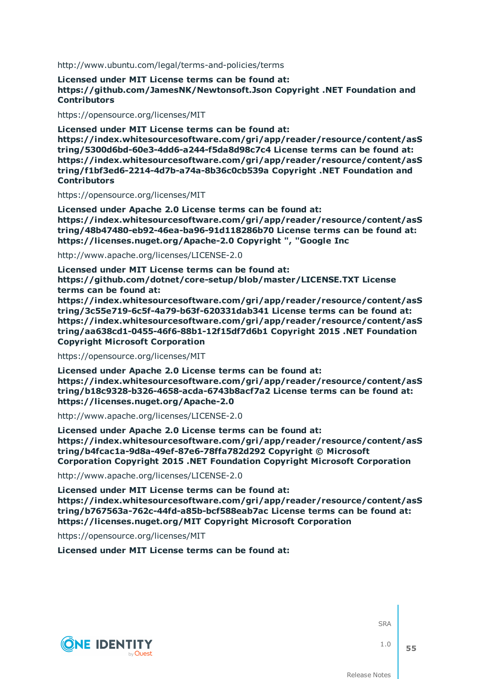http://www.ubuntu.com/legal/terms-and-policies/terms

**Licensed under MIT License terms can be found at: https://github.com/JamesNK/Newtonsoft.Json Copyright .NET Foundation and Contributors**

https://opensource.org/licenses/MIT

**Licensed under MIT License terms can be found at: https://index.whitesourcesoftware.com/gri/app/reader/resource/content/asS tring/5300d6bd-60e3-4dd6-a244-f5da8d98c7c4 License terms can be found at: https://index.whitesourcesoftware.com/gri/app/reader/resource/content/asS tring/f1bf3ed6-2214-4d7b-a74a-8b36c0cb539a Copyright .NET Foundation and Contributors**

https://opensource.org/licenses/MIT

**Licensed under Apache 2.0 License terms can be found at: https://index.whitesourcesoftware.com/gri/app/reader/resource/content/asS tring/48b47480-eb92-46ea-ba96-91d118286b70 License terms can be found at: https://licenses.nuget.org/Apache-2.0 Copyright ", "Google Inc**

http://www.apache.org/licenses/LICENSE-2.0

**Licensed under MIT License terms can be found at: https://github.com/dotnet/core-setup/blob/master/LICENSE.TXT License terms can be found at:**

**https://index.whitesourcesoftware.com/gri/app/reader/resource/content/asS tring/3c55e719-6c5f-4a79-b63f-620331dab341 License terms can be found at: https://index.whitesourcesoftware.com/gri/app/reader/resource/content/asS tring/aa638cd1-0455-46f6-88b1-12f15df7d6b1 Copyright 2015 .NET Foundation Copyright Microsoft Corporation**

https://opensource.org/licenses/MIT

**Licensed under Apache 2.0 License terms can be found at: https://index.whitesourcesoftware.com/gri/app/reader/resource/content/asS tring/b18c9328-b326-4658-acda-6743b8acf7a2 License terms can be found at: https://licenses.nuget.org/Apache-2.0**

http://www.apache.org/licenses/LICENSE-2.0

**Licensed under Apache 2.0 License terms can be found at: https://index.whitesourcesoftware.com/gri/app/reader/resource/content/asS tring/b4fcac1a-9d8a-49ef-87e6-78ffa782d292 Copyright © Microsoft Corporation Copyright 2015 .NET Foundation Copyright Microsoft Corporation**

http://www.apache.org/licenses/LICENSE-2.0

**Licensed under MIT License terms can be found at: https://index.whitesourcesoftware.com/gri/app/reader/resource/content/asS tring/b767563a-762c-44fd-a85b-bcf588eab7ac License terms can be found at: https://licenses.nuget.org/MIT Copyright Microsoft Corporation**

https://opensource.org/licenses/MIT

**Licensed under MIT License terms can be found at:**



**SRA**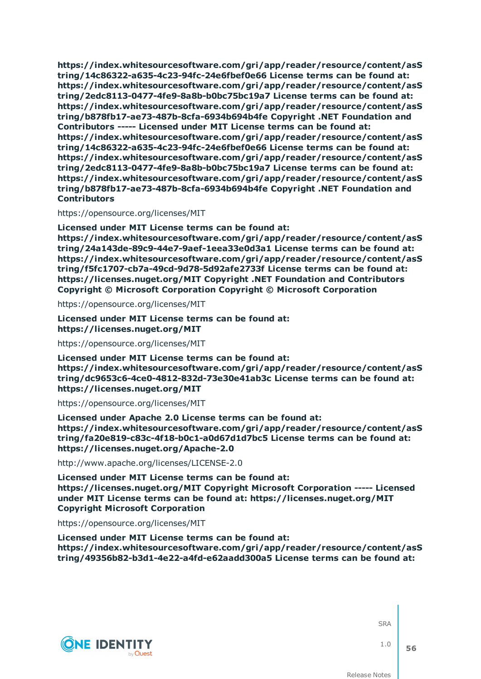**https://index.whitesourcesoftware.com/gri/app/reader/resource/content/asS tring/14c86322-a635-4c23-94fc-24e6fbef0e66 License terms can be found at: https://index.whitesourcesoftware.com/gri/app/reader/resource/content/asS tring/2edc8113-0477-4fe9-8a8b-b0bc75bc19a7 License terms can be found at: https://index.whitesourcesoftware.com/gri/app/reader/resource/content/asS tring/b878fb17-ae73-487b-8cfa-6934b694b4fe Copyright .NET Foundation and Contributors ----- Licensed under MIT License terms can be found at: https://index.whitesourcesoftware.com/gri/app/reader/resource/content/asS tring/14c86322-a635-4c23-94fc-24e6fbef0e66 License terms can be found at: https://index.whitesourcesoftware.com/gri/app/reader/resource/content/asS tring/2edc8113-0477-4fe9-8a8b-b0bc75bc19a7 License terms can be found at: https://index.whitesourcesoftware.com/gri/app/reader/resource/content/asS tring/b878fb17-ae73-487b-8cfa-6934b694b4fe Copyright .NET Foundation and Contributors**

#### https://opensource.org/licenses/MIT

**Licensed under MIT License terms can be found at: https://index.whitesourcesoftware.com/gri/app/reader/resource/content/asS tring/24a143de-89c9-44e7-9aef-1eea33e0d3a1 License terms can be found at: https://index.whitesourcesoftware.com/gri/app/reader/resource/content/asS tring/f5fc1707-cb7a-49cd-9d78-5d92afe2733f License terms can be found at: https://licenses.nuget.org/MIT Copyright .NET Foundation and Contributors Copyright © Microsoft Corporation Copyright © Microsoft Corporation**

https://opensource.org/licenses/MIT

**Licensed under MIT License terms can be found at: https://licenses.nuget.org/MIT**

https://opensource.org/licenses/MIT

**Licensed under MIT License terms can be found at: https://index.whitesourcesoftware.com/gri/app/reader/resource/content/asS tring/dc9653c6-4ce0-4812-832d-73e30e41ab3c License terms can be found at: https://licenses.nuget.org/MIT**

https://opensource.org/licenses/MIT

**Licensed under Apache 2.0 License terms can be found at: https://index.whitesourcesoftware.com/gri/app/reader/resource/content/asS tring/fa20e819-c83c-4f18-b0c1-a0d67d1d7bc5 License terms can be found at: https://licenses.nuget.org/Apache-2.0**

http://www.apache.org/licenses/LICENSE-2.0

**Licensed under MIT License terms can be found at: https://licenses.nuget.org/MIT Copyright Microsoft Corporation ----- Licensed under MIT License terms can be found at: https://licenses.nuget.org/MIT Copyright Microsoft Corporation**

https://opensource.org/licenses/MIT

**Licensed under MIT License terms can be found at: https://index.whitesourcesoftware.com/gri/app/reader/resource/content/asS tring/49356b82-b3d1-4e22-a4fd-e62aadd300a5 License terms can be found at:**



**SRA** 

1.0